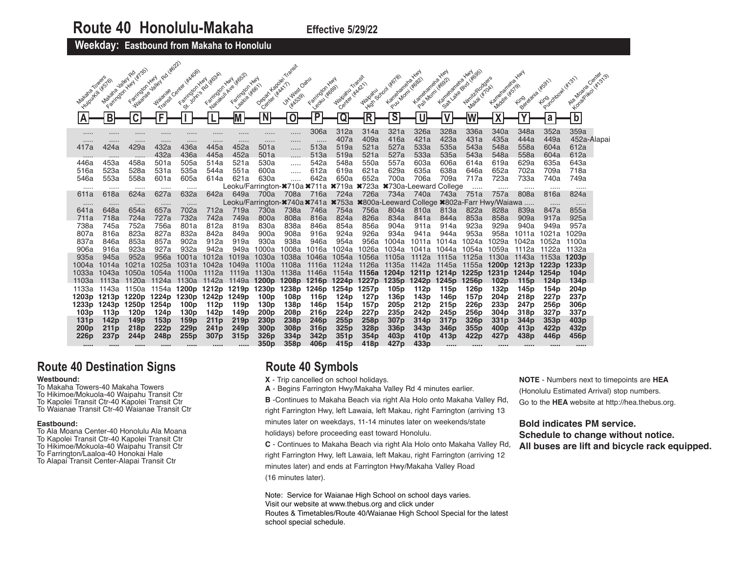**Weekday: Eastbound from Makaha to Honolulu** 

|                  |                     |                     | , Rd #622)       |                           |                                                                                                  |                                           |                                      |                 |                          |                                      |                                                                                            |                                      |                                 |                  |                                              |                         |                          |                          |                                      |  |
|------------------|---------------------|---------------------|------------------|---------------------------|--------------------------------------------------------------------------------------------------|-------------------------------------------|--------------------------------------|-----------------|--------------------------|--------------------------------------|--------------------------------------------------------------------------------------------|--------------------------------------|---------------------------------|------------------|----------------------------------------------|-------------------------|--------------------------|--------------------------|--------------------------------------|--|
|                  | Matana Jaley Ro     | Faringan Hwy (4755) |                  | Transit Canter ( W.M.DOS) | Elizabeth National<br>Cancelon Hard Wosch                                                        |                                           |                                      |                 |                          |                                      |                                                                                            |                                      | <b>HAY</b>                      | <b>HAN</b>       | <b>HAN</b>                                   |                         |                          | Firebookstand of 1911    | Algare Genter<br>Longolita Hitchists |  |
| Makaha Towers    | Huiroukill (#576)   | Farmglon Hwy        | <b>Jailey</b>    |                           |                                                                                                  | Farmolon Hwy                              | Depart Kapalen<br>Center (#4417)     | Jit. Jules Oanu | Listingdon Hwy           | Majortu Transit<br>Center (#AA21)    |                                                                                            | Pull Mont (#882)<br>Kamanamaha       | Kamaramana,<br>Pail Mont (#G32) | Kamenaneha       | Sail Value of US Little Oce<br>Nimit/Rodgers | Kamatamaha              | King dana iksan          |                          |                                      |  |
|                  |                     | <b>Maianae</b>      | <b>Waianae</b>   |                           |                                                                                                  | 188108 46611                              |                                      |                 |                          |                                      | <b>Haipan</b> School Le                                                                    |                                      |                                 |                  | <b>Makai (*104)</b>                          | Middle (#579)           |                          |                          |                                      |  |
|                  |                     |                     |                  |                           |                                                                                                  |                                           |                                      | <b>HAK5391</b>  |                          |                                      |                                                                                            |                                      |                                 |                  |                                              |                         |                          |                          |                                      |  |
|                  | B                   | Ć                   | Ē                |                           |                                                                                                  |                                           | $\overline{\mathsf{N}}$              | $\mathbf 0$     | $\overline{P}$           | Q                                    | R                                                                                          | $\overline{\mathsf{s}}$              | U                               |                  |                                              |                         |                          |                          | $\overline{\mathsf{b}}$              |  |
| ΙA               |                     |                     |                  |                           |                                                                                                  |                                           |                                      |                 |                          |                                      |                                                                                            |                                      |                                 |                  |                                              | Λ                       |                          | a                        |                                      |  |
|                  |                     | .                   |                  | .                         | .                                                                                                |                                           | .                                    |                 | 306a                     | 312a                                 | 314a                                                                                       | 321a                                 | 326a                            | 328a             | 336a                                         | 340a                    | 348a                     | 352a                     | 359a                                 |  |
|                  |                     | .                   |                  |                           | .                                                                                                |                                           |                                      |                 | .                        | 407a                                 | 409a                                                                                       | 416a                                 | 421a                            | 423a             | 431a                                         | 435a                    | 444a                     | 449a                     | 452a-Alapai                          |  |
| 417a             | 424a                | 429a                | 432a             | 436a                      | 445a                                                                                             | 452a                                      | 501a                                 |                 | 513a                     | 519a                                 | 521a                                                                                       | 527a                                 | 533a                            | 535a             | 543a                                         | 548a                    | 558a                     | 604a                     | 612a                                 |  |
| .<br>446a        | $- - - - -$<br>453a | <br>458a            | 432a<br>501a     | 436a<br>505a              | 445a<br>514a                                                                                     | 452a<br>521a                              | 501a<br>530a                         |                 | 513a<br>542a             | 519a<br>548a                         | 521a<br>550a                                                                               | 527a<br>557a                         | 533a<br>603a                    | 535a<br>606a     | 543a<br>614a                                 | 548a<br>619a            | 558a<br>629a             | 604a<br>635a             | 612a<br>643a                         |  |
| 516a             | 523a                | 528a                | 531a             | 535a                      | 544a                                                                                             | 551a                                      | 600a                                 |                 | 612a                     | 619a                                 | 621a                                                                                       | 629a                                 | 635a                            | 638a             | 646a                                         | 652a                    | 702a                     | 709a                     | 718a                                 |  |
| 546a             | 553a                | 558a                | 601a             | 605a                      | 614a                                                                                             | 621a                                      | 630a                                 |                 | 642a                     | 650a                                 | 652a                                                                                       | 700a                                 | 706a                            | 709a             | 717a                                         | 723a                    | 733a                     | 740a                     | 749a                                 |  |
|                  |                     |                     |                  |                           |                                                                                                  | Leoku/Farrington- <sup>*710</sup> a *711a |                                      |                 |                          |                                      | <b>*719a *723a *730a-Leeward College</b>                                                   |                                      |                                 |                  |                                              |                         |                          | 1.1.1.1                  |                                      |  |
| 611a             | 618a                | 624a                | 627a             | 632a                      | 642a                                                                                             | 649a                                      | 700a                                 | 708a            | 716a                     | 724a                                 | 726a                                                                                       | 734a                                 | 740a                            | 743a             | 751a                                         | 757a                    | 808a                     | 816a                     | 824a                                 |  |
|                  |                     |                     |                  |                           |                                                                                                  |                                           |                                      |                 |                          |                                      | Leoku/Farrington- <sup>*</sup> 740a*741a *753a *800a-Leeward College *802a-Farr Hwy/Waiawa |                                      |                                 |                  |                                              |                         |                          |                          |                                      |  |
| 641a             | 648a                | 654a                | 657a             | 702a                      | 712a                                                                                             | 719a                                      | 730a                                 | 738a            | 746a                     | 754a                                 | 756a                                                                                       | 804a                                 | 810a                            | 813a             | 822a                                         | 828a                    | 839a                     | 847a                     | 855a                                 |  |
| 711a             | 718a                | 724a                | 727a             | 732a                      | 742a                                                                                             | 749a                                      | 800a                                 | 808a            | 816a                     | 824a                                 | 826a                                                                                       | 834a                                 | 841a                            | 844a             | 853a                                         | 858a                    | 909a                     | 917a                     | 925a                                 |  |
| 738a<br>807a     | 745a<br>816a        | 752a<br>823a        | 756a<br>827a     | 801a<br>832a              | 812a<br>842a                                                                                     | 819a<br>849a                              | 830a<br>900a                         | 838a<br>908a    | 846a<br>916a             | 854a<br>924a                         | 856a<br>926a                                                                               | 904a<br>934a                         | 911a<br>941a                    | 914a<br>944a     | 923a<br>953a                                 | 929a<br>958a            | 940a<br>1011a            | 949a<br>1021a            | 957a<br>1029a                        |  |
| 837a             | 846a                | 853a                | 857a             | 902a                      | 912a                                                                                             | 919a                                      | 930a                                 | 938a            | 946a                     | 954a                                 | 956a                                                                                       | 1004a                                | 1011a                           | 1014a            | 1024a                                        | 1029a                   | 1042a                    | 1052a                    | 1100a                                |  |
| 906a             | 916a                | 923a                | 927a             | 932a                      | 942a                                                                                             | 949a                                      | 1000a                                | 1008a           | 1016a                    | 1024a                                | 1026a                                                                                      | 1034a                                | 1041a                           | 1044a            | 1054a                                        | 1059a                   | 1112a                    | 1122a                    | 1132a                                |  |
| 935a             | 945a                | 952a                | 956a             | 1001a                     | 1012a                                                                                            | 1019a                                     | 1030a                                | 1038a           | 1046a                    | 1054a                                | 1056a                                                                                      | 1105a                                | 1112a                           | 1115a            | 1125a                                        | 1130a                   | 1143a                    | 1153a                    | 1203 <sub>p</sub>                    |  |
| 1004a            | 1014a               | 1021a               | 1025a            |                           | 1031a 1042a                                                                                      | 1049a                                     | 1100a                                | 1108a           | 1116a                    | 1124a                                | 1126a                                                                                      |                                      | 1135a 1142a 1145a               |                  |                                              | 1155a 1200p 1213p 1223p |                          |                          | 1233p                                |  |
| 1033a            | 1043a               | 1050a               | 1054a            | 1100a                     | 1112a                                                                                            |                                           | 1119a 1130a                          | 1138a 1146a     |                          | 1154a                                | 1156a 1204p                                                                                |                                      | 1211p 1214p                     |                  |                                              | 1225p 1231p             | 1244p                    | 1254p                    | 104 <sub>p</sub>                     |  |
| 1103a            |                     |                     |                  |                           | 1113a 1120a 1124a 1130a 1142a 1149a <b>1200p 1208p 1216p 1224p 1227p 1235p 1242p 1245p 1256p</b> |                                           |                                      |                 |                          |                                      |                                                                                            |                                      |                                 |                  |                                              | 102p                    | 115 <sub>p</sub>         | 124 <sub>p</sub>         | 134 <sub>p</sub>                     |  |
| 1133a            |                     | 1143a 1150a         |                  |                           | 1154a <b>1200p 1212p 1219p 1230p</b>                                                             |                                           |                                      | 1238p           | 1246p                    | 1254p                                | 1257p                                                                                      | 105 <sub>p</sub>                     | 112p                            | 115 <sub>p</sub> | 126 <sub>p</sub>                             | 132p                    | 145 <sub>p</sub>         | 154p                     | 204 <sub>p</sub>                     |  |
| 1203p            | 1213p 1220p         |                     | 1224p<br>1254p   |                           | 1230p 1242p                                                                                      | 1249p                                     | 100 <sub>p</sub>                     | 108p            | 116p                     | 124 <sub>p</sub>                     | 127 <sub>p</sub>                                                                           | 136 <sub>p</sub>                     | 143p                            | 146p             | 157 <sub>p</sub>                             | 204 <sub>p</sub>        | 218p                     | 227 <sub>p</sub>         | 237 <sub>p</sub>                     |  |
| 1233p<br>103p    | 1243p 1250p<br>113p | 120 <sub>p</sub>    | 124 <sub>p</sub> | 100p<br>130 <sub>p</sub>  | 112p<br>142p                                                                                     | 119p<br>149 <sub>p</sub>                  | 130 <sub>p</sub><br>200 <sub>p</sub> | 138p<br>208p    | 146p<br>216 <sub>p</sub> | 154 <sub>p</sub><br>224 <sub>p</sub> | 157p<br>227p                                                                               | 205 <sub>p</sub><br>235 <sub>p</sub> | 212p<br>242p                    | 215p<br>245p     | 226 <sub>p</sub><br>256p                     | 233p<br>304p            | 247 <sub>p</sub><br>318p | 256 <sub>p</sub><br>327p | 306 <sub>p</sub><br>337p             |  |
| 131 <sub>p</sub> | 142 <sub>p</sub>    | 149p                | 153p             | 159p                      | 211 <sub>p</sub>                                                                                 | 219 <sub>p</sub>                          | 230 <sub>p</sub>                     | 238p            | 246 <sub>p</sub>         | 255p                                 | 258p                                                                                       | 307 <sub>p</sub>                     | 314p                            | 317p             | 326p                                         | 331p                    | 344p                     | 353p                     | 403p                                 |  |
| 200 <sub>p</sub> | 211 <sub>p</sub>    | 218 <sub>p</sub>    | 222p             | 229 <sub>p</sub>          | 241 <sub>p</sub>                                                                                 | 249 <sub>p</sub>                          | 300 <sub>p</sub>                     | 308p            | 316p                     | 325p                                 | 328p                                                                                       | 336 <sub>p</sub>                     | 343p                            | 346 <sub>p</sub> | 355 <sub>p</sub>                             | 400 <sub>p</sub>        | 413p                     | 422p                     | 432p                                 |  |
| 226p             | 237p                | 244 <sub>p</sub>    | 248p             | 255p                      | 307p                                                                                             | 315 <sub>p</sub>                          | 326p                                 | 334p            | 342p                     | 351p                                 | 354 <sub>p</sub>                                                                           | 403p                                 | 410 <sub>p</sub>                | 413p             | 422p                                         | 427p                    | 438p                     | 446p                     | 456p                                 |  |
|                  |                     |                     | 1.1.1.1          | 1.1.1.1                   |                                                                                                  | 1.1.1.1                                   | 350 <sub>p</sub>                     | 358p            | 406 <sub>p</sub>         | 415 <sub>p</sub>                     | 418p                                                                                       | 427 <sub>p</sub>                     | 433 <sub>p</sub>                | 1.1.1.1          | 1.1.1.1                                      |                         |                          |                          | 111111                               |  |

# **Route 40 Destination Signs**

#### **Westbound:**

- To Makaha Towers-40 Makaha Towers
- To Hikimoe/Mokuola-40 Waipahu Transit Ctr To Kapolei Transit Ctr-40 Kapolei Transit Ctr
- To Waianae Transit Ctr-40 Waianae Transit Ctr

#### **Eastbound:**

- To Ala Moana Center-40 Honolulu Ala Moana To Kapolei Transit Ctr-40 Kapolei Transit Ctr
- To Hikimoe/Mokuola-40 Waipahu Transit Ctr
- To Farrington/Laaloa-40 Honokai Hale
- To Alapai Transit Center-Alapai Transit Ctr

# **Route 40 Symbols**

- **X** Trip cancelled on school holidays.
- **A** Begins Farrington Hwy/Makaha Valley Rd 4 minutes earlier.

**B** -Continues to Makaha Beach via right Ala Holo onto Makaha Valley Rd, right Farrington Hwy, left Lawaia, left Makau, right Farrington (arriving 13 minutes later on weekdays, 11-14 minutes later on weekends/state

holidays) before proceeding east toward Honolulu.

**C** - Continues to Makaha Beach via right Ala Holo onto Makaha Valley Rd, right Farrington Hwy, left Lawaia, left Makau, right Farrington (arriving 12 minutes later) and ends at Farrington Hwy/Makaha Valley Road (16 minutes later).

Note: Service for Waianae High School on school days varies. Visit our website at www.thebus.org and click under Routes & Timetables/Route 40/Waianae High School Special for the latest school special schedule.

**NOTE** - Numbers next to timepoints are **HEA** (Honolulu Estimated Arrival) stop numbers. Go to the **HEA** website at http://hea.thebus.org.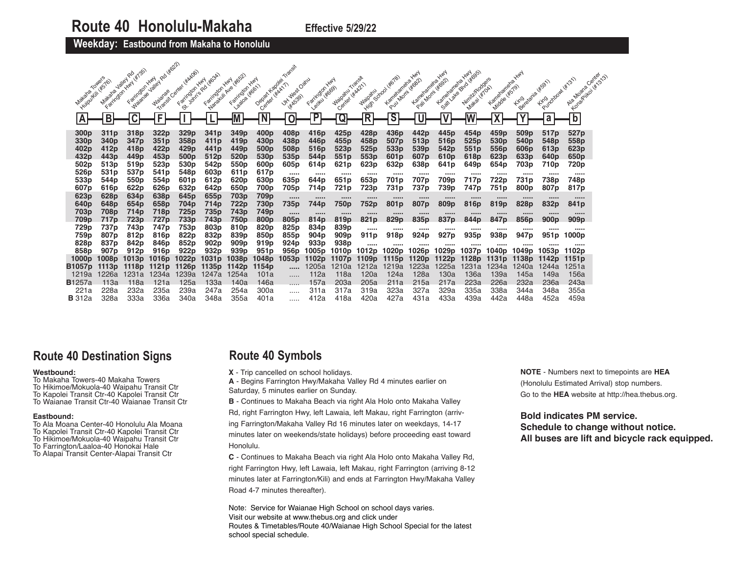**Weekday: Eastbound from Makaha to Honolulu** 

|                                      |                                          | 14/35)<br>Valley Ro<br><b>HAN</b>    | Rd Highl                 | Tracest Center (Kakoe)   |                                       |                                                        |                                      | Transit                              |                                      | <b>HAN</b>                           | Transit              | Kamalanana IIIII                     | Kamelanana Hwy           | Kamelaneha Hund                      | Sail late existates                   |                               | <b>HAN</b>                           |                    | Aig Moans Center        |
|--------------------------------------|------------------------------------------|--------------------------------------|--------------------------|--------------------------|---------------------------------------|--------------------------------------------------------|--------------------------------------|--------------------------------------|--------------------------------------|--------------------------------------|----------------------|--------------------------------------|--------------------------|--------------------------------------|---------------------------------------|-------------------------------|--------------------------------------|--------------------|-------------------------|
| Mataha Towers                        | Huipukin (* 576)<br>Makana<br>Farrington | Farmolon Hwy<br>Maistrae Jailey      | <b>Waianae</b>           |                          | 1 or various diverse<br>Farington Hwy | Nandelin Ave 14652<br>Faritraton Hwy<br>1.82020 416611 | Depart Kapolei<br>Center Hitch17     | J.K. West Oaku<br><b>HEASS9)</b>     | Farrington<br>Legitu (#669)          | Center ( Water )<br><b>Waipanu</b>   | <b>Waipanu</b>       | ivide School Weigh<br>Puu Mom (Koop) | Pail Mont (#692)         |                                      | Niritz/Rodgers<br><b>Makai (#10A)</b> | Lametamena Y<br>Middle (#579) | Kimolagana (Kisat)                   | Firebookstant Wash | Longolita (str.25)      |
| ΙA                                   | B                                        |                                      | F                        |                          |                                       | M                                                      | Ñ                                    | 0                                    | $\overline{P}$                       | Q                                    | R                    | $\overline{\mathsf{s}}$              |                          | v                                    |                                       | $\overline{\phantom{a}}$      |                                      | a                  | $\overline{\mathsf{b}}$ |
| 300 <sub>p</sub><br>330 <sub>p</sub> | 311p<br>340 <sub>p</sub>                 | 318p<br>347 <sub>p</sub>             | 322p<br>351p             | 329p<br>358p             | 341p<br>411 <sub>p</sub>              | 349p<br>419p                                           | 400 <sub>p</sub><br>430p             | 408p<br>438p                         | 416 <sub>p</sub><br>446 <sub>p</sub> | 425 <sub>p</sub><br>455 <sub>p</sub> | 428p<br>458p         | 436p<br>507 <sub>p</sub>             | 442p<br>513 <sub>p</sub> | 445 <sub>p</sub><br>516 <sub>p</sub> | 454p<br>525 <sub>p</sub>              | 459p<br>530 <sub>p</sub>      | 509 <sub>p</sub><br>540 <sub>p</sub> | 517p<br>548p       | 527p<br>558p            |
| 402p                                 | 412p                                     | 418p                                 | 422 <sub>p</sub>         | 429 p                    | 441 <sub>p</sub>                      | 449 <sub>p</sub>                                       | 500 <sub>p</sub>                     | 508p                                 | 516 <sub>p</sub>                     | 523 <sub>p</sub>                     | 525 <sub>p</sub>     | 533 <sub>p</sub>                     | 539p                     | 542p                                 | 551 <sub>p</sub>                      | 556p                          | 606 <sub>p</sub>                     | 613 <sub>p</sub>   | 623p                    |
| 432p                                 | 443 p                                    | 449p                                 | 453 <sub>p</sub>         | 500 <sub>p</sub>         | 512p                                  | 520 <sub>p</sub>                                       | 530 <sub>p</sub>                     | 535 <sub>p</sub>                     | 544p                                 | 551 <sub>p</sub>                     | 553 <sub>p</sub>     | 601 <sub>p</sub>                     | 607 <sub>p</sub>         | 610 <sub>p</sub>                     | 618 <sub>p</sub>                      | 623 <sub>p</sub>              | 633 <sub>p</sub>                     | 640p               | 650 <sub>p</sub>        |
| 502 <sub>p</sub>                     | 513p<br>531 <sub>p</sub>                 | 519p                                 | 523p                     | 530 <sub>p</sub>         | 542p                                  | 550p                                                   | 600p                                 | 605 <sub>p</sub>                     | 614p                                 | 621 <sub>p</sub>                     | 623p                 | 632p                                 | 638 <sub>p</sub>         | 641 <sub>p</sub>                     | 649 <sub>p</sub>                      | 654 p                         | 703 p                                | 710p               | 720p                    |
| 526p<br>533p                         | 544 p                                    | 537 <sub>p</sub><br>550 <sub>p</sub> | 541p<br>554p             | 548p<br>601 <sub>p</sub> | 603p<br>612p                          | 611 <sub>p</sub><br>620 <sub>p</sub>                   | 617 <sub>p</sub><br>630 <sub>p</sub> | <br>635 <sub>p</sub>                 | <br>644 p                            | <br>651 <sub>p</sub>                 | <br>653 <sub>p</sub> | <br>701 p                            | <br>707 p                | <br>709 <sub>p</sub>                 | <br>717p                              | <br>722 p                     | <br>731 p                            | <br>738p           | <br>748 <sub>p</sub>    |
| 607p                                 | 616 <sub>p</sub>                         | 622p                                 | 626p                     | 632p                     | 642p                                  | 650p                                                   | 700p                                 | 705p                                 | 714p                                 | 721 <sub>p</sub>                     | 723p                 | 731p                                 | 737p                     | 739p                                 | 747p                                  | 751p                          | 800 <sub>p</sub>                     | 807 <sub>p</sub>   | 817p                    |
| 623 <sub>p</sub>                     | 628 <sub>p</sub>                         | 634 <sub>p</sub>                     | 638p                     | 645 <sub>p</sub>         | 655 <sub>p</sub>                      | 703p                                                   | 709p                                 |                                      |                                      |                                      |                      |                                      |                          |                                      |                                       |                               |                                      |                    |                         |
| 640 <sub>p</sub>                     | 648p                                     | 654 <sub>p</sub>                     | 658p                     | 704p                     | 714p                                  | 722p                                                   | 730p                                 | 735p                                 | 744p                                 | 750p                                 | 752p                 | 801p                                 | 807p                     | 809p                                 | 816p                                  | 819p                          | 828 <sub>p</sub>                     | 832p               | 841 <sub>p</sub>        |
| 703p                                 | 708p                                     | 714p                                 | 718p                     | 725p                     | 735p                                  | 743p                                                   | 749p                                 |                                      |                                      |                                      |                      |                                      |                          |                                      |                                       |                               |                                      |                    |                         |
| 709 p                                | 717¤                                     | 723 p                                | 727 p                    | 733 p                    | 743 p                                 | 750p                                                   | 800 <sub>p</sub>                     | 805 <sub>p</sub>                     | 814 <sub>p</sub>                     | 819 <sub>p</sub>                     | 821 <sub>p</sub>     | 829 <sub>p</sub>                     | 835 <sub>p</sub>         | 837 <sub>p</sub>                     | 844 <sub>p</sub>                      | 847 <sub>p</sub>              | 856 <sub>p</sub>                     | 900p               | 909 <sub>p</sub>        |
| 729p<br>759p                         | 737p<br>807 <sub>p</sub>                 | 743p                                 | 747 <sub>p</sub><br>816p | 753p<br>822p             | 803p                                  | 810p<br>839 <sub>p</sub>                               | 820 <sub>p</sub><br>850 <sub>p</sub> | 825 <sub>p</sub><br>855 <sub>p</sub> | 834p                                 | 839p<br>909 <sub>p</sub>             |                      | <br>918p                             | <br>924 p                |                                      | <br>935 <sub>p</sub>                  | <br>938p                      | <br>947 p                            | <br>951 p          | <br>1000p               |
| 828p                                 | 837 <sub>p</sub>                         | 812p<br>842 <sub>p</sub>             | 846 <sub>p</sub>         | 852p                     | 832p<br>902p                          | 909 <sub>p</sub>                                       | 919p                                 | 924 <sub>p</sub>                     | 904 <sub>p</sub><br>933p             | 938p                                 | 911p                 |                                      |                          | 927 <sub>p</sub>                     |                                       |                               |                                      |                    |                         |
| 858p                                 | 907 p                                    | 912 <sub>p</sub>                     | 916p                     | 922p                     | 932p                                  | 939p                                                   | 951 <sub>p</sub>                     | 956 <sub>p</sub>                     | 1005 p                               | 1010p                                | <br>12p<br>ıυ        | <br>1020p                            | <br>1026 p               | <br>029p                             | <br>037 <sub>p</sub>                  | <br>040 <sub>p</sub>          |                                      | <br>1053 p         | <br>1102p               |
| 1000 <sub>p</sub>                    | 1008p                                    | 1013p                                | 1016p                    | 1022 <sub>p</sub>        | 031 <sub>p</sub>                      | 1038¤                                                  | 1048 <sub>p</sub>                    | l053p                                | 1102p                                | 1107 p                               | 1109ɒ                | <b>50</b>                            |                          |                                      | 1128 <sub>p</sub>                     | 1131 b                        | 1138 <sub>p</sub>                    |                    | 1151 <sub>p</sub>       |
| B1057p                               | 13 p                                     | 80 l                                 | 1121 <sub>n</sub>        | 1126p                    | 1135p                                 | 42 p                                                   | 1154p                                |                                      | 1205a                                | 210a                                 | 1212a                | 1219a                                | 1223a                    | 225a                                 | 1231a                                 | 1234a                         | 240a                                 | 1244a              | 1251a                   |
| 1219a                                | 226a                                     | 1231a                                | 1234a                    | 239a                     | 1247a                                 | 254a                                                   | 101a                                 | .                                    | 112a                                 | 118a                                 | 120a                 | 124a                                 | 128a                     | 130a                                 | 136a                                  | 139a                          | 145a                                 | 149a               | 156a                    |
| <b>B</b> 1257a                       | 113a                                     | 118a                                 | 121a                     | 125a                     | 133a                                  | 140a                                                   | 146a                                 | .                                    | 157a                                 | 203a                                 | 205a                 | 211a                                 | 215a                     | 217a                                 | 223a                                  | 226a                          | 232a                                 | 236a               | 243a                    |
| 221a                                 | 228a                                     | 232a                                 | 235a                     | 239a                     | 247a                                  | 254a                                                   | 300a                                 | .                                    | 311a                                 | 317a                                 | 319a                 | 323a                                 | 327a                     | 329a                                 | 335a                                  | 338a                          | 344a                                 | 348a               | 355a                    |
| <b>B</b> 312a                        | 328a                                     | 333a                                 | 336a                     | 340a                     | 348a                                  | 355a                                                   | 401a                                 | .                                    | 412a                                 | 418a                                 | 420a                 | 427a                                 | 431a                     | 433a                                 | 439a                                  | 442a                          | 448a                                 | 452a               | 459a                    |

## **Route 40 Destination Signs**

## **Westbound:**

To Makaha Towers-40 Makaha Towers To Hikimoe/Mokuola-40 Waipahu Transit Ctr To Kapolei Transit Ctr-40 Kapolei Transit Ctr

To Waianae Transit Ctr-40 Waianae Transit Ctr

#### **Eastbound:**

- To Ala Moana Center-40 Honolulu Ala Moana
- To Kapolei Transit Ctr-40 Kapolei Transit Ctr To Hikimoe/Mokuola-40 Waipahu Transit Ctr
- To Farrington/Laaloa-40 Honokai Hale
- To Alapai Transit Center-Alapai Transit Ctr

## **Route 40 Symbols**

**X** - Trip cancelled on school holidays.

**A** - Begins Farrington Hwy/Makaha Valley Rd 4 minutes earlier on Saturday, 5 minutes earlier on Sunday.

**B** - Continues to Makaha Beach via right Ala Holo onto Makaha Valley

Rd, right Farrington Hwy, left Lawaia, left Makau, right Farrington (arriving Farrington/Makaha Valley Rd 16 minutes later on weekdays, 14-17 minutes later on weekends/state holidays) before proceeding east toward Honolulu.

**C** - Continues to Makaha Beach via right Ala Holo onto Makaha Valley Rd, right Farrington Hwy, left Lawaia, left Makau, right Farrington (arriving 8-12 minutes later at Farrington/Kili) and ends at Farrington Hwy/Makaha Valley Road 4-7 minutes thereafter).

Note: Service for Waianae High School on school days varies. Visit our website at www.thebus.org and click under Routes & Timetables/Route 40/Waianae High School Special for the latest school special schedule.

**NOTE** - Numbers next to timepoints are **HEA** (Honolulu Estimated Arrival) stop numbers. Go to the **HEA** website at http://hea.thebus.org.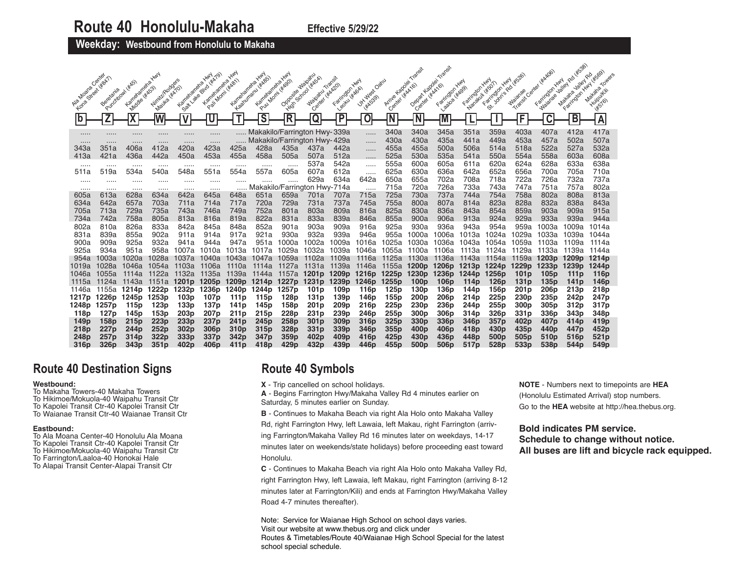**Weekday: Westbound from Honolulu to Makaha** 

|                                 | Center                 |                              | <b>HAN</b>                     |                          |                                                             | <b>HAN</b>                           | <b>HAN</b>                        | <b>HAY</b>                                                   | Waipamu<br><b>School water</b> | Transit                              | <b>HAN</b>                  | Kapolei                  |                                        | Transit                                |                                        | <b>HAN</b>                             |                                  | <b>HAN</b>                            | Rd (#538)<br><b>Valley</b>            | 145691                        |
|---------------------------------|------------------------|------------------------------|--------------------------------|--------------------------|-------------------------------------------------------------|--------------------------------------|-----------------------------------|--------------------------------------------------------------|--------------------------------|--------------------------------------|-----------------------------|--------------------------|----------------------------------------|----------------------------------------|----------------------------------------|----------------------------------------|----------------------------------|---------------------------------------|---------------------------------------|-------------------------------|
| Forma Street Heath<br>Ala Moana | Beretania<br>Purchbowl | Kameranela<br>Middle ( KASS) | Winite Rodgers<br>Mauka 4kx70) | Kametaneha               | Seat Lake Brita (xixtos)<br>Kameraneha<br>Pail Morni (#481) | Kameraneha                           | Kagturianu (kass)<br>Kametaneha Y | Pul Mom ( #490)<br>Opposite<br><b>High</b>                   | Center ( WAR20)<br>Waipamu     | Leaky Likesen<br>Farington           | University<br><b>HAGS9)</b> | Center (#AA16)<br>Arrive | Depart Kepoler<br>Center               | Farington Hary<br>- WAA161<br>Laatoa   | Farrington Hwy<br>Narakuli (#501)      | Join's Rd<br>Farrington                | Transit Center<br><b>Waianae</b> | Majanae Jaliet<br>Farrington          | Farington Hwy<br>Makana               | Makana<br>Huirpulfili<br>1857 |
| $\mathbf b$                     |                        |                              |                                | w                        |                                                             |                                      | $\overline{\mathsf{s}}$           | $\overline{\mathsf{R}}$                                      | Q                              | P                                    |                             | Ñ                        |                                        |                                        |                                        |                                        | F                                |                                       | В                                     | $\overline{A}$                |
| <br>                            | <br>.                  | <br>                         | <br>.                          | <br>                     | .<br>                                                       |                                      |                                   | Makakilo/Farrington Hwy-339a<br>Makakilo/Farrington Hwy-429a |                                |                                      | .<br>.                      | 340a<br>430a             | 340a<br>430a                           | 345a<br>435a                           | 351a<br>441a                           | 359a<br>449a                           | 403a<br>453a                     | 407a<br>457a                          | 412a<br>502a                          | 417a<br>507a                  |
| 343a<br>413a                    | 351a<br>421a           | 406a<br>436a                 | 412a<br>442a                   | 420a<br>450a             | 423a<br>453a                                                | 425a<br>455a                         | 428a<br>458a                      | 435a<br>505a                                                 | 437a<br>507a                   | 442a<br>512a                         | .<br>.                      | 455a<br>525a             | 455a<br>530a                           | 500a<br>535a                           | 506a<br>541a                           | 514a<br>550a                           | 518a<br>554a                     | 522a<br>558a                          | 527a<br>603a                          | 532a<br>608a                  |
| <br>511a                        | <br>519a               | <br>534a                     | <br>540a                       | <br>548a                 | <br>551a                                                    | .<br>554a                            | .<br>557a                         | <br>605a                                                     | 537a<br>607a                   | 542a<br>612a                         | .                           | 555a<br>625a             | 600a<br>630a                           | 605a<br>636a                           | 611a<br>642a                           | 620a<br>652a                           | 624a<br>656a                     | 628a<br>700a                          | 633a<br>705a                          | 638a<br>710a                  |
|                                 |                        |                              |                                |                          |                                                             |                                      |                                   | .                                                            | 629a                           | 634a                                 | <br>642a                    | 650a                     | 655a                                   | 702a                                   | 708a                                   | 718a                                   | 722a                             | 726a                                  | 732a                                  | 737a                          |
| <br>605a                        | <br>613a               | <br>628a                     | .<br>634a                      | .<br>642a                | <br>645a                                                    | 648a                                 | 651a                              | Makakilo/Farrington Hwy-714a<br>659a                         | 701a                           | 707a                                 | <br>715a                    | 715a<br>725a             | 720a<br>730a                           | 726a<br>737a                           | 733a<br>744a                           | 743a<br>754a                           | 747a<br>758a                     | 751a<br>802a                          | 757a<br>808a                          | 802a<br>813a                  |
| 634a                            | 642a                   | 657a                         | 703a                           | 711a                     | 714a                                                        | 717a                                 | 720a                              | 729a                                                         | 731a                           | 737a                                 | 745a                        | 755a                     | 800a                                   | 807a                                   | 814a                                   | 823a                                   | 828a                             | 832a                                  | 838a                                  | 843a                          |
| 705a<br>734a                    | 713a<br>742a           | 729a<br>758a                 | 735a<br>805a                   | 743a<br>813a             | 746a<br>816a                                                | 749a<br>819a                         | 752a<br>822a                      | 801a<br>831a                                                 | 803a<br>833a                   | 809a<br>839a                         | 816a<br>846a                | 825a<br>855a             | 830a<br>900a                           | 836a<br>906a                           | 843a<br>913a                           | 854a<br>924a                           | 859a<br>929a                     | 903a<br>933a                          | 909a<br>939a                          | 915a<br>944a                  |
| 802a                            | 810a                   | 826a                         | 833a                           | 842a                     | 845a                                                        | 848a                                 | 852a                              | 901a                                                         | 903a                           | 909a                                 | 916a                        | 925a                     | 930a                                   | 936a                                   | 943a                                   | 954a                                   | 959a                             | 1003a                                 | 1009a                                 | 1014a                         |
| 831a                            | 839a                   | 855a                         | 902a                           | 911a                     | 914a                                                        | 917a                                 | 921a                              | 930a                                                         | 932a                           | 939a                                 | 946a                        | 955a                     | 1000a                                  | 1006a                                  | 1013a                                  | 1024a                                  | 029a                             | 1033a                                 | 1039a                                 | 1044a                         |
| 900a                            | 909a                   | 925a                         | 932a                           | 941a                     | 944a                                                        | 947a                                 | 951a                              | 000a                                                         | 1002a                          | 1009a                                | 1016a                       | 1025a                    | 1030a                                  | 1036a                                  | 1043a                                  | 1054a                                  | 1059a                            | 1103a                                 | 1109a                                 | 1114a                         |
| 925a                            | 934a                   | 951a                         | 958a                           | 1007a                    | 1010a                                                       | 1013a                                | 1017a                             | 1029a                                                        | 1032a                          | 1039a                                | 1046a                       | 1055a                    | 1100a                                  | 1106a                                  | l3a<br>111                             | 1124a                                  | 1129a                            | 1133a                                 | 1139a                                 | 1144a                         |
| 954a                            | 1003a                  | 1020a                        | 1028a                          | 1037a                    | ⊺040a                                                       | 1043a                                | 104/a                             | l059a                                                        | 1102a                          | 1109a                                | 1116a                       | 1125a                    | 1130a                                  | 1136a                                  | 1143a                                  | 1154a                                  | 1159a                            | 1203p                                 | 1209 <sub>p</sub>                     | 1214p                         |
| 1019a<br>1046a                  | 028a<br>1055a          | 1046a<br>1114a               | 1054a<br>1122a                 | 1103a<br>1132a           | 1106a<br>1135a                                              | 1110a<br>1139a                       | 1114a<br>1144a                    | 1127a<br>1157a                                               | 1131a<br>1201 <sub>p</sub>     | 1139a<br>1209 <sub>p</sub>           | 1146a<br>1216 <sub>p</sub>  | 1155a<br>1225p           | 1200 <sub>p</sub><br>1230 <sub>p</sub> | 1206 <sub>p</sub><br>1236 <sub>p</sub> | 1213 <sub>p</sub><br>1244 <sub>p</sub> | 1224 <sub>p</sub><br>1256 <sub>p</sub> | 1229 <sub>p</sub><br>101 p       | 1233 <sub>p</sub><br>105 <sub>p</sub> | 1239 <sub>p</sub><br>111 <sub>p</sub> | 1244p<br>116p                 |
| 1115a                           | 124a                   | 1143a                        | 1151a                          | 1201 <sub>p</sub>        | 1205 <sub>p</sub>                                           | 1209 <sub>p</sub>                    | 1214 <sub>p</sub>                 | 1227 <sub>p</sub>                                            | 1231 <sub>p</sub>              | 1239 <sub>p</sub>                    | 1246 <sub>p</sub>           | 1255p                    | 100p                                   | 106 <sub>p</sub>                       | 114p                                   | 126p                                   | 131p                             | 135p                                  | 141p                                  | 146 <sub>p</sub>              |
| 1146a                           | 1155a                  | 1214p                        | 1222 <sub>p</sub>              | 1232 <sub>p</sub>        | 1236 <sub>p</sub>                                           | 1240 <sub>p</sub>                    | 1244 <sub>p</sub>                 | 1257 <sub>p</sub>                                            | 101 <sub>p</sub>               | 109 <sub>p</sub>                     | 116 <sub>p</sub>            | 125 <sub>p</sub>         | 130p                                   | 136 <sub>p</sub>                       | 144 p                                  | 156 <sub>p</sub>                       | 201 <sub>p</sub>                 | 206 <sub>p</sub>                      | 213 <sub>p</sub>                      | 218p                          |
| 1217p                           | 1226 <sub>p</sub>      | 1245p                        | 1253p                          | 103 <sub>p</sub>         | 107p                                                        | 111 p                                | 115p                              | 128 <sub>p</sub>                                             | 131 <sub>p</sub>               | 139 <sub>p</sub>                     | 146 <sub>p</sub>            | 155p                     | 200 <sub>p</sub>                       | 206 <sub>p</sub>                       | 214 <sub>p</sub>                       | 225 <sub>p</sub>                       | 230 <sub>p</sub>                 | 235 <sub>p</sub>                      | 242 <sub>p</sub>                      | 247p                          |
| 1248p                           | 1257p                  | 115 <sub>p</sub>             | 123p                           | 133p                     | 137 <sub>p</sub>                                            | 141p                                 | 145 <sub>p</sub>                  | 158 <sub>p</sub>                                             | 201p                           | 209 <sub>p</sub>                     | <b>216p</b>                 | 225p                     | 230 <sub>p</sub>                       | 236 <sub>p</sub>                       | 244 <sub>p</sub>                       | 255p                                   | 300 <sub>p</sub>                 | 305p                                  | 312p                                  | 317p                          |
| 118p                            | 127p                   | 145p                         | 153p<br>223p                   | 203 <sub>p</sub>         | 207 <sub>p</sub><br>237p                                    | 211 <sub>p</sub>                     | 215 <sub>p</sub>                  | 228p<br>258p                                                 | 231p<br>301 <sub>p</sub>       | 239 <sub>p</sub><br>309 <sub>p</sub> | 246 <sub>p</sub><br>316p    | 255p<br>325p             | 300 <sub>p</sub><br>330p               | 306 <sub>p</sub><br>336 <sub>p</sub>   | 314 <sub>p</sub>                       | 326p<br>357p                           | 331 <sub>p</sub><br>402p         | 336 <sub>p</sub><br>407 <sub>p</sub>  | 343p<br>414p                          | 348p                          |
| 149p<br>218p                    | 158p<br>227p           | 215 <sub>p</sub><br>244p     | 252p                           | 233p<br>302 <sub>p</sub> | 306 <sub>p</sub>                                            | 241 <sub>p</sub><br>310 <sub>p</sub> | 245 <sub>p</sub><br>315p          | 328p                                                         | 331p                           | 339 <sub>p</sub>                     | 346p                        | 355p                     | 400 <sub>p</sub>                       | 406 <sub>p</sub>                       | 346 <sub>p</sub><br>418p               | 430p                                   | 435p                             | 440 <sub>p</sub>                      | 447 <sub>p</sub>                      | 419p<br>452p                  |
| 248p                            | 257 p                  | 314p                         | 322 <sub>p</sub>               | 333 <sub>p</sub>         | 337 <sub>p</sub>                                            | 342 <sub>p</sub>                     | 347 <sub>p</sub>                  | 359 <sub>p</sub>                                             | 402 <sub>p</sub>               | 409 <sub>p</sub>                     | 416p                        | 425 <sub>p</sub>         | 430 <sub>p</sub>                       | 436 <sub>p</sub>                       | 448p                                   | 500 <sub>p</sub>                       | 505 <sub>p</sub>                 | 510 <sub>p</sub>                      | 516 <sub>p</sub>                      | 521 <sub>p</sub>              |
| 316p                            | 326p                   | 343p                         | 351p                           | 402p                     | 406 <sub>p</sub>                                            | 411 <sub>p</sub>                     | 418p                              | 429 <sub>p</sub>                                             | 432p                           | 439 <sub>p</sub>                     | 446p                        | 455p                     | 500p                                   | 506 <sub>p</sub>                       | 517 <sub>p</sub>                       | 528p                                   | 533p                             | 538p                                  | 544 <sub>p</sub>                      | 549 <sub>p</sub>              |

# **Route 40 Destination Signs**

#### **Westbound:**

- To Makaha Towers-40 Makaha Towers
- To Hikimoe/Mokuola-40 Waipahu Transit Ctr
- To Kapolei Transit Ctr-40 Kapolei Transit Ctr
- To Waianae Transit Ctr-40 Waianae Transit Ctr

## **Eastbound:**

- To Ala Moana Center-40 Honolulu Ala Moana
- To Kapolei Transit Ctr-40 Kapolei Transit Ctr
- To Hikimoe/Mokuola-40 Waipahu Transit Ctr
- To Farrington/Laaloa-40 Honokai Hale To Alapai Transit Center-Alapai Transit Ctr
- 

# **Route 40 Symbols**

**X** - Trip cancelled on school holidays.

**A** - Begins Farrington Hwy/Makaha Valley Rd 4 minutes earlier on Saturday, 5 minutes earlier on Sunday.

**B** - Continues to Makaha Beach via right Ala Holo onto Makaha Valley

Rd, right Farrington Hwy, left Lawaia, left Makau, right Farrington (arriving Farrington/Makaha Valley Rd 16 minutes later on weekdays, 14-17 minutes later on weekends/state holidays) before proceeding east toward Honolulu.

**C** - Continues to Makaha Beach via right Ala Holo onto Makaha Valley Rd, right Farrington Hwy, left Lawaia, left Makau, right Farrington (arriving 8-12 minutes later at Farrington/Kili) and ends at Farrington Hwy/Makaha Valley Road 4-7 minutes thereafter).

Note: Service for Waianae High School on school days varies. Visit our website at www.thebus.org and click under Routes & Timetables/Route 40/Waianae High School Special for the latest school special schedule.

**NOTE** - Numbers next to timepoints are **HEA** (Honolulu Estimated Arrival) stop numbers. Go to the **HEA** website at http://hea.thebus.org.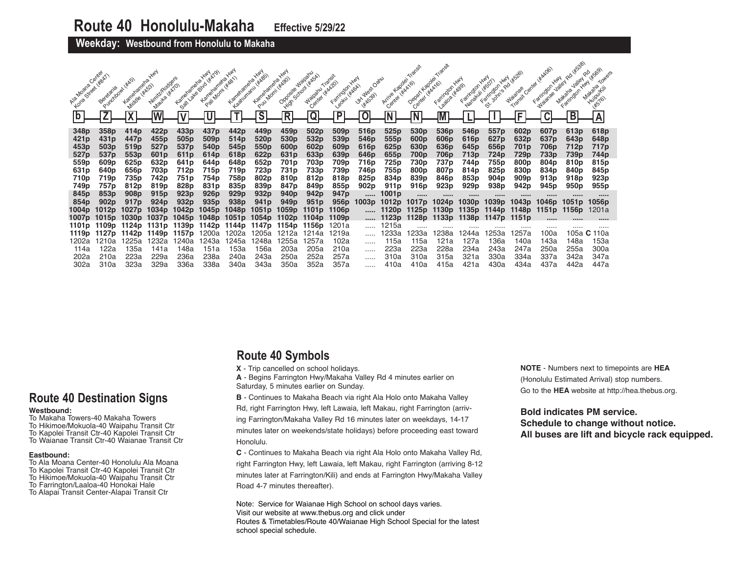## **Weekday: Westbound from Honolulu to Makaha**

| to a displacement of | Beretania        | Karretarieha<br>Middle (#A53) | Niriik/Rodgers<br>Mauka (#A7O) | Karretarieta.<br>Sattleter | Blud ( #A '<br>Karnetamena,<br>Pali Morni | Kameladreha,<br>Kaatumanu L                     | Puu Mom (*kg)<br>Kameramene.<br>$\overline{\mathsf{s}}$ | Opposite Waiparu<br><b>High</b><br>$\overline{\mathsf{R}}$ | Center Liked201<br>Waipamu<br>Q | Farington<br>Legitul ( KAGA)<br>P | J.Kivalest Oatru<br><b>HK5391</b> | Arrive Kapolei<br>Center Wickho) | Depart Kapper<br>Center Wicks                   | Laaloa (#Ago)<br>Farington | Nanakuli (#501)<br>Farington | <b>HAN</b><br>John's Rd<br>Farrington | Transit Center<br><b>Walange</b> | Farington<br>Watanae | Makana<br>Farrington | Makana<br>Huilpulkii<br>145761 |
|----------------------|------------------|-------------------------------|--------------------------------|----------------------------|-------------------------------------------|-------------------------------------------------|---------------------------------------------------------|------------------------------------------------------------|---------------------------------|-----------------------------------|-----------------------------------|----------------------------------|-------------------------------------------------|----------------------------|------------------------------|---------------------------------------|----------------------------------|----------------------|----------------------|--------------------------------|
| 348p                 | 358 <sub>p</sub> | 414p                          | 422p                           | 433 <sub>p</sub>           | 437p                                      | 442p                                            | 449 <sub>p</sub>                                        | 459 <sub>p</sub>                                           | 502p                            | 509p                              | 516 <sub>p</sub>                  | 525 <sub>p</sub>                 | 530 <sub>p</sub>                                | 536 <sub>p</sub>           | 546 <sub>p</sub>             | 557p                                  | 602 <sub>p</sub>                 | 607 <sub>p</sub>     | 613p                 | 618p                           |
| 421 <sub>p</sub>     | 431 <sub>p</sub> | 447 <sub>p</sub>              | 455 <sub>p</sub>               | 505 <sub>p</sub>           | 509p                                      | 514 <sub>p</sub>                                | 520 <sub>p</sub>                                        | 530 <sub>p</sub>                                           | 532 <sub>p</sub>                | 539 <sub>p</sub>                  | 546 <sub>p</sub>                  | 555 <sub>p</sub>                 | 600 <sub>p</sub>                                | 606 <sub>p</sub>           | 616 <sub>p</sub>             | 627 <sub>p</sub>                      | 632p                             | 637 <sub>p</sub>     | 643 <sub>p</sub>     | 648 <sub>p</sub>               |
| 453p                 | 503 <sub>p</sub> | 519 <sub>p</sub>              | 527 <sub>p</sub>               | 537 <sub>p</sub>           | 540 <sub>p</sub>                          | 545 <sub>p</sub>                                | 550 <sub>p</sub>                                        | 600 <sub>p</sub>                                           | 602 <sub>p</sub>                | 609 <sub>p</sub>                  | 616 <sub>p</sub>                  | 625 <sub>p</sub>                 | 630 <sub>p</sub>                                | 636 <sub>p</sub>           | 645 <sub>p</sub>             | 656 <sub>p</sub>                      | 701 <sub>p</sub>                 | 706p                 | 712p                 | 717p                           |
| 527 <sub>p</sub>     | 537 <sub>p</sub> | 553p                          | 601 <sub>p</sub>               | 611 <sub>p</sub>           | 614 <sub>p</sub>                          | 618p                                            | 622 <sub>p</sub>                                        | 631 <sub>p</sub>                                           | 633p                            | 639 <sub>p</sub>                  | 646 <sub>p</sub>                  | 655 <sub>p</sub>                 | 700p                                            | 706 <sub>p</sub>           | 713 <sub>p</sub>             | 724p                                  | 729 <sub>p</sub>                 | 733p                 | 739p                 | 744p                           |
| 559p                 | 609 <sub>p</sub> | 625 <sub>p</sub>              | 632p                           | 641 <sub>p</sub>           | 644p                                      | 648p                                            | 652p                                                    | 701p                                                       | 703p                            | 709 <sub>p</sub>                  | 716p                              | 725p                             | 730p                                            | 737p                       | 744 <sub>p</sub>             | 755p                                  | 800 <sub>p</sub>                 | 804 <sub>p</sub>     | 810 <sub>p</sub>     | 815p                           |
| 631p                 | 640 <sub>p</sub> | 656 <sub>p</sub>              | 703p                           | 712p                       | 715p                                      | 719p                                            | 723p                                                    | 731 <sub>p</sub>                                           | 733p                            | 739p                              | 746p                              | 755p                             | 800 <sub>p</sub>                                | 807p                       | 814p                         | 825p                                  | 830 <sub>p</sub>                 | 834p                 | 840p                 | 845p                           |
| 710p                 | 719p             | 735p                          | 742p                           | 751p                       | 754p                                      | 758p                                            | 802p                                                    | 810 <sub>p</sub>                                           | 812p                            | 818p                              | 825 <sub>p</sub>                  | 834p                             | 839p                                            | 846 <sub>p</sub>           | 853p                         | 904 <sub>p</sub>                      | 909 <sub>p</sub>                 | 913 <sub>p</sub>     | 918 <sub>p</sub>     | 923 <sub>p</sub>               |
| 749p                 | 757p             | 812p                          | 819 <sub>p</sub>               | 828p                       | 831 <sub>p</sub>                          | 835 <sub>p</sub>                                | 839p                                                    | 847 <sub>p</sub>                                           | 849p                            | 855p                              | 902 <sub>p</sub>                  | 911 <sub>p</sub>                 | 916 <sub>p</sub>                                | 923 <sub>p</sub>           | 929 <sub>p</sub>             | 938p                                  | 942p                             | 945p                 | 950 <sub>p</sub>     | 955 <sub>p</sub>               |
| 845p                 | 853 <sub>p</sub> | 908 <sub>p</sub>              | 915 <sub>p</sub>               | 923p                       | 926 <sub>p</sub>                          | 929 <sub>p</sub>                                | 932p                                                    | 940 <sub>p</sub>                                           | 942 <sub>p</sub>                | 947 <sub>p</sub>                  | $\cdots$                          | 1001p                            |                                                 |                            |                              |                                       |                                  |                      |                      |                                |
| 854p                 | 902p             | 917 <sub>p</sub>              | 924 <sub>p</sub>               | 932 <sub>p</sub>           | 935 <sub>p</sub>                          | 938p                                            | 941 <sub>p</sub>                                        | 949 <sub>p</sub>                                           | 951p                            | 956 <sub>p</sub>                  | 1003p                             | 1012 <sub>p</sub>                | 1017 <sub>p</sub>                               | 1024 <sub>p</sub>          | 1030 <sub>p</sub>            | 1039p                                 | 1043p                            | 1046 <sub>p</sub>    | 1051 <sub>p</sub>    | 1056p                          |
|                      | 1004p 1012p      | 1027p                         | 1034p                          |                            |                                           | 1042p 1045p 1048p 1051p                         |                                                         | 1059p                                                      | 1101 <sub>p</sub>               | 1106 <sub>p</sub>                 | $\cdots$                          |                                  | 1120p 1125p 1130p 1135p 1144p 1148p 1151p 1156p |                            |                              |                                       |                                  |                      |                      | 1201a                          |
|                      |                  |                               |                                |                            |                                           | 1007p 1015p 1030p 1037p 1045p 1048p 1051p 1054p |                                                         | 1102p                                                      | 1104 <sub>p</sub>               | 1109 <sub>p</sub>                 | $\cdots$                          |                                  | 1123p 1128p 1133p 1138p 1147p 1151p             |                            |                              |                                       |                                  |                      |                      |                                |
|                      | 1101p 1109p      | 1124p                         | 1131 p                         |                            |                                           | 1139p 1142p 1144p 1147p                         |                                                         | 1154p                                                      | 1156p                           | 1201a                             | .                                 | 1215a                            |                                                 | 1238a                      |                              |                                       | 1257a                            |                      |                      |                                |
| 1119p                | 1127p            | 1142p                         | 1149p                          | 1157p                      | 1200a                                     | 1202a                                           | 1205a                                                   | 1212a                                                      | 1214a                           | 1219a                             |                                   | 1233a                            | 233a                                            |                            | 244a                         | 253a                                  |                                  | 100a                 | 105a                 | C <sub>110a</sub>              |
| 1202a<br>114a        | 1210a<br>122a    | 225a<br>135a                  | 1232a<br>141a                  | 1240a<br>148a              | 1243a                                     | 1245a<br>153a                                   | 1248a<br>156a                                           | 1255a<br>203a                                              | 257a<br>205a                    | 102a<br>210a                      |                                   | 115a<br>223a                     | 115a<br>223a                                    | 121a<br>228a               | 127a<br>234a                 | 136a<br>243a                          | 140a<br>247a                     | 143a<br>250a         | 148a<br>255a         | 153a<br>300a                   |
| 202a                 | 210a             | 223a                          | 229a                           | 236a                       | 151a<br>238a                              | 240a                                            | 243a                                                    | 250a                                                       | 252a                            | 257a                              |                                   | 310a                             | 310a                                            | 315a                       | 321a                         | 330a                                  | 334a                             | 337a                 | 342a                 | 347a                           |
| 302a                 | 310a             | 323a                          | 329a                           | 336a                       | 338a                                      | 340a                                            | 343a                                                    | 350a                                                       | 352a                            | 357a                              | .                                 | 410a                             | 410a                                            |                            | 421a                         | 430a                                  | 434a                             | 437a                 | 442a                 | 447a                           |
|                      |                  |                               |                                |                            |                                           |                                                 |                                                         |                                                            |                                 |                                   |                                   |                                  |                                                 | 415a                       |                              |                                       |                                  |                      |                      |                                |

# **Route 40 Symbols**

**X** - Trip cancelled on school holidays.

**A** - Begins Farrington Hwy/Makaha Valley Rd 4 minutes earlier on Saturday, 5 minutes earlier on Sunday.

**B** - Continues to Makaha Beach via right Ala Holo onto Makaha Valley Rd, right Farrington Hwy, left Lawaia, left Makau, right Farrington (arriving Farrington/Makaha Valley Rd 16 minutes later on weekdays, 14-17

minutes later on weekends/state holidays) before proceeding east toward Honolulu.

**C** - Continues to Makaha Beach via right Ala Holo onto Makaha Valley Rd, right Farrington Hwy, left Lawaia, left Makau, right Farrington (arriving 8-12 minutes later at Farrington/Kili) and ends at Farrington Hwy/Makaha Valley Road 4-7 minutes thereafter).

Note: Service for Waianae High School on school days varies. Visit our website at www.thebus.org and click under Routes & Timetables/Route 40/Waianae High School Special for the latest school special schedule.

**NOTE** - Numbers next to timepoints are **HEA** (Honolulu Estimated Arrival) stop numbers. Go to the **HEA** website at http://hea.thebus.org.

## **Bold indicates PM service. Schedule to change without notice.**

**All buses are lift and bicycle rack equipped.**

# **Route 40 Destination Signs**

## **Westbound:**

- To Makaha Towers-40 Makaha Towers
- To Hikimoe/Mokuola-40 Waipahu Transit Ctr
- To Kapolei Transit Ctr-40 Kapolei Transit Ctr To Waianae Transit Ctr-40 Waianae Transit Ctr
- 

## **Eastbound:**

- To Ala Moana Center-40 Honolulu Ala Moana
- To Kapolei Transit Ctr-40 Kapolei Transit Ctr
- To Hikimoe/Mokuola-40 Waipahu Transit Ctr
- To Farrington/Laaloa-40 Honokai Hale
- To Alapai Transit Center-Alapai Transit Ctr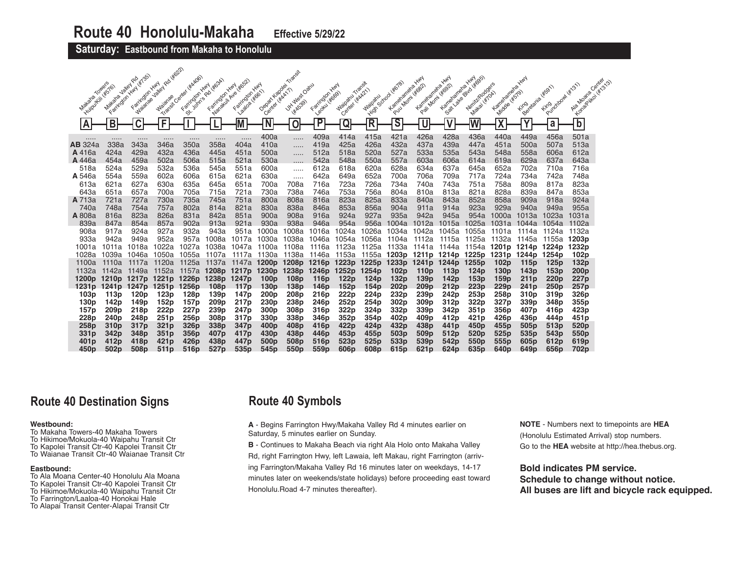**Saturday: Eastbound from Makaha to Honolulu** 

|                          |                    |                                         | <b>1 4/622)</b>   |                          |                       |                          |                                    |                                 |                                      |                   |                               |                         |                                      |                         |                               |                              |                                |                          |                     |        |
|--------------------------|--------------------|-----------------------------------------|-------------------|--------------------------|-----------------------|--------------------------|------------------------------------|---------------------------------|--------------------------------------|-------------------|-------------------------------|-------------------------|--------------------------------------|-------------------------|-------------------------------|------------------------------|--------------------------------|--------------------------|---------------------|--------|
| Maxia Towers             | Matatagua Jaley Ro | Faringson Hwy 14/135)<br>Faritraton Hwy | Valley Rd         | Transit Canter ( Keldos) | I of various califood | Manageli Ave (Hosp)      |                                    |                                 |                                      | Majoatu Transit   |                               |                         | <b>HAN</b>                           | <b>HAN</b>              | Seal you divided              |                              | <b>HAN</b>                     | Purdybowl (xt31)         | Kongoliwal (Kr.313) | Center |
|                          |                    |                                         |                   |                          |                       | Farington Hwy            |                                    |                                 |                                      |                   |                               | Kameramene,             | Kameraneha                           | Kametanene,             |                               |                              |                                |                          | Ala Moana           |        |
|                          | Huiroukin (#576)   | <b>Maianae</b>                          | <b>Waianae</b>    | Farrington Hwy           | Faritington Hwy       | 188108 46611             | Depart Kapolei<br>Center Wicky (1) | J.Y. West Oanu<br><b>HAS391</b> | Farington Hwy<br>Leadul Head         | Center (#AA21)    | <b>High School</b><br>Waipanu | Pull Mom (#882)         | Pail Morni (#90)                     |                         | Nimit/Rodgers<br>Makai (#70A) | Kamerameter<br>Middle (#579) | Berelana (#591)<br><b>Fing</b> |                          |                     |        |
| A                        | $\overline{B}$     | $\overline{\mathsf{C}}$                 | F                 |                          |                       |                          |                                    | $\mathbf 0$                     | $\overline{\mathsf{P}}$              | Q                 | R                             | $\overline{\mathsf{s}}$ | U                                    | $\overline{\mathsf{V}}$ |                               | $\overline{\mathbf{v}}$      | $\mathbf v$                    | a                        | $\overline{b}$      |        |
|                          |                    |                                         |                   |                          |                       |                          |                                    |                                 |                                      |                   |                               |                         |                                      |                         |                               | Λ                            |                                |                          |                     |        |
|                          | .                  |                                         |                   |                          |                       |                          | 400a                               | .                               | 409a                                 | 414a              | 415a                          | 421a                    | 426a                                 | 428a                    | 436a                          | 440a                         | 449a                           | 456a                     | 501a                |        |
| <b>AB</b> 324a<br>A 416a | 338a<br>424a       | 343a<br>429a                            | 346a<br>432a      | 350a<br>436a             | 358a<br>445a          | 404a<br>451a             | 410a<br>500a                       | .                               | 419a<br>512a                         | 425a<br>518a      | 426a<br>520a                  | 432a<br>527a            | 437a<br>533a                         | 439a<br>535a            | 447a<br>543a                  | 451a<br>548a                 | 500a<br>558a                   | 507a<br>606a             | 513a<br>612a        |        |
| A 446a                   | 454a               | 459a                                    | 502a              | 506a                     | 515a                  | 521a                     | 530a                               | .                               | 542a                                 | 548a              | 550a                          | 557a                    | 603a                                 | 606a                    | 614a                          | 619a                         | 629a                           | 637a                     | 643a                |        |
| 518a                     | 524a               | 529a                                    | 532a              | 536a                     | 545a                  | 551a                     | 600a                               |                                 | 612a                                 | 618a              | 620a                          | 628a                    | 634a                                 | 637a                    | 645a                          | 652a                         | 702a                           | 710a                     | 716a                |        |
| A 546a                   | 554a               | 559a                                    | 602a              | 606a                     | 615a                  | 621a                     | 630a                               |                                 | 642a                                 | 649a              | 652a                          | 700a                    | 706a                                 | 709a                    | 717a                          | 724a                         | 734a                           | 742a                     | 748a                |        |
| 613a                     | 621a               | 627a                                    | 630a              | 635a                     | 645a                  | 651a                     | 700a                               | 708a                            | 716a                                 | 723a              | 726a                          | 734a                    | 740a                                 | 743a                    | 751a                          | 758a                         | 809a                           | 817a                     | 823a                |        |
| 643a                     | 651a               | 657a                                    | 700a              | 705a                     | 715a                  | 721a                     | 730a                               | 738a                            | 746a                                 | 753a              | 756a                          | 804a                    | 810a                                 | 813a                    | 821a                          | 828a                         | 839a                           | 847a                     | 853a                |        |
| A 713a                   | 721a               | 727a                                    | 730a              | 735a                     | 745a                  | 751a                     | 800a                               | 808a                            | 816a                                 | 823a              | 825a                          | 833a                    | 840a                                 | 843a                    | 852a                          | 858a                         | 909a                           | 918a                     | 924a                |        |
| 740a                     | 748a               | 754a                                    | 757a              | 802a                     | 814a                  | 821a                     | 830a                               | 838a                            | 846a                                 | 853a              | 856a                          | 904a                    | 911a                                 | 914a                    | 923a                          | 929a                         | 940a                           | 949a                     | 955a                |        |
| A 808a                   | 816a               | 823a                                    | 826a              | 831a                     | 842a                  | 851a                     | 900a                               | 908a                            | 916a                                 | 924a              | 927a                          | 935a                    | 942a                                 | 945a                    | 954a                          | 1000a                        | 1013a                          | 1023a                    | 1031a               |        |
| 839a<br>908a             | 847a<br>917a       | 854a<br>924a                            | 857a<br>927a      | 902a<br>932a             | 913a<br>943a          | 921a<br>951a             | 930a<br>1000a                      | 938a<br>1008a                   | 946a<br>1016a                        | 954a<br>1024a     | 956a<br>1026a                 | 1004a<br>1034a          | 1012a<br>1042a                       | 1015a<br>1045a          | 1025a<br>1055a                | 1031a<br>1101a               | 1044a<br>1114a                 | 1054a<br>1124a           | 1102a<br>1132a      |        |
| 933a                     | 942a               | 949a                                    | 952a              | 957a                     | 1008a                 | 1017a                    | 030a                               | 1038a                           | 1046a                                | 1054a             | 1056a                         | 1104a                   | 1112a                                | 1115a                   | 1125a                         | 1132a                        | 1145a                          | 1155a                    | 1203 <sub>p</sub>   |        |
| 1001a                    | 1011a              | 1018a                                   | 1022a             | 1027a                    | 1038a                 | 1047a                    | 1100a                              | 1108a                           | 1116a                                | 1123a             | 1125a                         | 1133a                   | 1141a                                | 1144a                   | 1154a                         | 1201 <sub>p</sub>            | 1214p                          | 1224p                    | 1232p               |        |
| 1028a                    | 1039a              | 046a                                    | 1050a             | 1055a                    | 1107a                 | 1117a                    | 1130a                              | 1138a                           | 1146a                                | 1153a             | 1155a                         | 1203 <sub>p</sub>       | 1211 <sub>p</sub>                    | 1214p                   | 1225p                         | 1231 <sub>p</sub>            | 1244p                          | 1254 <sub>p</sub>        | 102p                |        |
| 1100a                    | 1110a              | 1117a                                   | 1120a             | 1125a                    | 1137a                 | 1147a                    | 1200 <sub>p</sub>                  | 1208p                           | 1216 <sub>p</sub>                    | 1223 <sub>p</sub> | 1225 <sub>p</sub>             | 1233p                   | 1241 <sub>p</sub>                    | 1244p                   | 1255p                         | 102p                         | 115 <sub>p</sub>               | 125p                     | 132p                |        |
| 1132a                    | 1142a              | 1149a                                   | 1152a             | 1157a                    | 1208p                 | 1217 <sub>p</sub>        | 1230 <sub>p</sub>                  | 1238 <sub>p</sub>               | 1246 <sub>p</sub>                    | 1252p             | 1254p                         | 102 <sub>p</sub>        | 110 <sub>p</sub>                     | 113p                    | 124p                          | 130 <sub>p</sub>             | 143p                           | 153p                     | 200 <sub>p</sub>    |        |
| 1200 <sub>p</sub>        | 1210 <sub>p</sub>  | 1217 <sub>p</sub>                       | 1221 <sub>p</sub> | 1226 <sub>p</sub>        | 1238 <sub>p</sub>     | 1247 <sub>p</sub>        | 100p                               | 108 <sub>p</sub>                | 116 <sub>p</sub>                     | 122 <sub>p</sub>  | 124p                          | 132p                    | 139 <sub>p</sub>                     | 142p                    | 153p                          | 159p                         | 211 <sub>p</sub>               | 220 <sub>p</sub>         | 227p                |        |
| 1231 <sub>p</sub>        | 1241 <sub>p</sub>  | 1247p 1251p                             |                   | 1256p                    | 108p                  | 117 <sub>p</sub>         | 130p                               | 138p                            | 146 <sub>p</sub>                     | 152p              | 154 <sub>p</sub>              | 202 <sub>p</sub>        | 209 <sub>p</sub>                     | 212p                    | 223p                          | 229p                         | 241 <sub>p</sub>               | 250p                     | 257p                |        |
| 103p<br>130 <sub>p</sub> | 113p<br>142p       | 120 <sub>p</sub><br>149p                | 123p<br>152p      | 128p<br>157p             | 139p<br>209p          | 147p<br>217 <sub>p</sub> | 200p<br>230 <sub>p</sub>           | 208p<br>238p                    | 216 <sub>p</sub><br>246 <sub>p</sub> | 222p<br>252p      | 224p<br>254p                  | 232p<br>302p            | 239 <sub>p</sub><br>309 <sub>p</sub> | 242p<br>312p            | 253p<br>322p                  | 258p<br>327p                 | 310 <sub>p</sub><br>339p       | 319 <sub>p</sub><br>348p | 326p<br>355p        |        |
| 157p                     | 209 <sub>p</sub>   | 218p                                    | 222p              | 227 <sub>p</sub>         | 239p                  | 247 <sub>p</sub>         | 300p                               | 308p                            | 316p                                 | 322p              | 324p                          | 332p                    | 339p                                 | 342p                    | 351p                          | 356p                         | 407 <sub>p</sub>               | 416p                     | 423p                |        |
| 228p                     | 240p               | 248p                                    | 251p              | 256 <sub>p</sub>         | 308p                  | 317p                     | 330 <sub>p</sub>                   | 338p                            | 346p                                 | 352p              | 354p                          | 402p                    | 409 <sub>p</sub>                     | 412p                    | 421p                          | 426p                         | 436p                           | 444p                     | 451p                |        |
| 258p                     | 310 <sub>p</sub>   | 317 <sub>p</sub>                        | 321p              | 326 <sub>p</sub>         | 338p                  | 347 <sub>p</sub>         | 400 <sub>p</sub>                   | 408p                            | 416 <sub>p</sub>                     | 422p              | 424p                          | 432p                    | 438p                                 | 441 <sub>p</sub>        | 450 <sub>p</sub>              | 455p                         | 505 <sub>p</sub>               | 513 <sub>p</sub>         | 520 <sub>p</sub>    |        |
| 331p                     | 342p               | 348p                                    | 351p              | 356 <sub>p</sub>         | 407p                  | 417p                     | 430 <sub>p</sub>                   | 438p                            | 446 <sub>p</sub>                     | 453p              | 455p                          | 503p                    | 509 <sub>p</sub>                     | 512p                    | 520p                          | 525p                         | 535 <sub>p</sub>               | 543 <sub>p</sub>         | 550p                |        |
| 401 <sub>p</sub>         | 412p               | 418p                                    | 421 <sub>p</sub>  | 426 <sub>p</sub>         | 438p                  | 447p                     | 500 <sub>p</sub>                   | 508p                            | 516 <sub>p</sub>                     | 523p              | 525 <sub>p</sub>              | 533p                    | 539 <sub>p</sub>                     | 542p                    | 550p                          | 555p                         | 605 <sub>p</sub>               | 612p                     | 619p                |        |
| 450 <sub>p</sub>         | 502 <sub>p</sub>   | 508p                                    | 511 <sub>p</sub>  | 516 <sub>p</sub>         | 527 <sub>p</sub>      | 535 <sub>p</sub>         | 545 <sub>p</sub>                   | 550 <sub>p</sub>                | 559 <sub>p</sub>                     | 606 <sub>p</sub>  | 608 <sub>p</sub>              | 615 <sub>p</sub>        | 621 <sub>p</sub>                     | 624 <sub>p</sub>        | 635 <sub>p</sub>              | 640 <sub>p</sub>             | 649 <sub>p</sub>               | 656 <sub>p</sub>         | 702p                |        |

## **Route 40 Destination Signs**

## **Westbound:**

To Makaha Towers-40 Makaha Towers To Hikimoe/Mokuola-40 Waipahu Transit Ctr To Kapolei Transit Ctr-40 Kapolei Transit Ctr To Waianae Transit Ctr-40 Waianae Transit Ctr

## **Eastbound:**

- To Ala Moana Center-40 Honolulu Ala Moana
- To Kapolei Transit Ctr-40 Kapolei Transit Ctr
- To Hikimoe/Mokuola-40 Waipahu Transit Ctr To Farrington/Laaloa-40 Honokai Hale
- To Alapai Transit Center-Alapai Transit Ctr

# **Route 40 Symbols**

**A** - Begins Farrington Hwy/Makaha Valley Rd 4 minutes earlier on Saturday, 5 minutes earlier on Sunday.

**B** - Continues to Makaha Beach via right Ala Holo onto Makaha Valley Rd, right Farrington Hwy, left Lawaia, left Makau, right Farrington (arriving Farrington/Makaha Valley Rd 16 minutes later on weekdays, 14-17 minutes later on weekends/state holidays) before proceeding east toward Honolulu.Road 4-7 minutes thereafter).

**NOTE** - Numbers next to timepoints are **HEA** (Honolulu Estimated Arrival) stop numbers. Go to the **HEA** website at http://hea.thebus.org.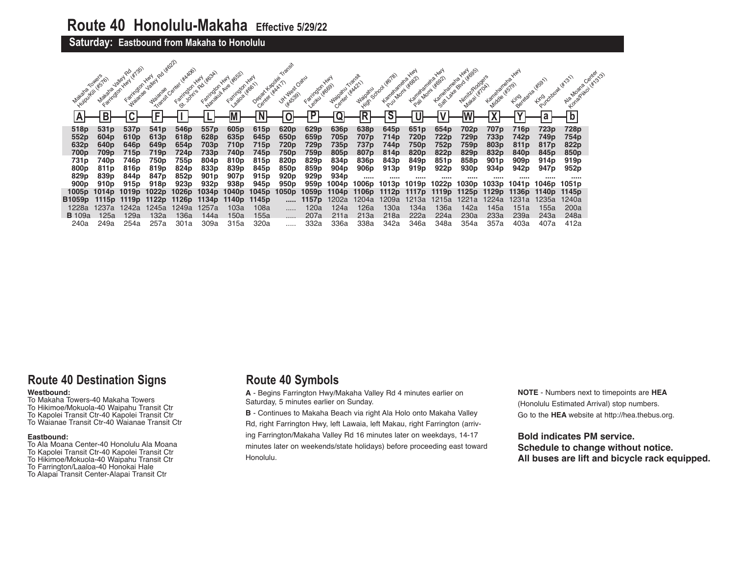## **Saturday: Eastbound from Makaha to Honolulu**

| Makana           | Towers<br>Huiroukill (#576)<br>Farrington Hwy<br><b>Makana</b> | Farrington Hwy<br><b>ValleY</b><br><b>Malange</b> | <b>Jailey</b><br><b>Waianae</b> | Transit Canter (*MADO) | Faringan Hwy (4634)<br>Farmoun Hwy<br>Narakuli Ave (463) | 1.8202 416611<br>Farrington | <b>HAN</b><br>Depart Kapolei<br>Center ( KAA17) | Jit ylest Oatu<br><b>HAS391</b> | Farrington<br>Leoku (#669) | <b>HAN</b><br>Center y Ka21)<br>Waipanu | Waipamu           | High School World<br>Kartedastere (1862)<br>Puu Momi | <b>HAN</b><br>Kameramene | Kamenamena.<br>Pail Momi (stock)<br>Satt | 1805)<br><b>HAY</b><br>Winix/Rodge's<br>w Lake Blvd L<br>Matai | <b>Landberg Keys</b> | King danie litson | England Hitland   | <b>00M/31-</b><br>Ala Moana<br>Konapilitoi |  |
|------------------|----------------------------------------------------------------|---------------------------------------------------|---------------------------------|------------------------|----------------------------------------------------------|-----------------------------|-------------------------------------------------|---------------------------------|----------------------------|-----------------------------------------|-------------------|------------------------------------------------------|--------------------------|------------------------------------------|----------------------------------------------------------------|----------------------|-------------------|-------------------|--------------------------------------------|--|
| Α                |                                                                |                                                   |                                 |                        |                                                          |                             |                                                 |                                 | P                          |                                         | Ŕ                 | $\mathbf{C}$                                         |                          |                                          |                                                                |                      |                   |                   | $\overline{b}$                             |  |
| 518p             | 531 <sub>p</sub>                                               | 537p                                              | 541 <sub>p</sub>                | 546 <sub>p</sub>       | 557p                                                     | 605p                        | 615p                                            | 620p                            | 629p                       | 636p                                    | 638p              | 645 <sub>p</sub>                                     | 651p                     | 654p                                     | 702p                                                           | 707p                 | 716p              | 723p              | 728p                                       |  |
| 552p             | 604 <sub>p</sub>                                               | 610 <sub>p</sub>                                  | 613 <sub>p</sub>                | 618 <sub>p</sub>       | 628p                                                     | 635 <sub>p</sub>            | 645 <sub>p</sub>                                | 650 <sub>p</sub>                | 659p                       | 705p                                    | 707p              | 714 <sub>p</sub>                                     | 720p                     | 722p                                     | 729 <sub>p</sub>                                               | 733p                 | 742p              | 749p              | 754p                                       |  |
| 632p             | 640 <sub>p</sub>                                               | 646 <sub>p</sub>                                  | 649 <sub>p</sub>                | 654 <sub>p</sub>       | 703p                                                     | 710p                        | 715p                                            | 720p                            | 729p                       | 735p                                    | 737p              | 744p                                                 | 750p                     | 752p                                     | 759p                                                           | 803 <sub>p</sub>     | 811 <sub>p</sub>  | 817 <sub>p</sub>  | 822p                                       |  |
| 700p             | 709p                                                           | 715p                                              | 719p                            | 724p                   | 733p                                                     | 740p                        | 745p                                            | 750p                            | 759p                       | 805 <sub>p</sub>                        | 807p              | 814 <sub>p</sub>                                     | 820p                     | 822p                                     | 829p                                                           | 832p                 | 840 <sub>p</sub>  | 845 <sub>p</sub>  | 850 <sub>p</sub>                           |  |
| 731p             | 740p                                                           | 746p                                              | 750p                            | 755p                   | 804 <sub>p</sub>                                         | 810 <sub>p</sub>            | 815 <sub>p</sub>                                | 820p                            | 829p                       | 834p                                    | 836p              | 843 <sub>p</sub>                                     | 849 <sub>p</sub>         | 851p                                     | 858p                                                           | 901 <sub>p</sub>     | 909p              | 914 <sub>p</sub>  | 919 <sub>p</sub>                           |  |
| 800 <sub>p</sub> | 811p                                                           | 816 <sub>p</sub>                                  | 819 <sub>p</sub>                | 824p                   | 833p                                                     | 839p                        | 845p                                            | 850 <sub>p</sub>                | 859p                       | 904 <sub>p</sub>                        | 906 <sub>p</sub>  | 913p                                                 | 919 <sub>p</sub>         | 922p                                     | 930 <sub>p</sub>                                               | 934 <sub>p</sub>     | 942p              | 947 <sub>p</sub>  | 952 <sub>p</sub>                           |  |
| 829p             | 839 <sub>p</sub>                                               | 844p                                              | 847 <sub>p</sub>                | 852p                   | 901 <sub>p</sub>                                         | 907 <sub>p</sub>            | 915 <sub>p</sub>                                | 920 <sub>p</sub>                | 929 <sub>p</sub>           | 934 <sub>p</sub>                        |                   |                                                      |                          |                                          |                                                                |                      |                   |                   |                                            |  |
| 900 <sub>p</sub> | 910 <sub>p</sub>                                               | 915 <sub>p</sub>                                  | 918 <sub>p</sub>                | 923 <sub>p</sub>       | 932 <sub>p</sub>                                         | 938p                        | 945 <sub>p</sub>                                | 950 <sub>p</sub>                | 959p                       | 1004p                                   | 1006p             | 1013p                                                | 1019p                    | 1022p                                    | 1030p                                                          | 1033p                | 1041p             | 1046p             | 1051 <sub>p</sub>                          |  |
| 1005p            | 1014p                                                          | 1019p                                             | 1022 <sub>p</sub>               | 1026 <sub>p</sub>      | 1034p                                                    | 1040p                       | 1045 <sub>p</sub>                               | 1050p                           | 1059 <sub>p</sub>          | 1104p                                   | 1106 <sub>p</sub> | 1112p                                                | 1117 <sub>p</sub>        | 1119 <sub>p</sub>                        | 1125p                                                          | 1129p                | 1136p             | 1140 <sub>p</sub> | 1145 <sub>p</sub>                          |  |
| B1059p           | 1115p                                                          | 1119p                                             |                                 | 1126 <sub>p</sub>      | 1134p                                                    | 1140 <sub>p</sub>           | 1145 <sub>p</sub>                               | $\cdots$                        | 1157 <sub>p</sub>          | 1202a                                   | 1204a             | 1209a                                                | 1213a                    | 1215a                                    | 1221a                                                          | 1224a                | 1231a             | 1235a             | 1240a                                      |  |
| 1228a            | 1237a                                                          | 1242a                                             | 1245a                           | 1249a                  | 1257a                                                    | 103a                        | 108a                                            | .                               | 120a                       | 124a                                    | 126a              | 130a                                                 | 134a                     | 136a                                     | 142a                                                           | 145a                 | 151a              | 155a              | 200a                                       |  |
| <b>B</b> 109a    | 125a                                                           | 129a                                              | 132a                            | 136a                   | 144a                                                     | 150a                        | 155a                                            | .                               | 207a                       | 211a                                    | 213a              | 218a                                                 | 222a                     | 224a                                     | 230a                                                           | 233a                 | 239a              | 243a              | 248a                                       |  |
| 240a             | 249a                                                           | 254a                                              | 257a                            | 301a                   | 309a                                                     | 315a                        | 320a                                            |                                 | 332a                       | 336a                                    | 338a              | 342a                                                 | 346a                     | 348a                                     | 354a                                                           | 357a                 | 403a              | 407a              | 412a                                       |  |

# **Route 40 Destination Signs**

#### **Westbound:**

- To Makaha Towers-40 Makaha Towers
- To Hikimoe/Mokuola-40 Waipahu Transit Ctr
- To Kapolei Transit Ctr-40 Kapolei Transit Ctr
- To Waianae Transit Ctr-40 Waianae Transit Ctr

## **Eastbound:**

- To Ala Moana Center-40 Honolulu Ala Moana
- To Kapolei Transit Ctr-40 Kapolei Transit Ctr
- To Hikimoe/Mokuola-40 Waipahu Transit Ctr
- To Farrington/Laaloa-40 Honokai Hale
- To Alapai Transit Center-Alapai Transit Ctr

# **Route 40 Symbols**

**A** - Begins Farrington Hwy/Makaha Valley Rd 4 minutes earlier on Saturday, 5 minutes earlier on Sunday.

**B** - Continues to Makaha Beach via right Ala Holo onto Makaha Valley

Rd, right Farrington Hwy, left Lawaia, left Makau, right Farrington (arriving Farrington/Makaha Valley Rd 16 minutes later on weekdays, 14-17 minutes later on weekends/state holidays) before proceeding east toward Honolulu.

**NOTE** - Numbers next to timepoints are **HEA** (Honolulu Estimated Arrival) stop numbers. Go to the **HEA** website at http://hea.thebus.org.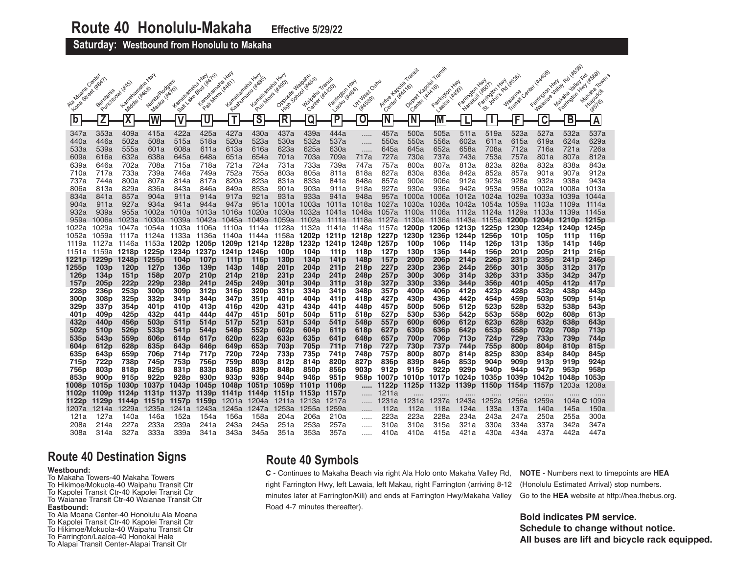## **Saturday: Westbound from Honolulu to Makaha**

|                          |                                        |                                         | <b>HAN</b>                                     |                                      |                                                     |                                      |                                                         | <b>HAN</b>                             |                                         |                                                  |                              |                          |                                      |                                      |                                                              | <b>HAN</b><br><b>HAN</b>             |                           |                                                        | <b>180 445381</b>                                         | Towers                   |
|--------------------------|----------------------------------------|-----------------------------------------|------------------------------------------------|--------------------------------------|-----------------------------------------------------|--------------------------------------|---------------------------------------------------------|----------------------------------------|-----------------------------------------|--------------------------------------------------|------------------------------|--------------------------|--------------------------------------|--------------------------------------|--------------------------------------------------------------|--------------------------------------|---------------------------|--------------------------------------------------------|-----------------------------------------------------------|--------------------------|
| Alamosto Center          | Purchabash (#AS)<br>Berefania          | Kametanenexy                            | Winite Rodgers<br><b>HAGST</b><br>Mayka (KATO) | Kameraneha                           | Kamelaneka-kurd<br>Blvd (#x79)<br>Pail Morni (#A81) | Kametaneha Y                         | Leadwingou (stags)<br>Pour Mont (#2001)<br>Kamenaneha Y | Opposite Makamu                        | <b>Somoon ( WASA)</b><br><b>Waipamu</b> | Transit<br>Likadon<br>Leoku (#40ch)<br>Farington | Jit. West Oaku<br><b>HAY</b> | Arrive Kapolei           | Depart Kapolei<br>- UKAA161          | Likation<br>Farington                | <b>HAN</b><br>Nenakuli (#SOT)<br>Farrington Y<br><b>HADD</b> | St. Join's Rd<br>Farington           | Waianae                   | · Center Hickory<br><b>HAY</b><br>Farington<br>Waianae | <b>Jailey</b><br>Farington Hwy<br><b>Jailey</b><br>Makana |                          |
| <b>Kone</b>              |                                        | Middle                                  |                                                | Sattlate                             |                                                     |                                      |                                                         | <b>High</b>                            | Center                                  |                                                  | <b>HAK5391</b>               | Center                   | Center                               | Laatoa                               |                                                              |                                      | Transit                   |                                                        |                                                           |                          |
| b                        | Z                                      | $\overline{\textsf{X}}$                 | $\overline{\mathsf{W}}$                        | V                                    | U                                                   | T                                    | $\overline{\mathsf{s}}$                                 | $\overline{\mathsf{R}}$                | $\overline{\mathtt{Q}}$                 | P                                                | 0                            | N                        | N                                    | M                                    |                                                              |                                      | F                         | C                                                      | B                                                         | $\overline{A}$           |
| 347a<br>440a             | 353a<br>446a                           | 409a<br>502a                            | 415a<br>508a                                   | 422a<br>515a                         | 425a<br>518a                                        | 427a<br>520a                         | 430a<br>523a                                            | 437a<br>530a                           | 439a<br>532a                            | 444a<br>537a                                     | .                            | 457a<br>550a             | 500a<br>550a                         | 505a<br>556a                         | 511a<br>602a                                                 | 519a<br>611a                         | 523a<br>615a              | 527a<br>619a                                           | 532a<br>624a                                              | 537a<br>629a             |
| 533a                     | 539a                                   | 555a                                    | 601a                                           | 608a                                 | 611a                                                | 613a                                 | 616a                                                    | 623a                                   | 625a                                    | 630a                                             | .                            | 645a                     | 645a                                 | 652a                                 | 658a                                                         | 708a                                 | 712a                      | 716a                                                   | 721a                                                      | 726a                     |
| 609a<br>639a             | 616a<br>646a                           | 632a<br>702a                            | 638a<br>708a                                   | 645a<br>715a                         | 648a<br>718a                                        | 651a<br>721a                         | 654a<br>724a                                            | 701a<br>731a                           | 703a<br>733a                            | 709a<br>739a                                     | 717a<br>747a                 | 727a<br>757a             | 730a<br>800a                         | 737a<br>807a                         | 743a<br>813a                                                 | 753a<br>823a                         | 757a<br>828a              | 801a<br>832a                                           | 807a<br>838a                                              | 812a<br>843a             |
| 710a                     | 717a                                   | 733a                                    | 739a                                           | 746a                                 | 749a                                                | 752a                                 | 755a                                                    | 803a                                   | 805a                                    | 811a                                             | 818a                         | 827a                     | 830a                                 | 836a                                 | 842a                                                         | 852a                                 | 857a                      | 901a                                                   | 907a                                                      | 912a                     |
| 737a<br>806a             | 744a<br>813a                           | 800a<br>829a                            | 807a<br>836a                                   | 814a<br>843a                         | 817a<br>846a                                        | 820a<br>849a                         | 823a<br>853a                                            | 831a<br>901a                           | 833a<br>903a                            | 841a<br>911a                                     | 848a<br>918a                 | 857a<br>927a             | 900a<br>930a                         | 906a<br>936a                         | 912a<br>942a                                                 | 923a<br>953a                         | 928a<br>958a              | 932a<br>1002a                                          | 938a<br>1008a                                             | 943a<br>1013a            |
| 834a                     | 841a                                   | 857a                                    | 904a                                           | 911a                                 | 914a                                                | 917a                                 | 921a                                                    | 931a                                   | 933a                                    | 941a                                             | 948a                         | 957a                     | 1000a                                | 1006a                                | 1012a                                                        | 1024a                                | 1029a                     | 1033a                                                  | 1039a                                                     | 1044a                    |
| 904a<br>932a             | 911a<br>939a                           | 927a<br>955a                            | 934a<br>1002a                                  | 941a<br>1010a                        | 944a<br>1013a                                       | 947a<br>1016a                        | 951a<br>1020a                                           | 1001a<br>1030a                         | 1003a<br>1032a                          | 1011a<br>1041a                                   | 1018a<br>1048a               | 1027a<br>1057a           | 1030a<br>1100a                       | 1036a<br>1106a                       | 1042a<br>1112a                                               | 1054a<br>1124a                       | 1059a<br>1129a            | 1103a<br>1133a                                         | 1109a<br>1139a                                            | 1114a<br>1145a           |
| 959a                     | 1006a                                  | 1023a                                   | 1030a                                          | 1039a                                | 1042a                                               | 1045a                                |                                                         | 1049a 1059a                            | 1102a                                   | 1111a                                            | 1118a                        |                          | 1127a 1130a                          | 1136a                                | 1143a                                                        | 1155a                                | 1200 <sub>p</sub>         | 1204p 1210p                                            |                                                           | 1215p                    |
| 1022a<br>1052a           | 1029a<br>1059a                         | 1047a<br>1117a 1124a                    | 1054a                                          | 1103a<br>1133a                       | 1106a<br>1136a                                      | 1110a<br>1140a                       | 1114a<br>1144a                                          | 1128a<br>1158a                         | 1132a<br>1202p                          | 1141a<br>1211p 1218p 1227p                       | 1148a                        |                          | 1157a <b>1200p 1206p</b><br>1230p    | 1236p                                | 1213p<br>1244p                                               | 1225p<br>1256p                       | 1230 <sub>p</sub><br>101p | 1234p<br>105 <sub>p</sub>                              | 1240p<br>111p                                             | 1245p<br>116p            |
| 1119a                    | 1127a                                  | 1146a                                   | 1153a                                          | 1202p                                |                                                     | 1205p 1209p 1214p 1228p              |                                                         |                                        |                                         | 1232p 1241p 1248p 1257p                          |                              |                          | 100 <sub>p</sub>                     | 106 <sub>p</sub>                     | 114 <sub>p</sub>                                             | 126 <sub>p</sub>                     | 131 <sub>p</sub>          | 135p                                                   | 141p                                                      | 146p                     |
| 1151a<br>1221p           | 1229 <sub>p</sub>                      | 1159a <b>1218p 1225p 1234p</b><br>1248p | 1255p                                          | 104 <sub>p</sub>                     | 1237p<br>107 <sub>p</sub>                           | 1241p 1246p<br>111 <sub>p</sub>      | 116 <sub>p</sub>                                        | 100 <sub>p</sub><br>130 <sub>p</sub>   | 104p<br>134 <sub>p</sub>                | 111p<br>141 <sub>p</sub>                         | 118p<br>148p                 | 127 <sub>p</sub><br>157p | 130p<br>200 <sub>p</sub>             | 136 <sub>p</sub><br>206 <sub>p</sub> | 144p<br>214 <sub>p</sub>                                     | 156p<br>226p                         | 201 p<br>231 p            | 205p<br>235 <sub>p</sub>                               | 211p<br>241 p                                             | 216p<br>246p             |
| 1255p                    | 103p                                   | 120 <sub>p</sub>                        | 127 <sub>p</sub>                               | 136 <sub>p</sub>                     | 139 <sub>p</sub>                                    | 143p                                 | 148p                                                    | 201 <sub>p</sub>                       | 204 <sub>p</sub>                        | 211 <sub>p</sub>                                 | 218p                         | 227p                     | 230 <sub>p</sub>                     | 236 <sub>p</sub>                     | 244p                                                         | 256p                                 | 301 <sub>p</sub>          | 305 <sub>p</sub>                                       | 312p                                                      | 317p                     |
| 126p<br>157p             | 134p<br>205 <sub>p</sub>               | 151p<br>222p                            | 158p<br>229 <sub>p</sub>                       | 207 <sub>p</sub><br>238 <sub>p</sub> | 210 <sub>p</sub><br>241 <sub>p</sub>                | 214 <sub>p</sub><br>245 <sub>p</sub> | 218p<br>249 <sub>p</sub>                                | 231 <sub>p</sub><br>301 <sub>p</sub>   | 234p<br>304 <sub>p</sub>                | 241 p<br>311 <sub>p</sub>                        | 248p<br>318p                 | 257p<br>327p             | 300 <sub>p</sub><br>330 <sub>p</sub> | 306p<br>336 <sub>p</sub>             | 314p<br>344p                                                 | 326p<br>356 <sub>p</sub>             | 331 p<br>401 p            | 335p<br>405 <sub>p</sub>                               | 342p<br>412p                                              | 347p<br>417 <sub>p</sub> |
| 228p<br>300 <sub>p</sub> | 236 <sub>p</sub><br>308p               | 253p<br>325p                            | 300 <sub>p</sub><br>332p                       | 309 <sub>p</sub><br>341 <sub>p</sub> | 312p                                                | 316p<br>347 <sub>p</sub>             | 320 <sub>p</sub><br>351p                                | 331p<br>401 <sub>p</sub>               | 334p                                    | 341 <sub>p</sub><br>411 <sub>p</sub>             | 348p                         | 357p                     | 400p<br>430 <sub>p</sub>             | 406p<br>436 <sub>p</sub>             | 412p<br>442p                                                 | 423p<br>454p                         | 428p<br>459 <sub>p</sub>  | 432p<br>503 <sub>p</sub>                               | 438p<br>509 <sub>p</sub>                                  | 443p<br>514p             |
| 329p                     | 337p                                   | 354p                                    | 401 p                                          | 410p                                 | 344p<br>413p                                        | 416p                                 | 420p                                                    | 431 p                                  | 404p<br>434p                            | 441 p                                            | 418p<br>448p                 | 427p<br>457p             | 500 <sub>p</sub>                     | 506p                                 | 512p                                                         | 523p                                 | 528p                      | 532p                                                   | 538p                                                      | 543p                     |
| 401 p<br>432p            | 409p<br>440p                           | 425p<br>456p                            | 432p<br>503p                                   | 441 p<br>511 <sub>p</sub>            | 444p<br>514 <sub>p</sub>                            | 447 <sub>p</sub><br>517p             | 451 p<br>521 <sub>p</sub>                               | 501 p<br>531p                          | 504p<br>534p                            | 511p<br>541 <sub>p</sub>                         | 518p<br>548p                 | 527p<br>557p             | 530 <sub>p</sub><br>600 <sub>p</sub> | 536p<br>606p                         | 542p<br>612p                                                 | 553p<br>623p                         | 558p<br>628p              | 602 <sub>p</sub><br>632p                               | 608p<br>638p                                              | 613p<br>643p             |
| 502p                     | 510p                                   | 526p                                    | 533p                                           | 541 <sub>p</sub>                     | 544 <sub>p</sub>                                    | 548p                                 | 552p                                                    | 602p                                   | 604 <sub>p</sub>                        | 611p                                             | 618p                         | 627p                     | 630 <sub>p</sub>                     | 636p                                 | 642p                                                         | 653p                                 | 658p                      | 702p                                                   | 708p                                                      | 713p                     |
| 535p<br>604 <sub>p</sub> | 543p<br>612p                           | 559p<br>628p                            | 606p<br>635 <sub>p</sub>                       | 614 <sub>p</sub><br>643 <sub>p</sub> | 617 <sub>p</sub><br>646 <sub>p</sub>                | 620 <sub>p</sub><br>649p             | 623p<br>653p                                            | 633p<br>703p                           | 635 <sub>p</sub><br>705p                | 641 <sub>p</sub><br>711p                         | 648p<br>718p                 | 657p<br>727p             | 700p<br>730p                         | 706p<br>737p                         | 713p<br>744p                                                 | 724p<br>755p                         | 729p<br>800p              | 733p<br>804p                                           | 739p<br>810p                                              | 744p<br>815p             |
| 635 <sub>p</sub>         | 643p                                   | 659p                                    | 706 <sub>p</sub>                               | 714p                                 | 717p                                                | 720 <sub>p</sub>                     | 724p                                                    | 733p                                   | 735p                                    | 741 <sub>p</sub>                                 | 748p                         | 757p                     | 800 <sub>p</sub>                     | 807p                                 | 814p                                                         | 825 <sub>p</sub>                     | 830 <sub>p</sub>          | 834p                                                   | 840p                                                      | 845p                     |
| 715p<br>756p             | 722p<br>803p                           | 738p<br>818p                            | 745p<br>825p                                   | 753p<br>831p                         | 756p<br>833p                                        | 759p<br>836p                         | 803p<br>839p                                            | 812p<br>848p                           | 814p<br>850p                            | 820p<br>856p                                     | 827p<br>903 <sub>p</sub>     | 836p<br>912p             | 839p<br>915 <sub>p</sub>             | 846 <sub>p</sub><br>922p             | 853 <sub>p</sub><br>929 <sub>p</sub>                         | 904 <sub>b</sub><br>940 <sub>p</sub> | 909 p<br>944p             | 913p<br>947 <sub>p</sub>                               | 919p<br>953p                                              | 924p<br>958p             |
| 853p                     | 900p                                   | 915 <sub>p</sub>                        | 922 <sub>p</sub>                               | 928 <sub>p</sub>                     | 930 <sub>p</sub>                                    | 933 <sub>p</sub>                     | 936 <sub>p</sub>                                        | 944 <sub>p</sub>                       | 946p                                    | 951 <sub>p</sub>                                 | 958p                         | 1007p                    | 1010p                                | 1017p                                | 1024p                                                        | 1035p                                | 1039p                     | 1042p                                                  | 1048p                                                     | 1053p                    |
| 1008p<br>1102p           | 1015 <sub>p</sub><br>1109 <sub>p</sub> | 1030 <sub>p</sub><br>1124 p             | 1037 <sub>p</sub><br>1131 <sub>p</sub>         | 1043 <sub>p</sub><br>1137p           | 1045 <sub>p</sub><br>1139p                          | 1048p<br>1141 <sub>p</sub>           | 1051p<br>1144p                                          | 1059 <sub>p</sub><br>1151 <sub>p</sub> | 1101 <sub>p</sub><br>1153p              | 1106 <sub>p</sub><br>1157p                       | <br>.                        | 1122p<br>1211a           | 1125p                                | 1132p                                | 1139p                                                        | 1150 <sub>p</sub>                    | 1154 <sub>p</sub>         | 1157p                                                  | 1203a                                                     | 1208a                    |
| 1122p                    | 1129 <sub>p</sub>                      | 1144p                                   | 1151 <sub>p</sub>                              | 1157p                                |                                                     | <b>1159p</b> 1201a 1204a             |                                                         | 1211a                                  | 1213a                                   | 1217a                                            |                              | 1231a                    | 1231a                                | 1237a                                | 1243a                                                        | 1252a                                | 1256a                     | 1259a                                                  | 104a                                                      | $C$ 109a                 |
| 1207a<br>121a            | 1214a<br>127a                          | 1229a<br>140a                           | 1235a<br>146a                                  | 1241a<br>152a                        | 1243a<br>154a                                       | 1245a<br>156a                        | 1247a<br>158a                                           | 1253a<br>204a                          | 1255a<br>206a                           | 1259a<br>210a                                    | .                            | 112a<br>223a             | 112a<br>223a                         | 118a<br>228a                         | 124a<br>234a                                                 | 133a<br>243a                         | 137a<br>247a              | 140a<br>250a                                           | 145a<br>255a                                              | 150a<br>300a             |
| 208a                     | 214a                                   | 227a                                    | 233a                                           | 239a                                 | 241a                                                | 243a                                 | 245a                                                    | 251a                                   | 253a                                    | 257a                                             |                              | 310a                     | 310a                                 | 315a                                 | 321a                                                         | 330a                                 | 334a                      | 337a                                                   | 342a                                                      | 347a                     |
| 308a                     | 314a                                   | 327a                                    | 333a                                           | 339a                                 | 341a                                                | 343a                                 | 345a                                                    | 351a                                   | 353a                                    | 357a                                             | .                            | 410a                     | 410a                                 | 415a                                 | 421a                                                         | 430a                                 | 434a                      | 437a                                                   | 442a                                                      | 447a                     |

# **Route 40 Destination Signs**

#### **Westbound:**

To Makaha Towers-40 Makaha Towers To Hikimoe/Mokuola-40 Waipahu Transit Ctr To Kapolei Transit Ctr-40 Kapolei Transit Ctr To Waianae Transit Ctr-40 Waianae Transit Ctr **Eastbound:**

- To Ala Moana Center-40 Honolulu Ala Moana
- To Kapolei Transit Ctr-40 Kapolei Transit Ctr
- To Hikimoe/Mokuola-40 Waipahu Transit Ctr To Farrington/Laaloa-40 Honokai Hale
- To Alapai Transit Center-Alapai Transit Ctr

# **Route 40 Symbols**

**C** - Continues to Makaha Beach via right Ala Holo onto Makaha Valley Rd, right Farrington Hwy, left Lawaia, left Makau, right Farrington (arriving 8-12 minutes later at Farrington/Kili) and ends at Farrington Hwy/Makaha Valley Road 4-7 minutes thereafter).

**NOTE** - Numbers next to timepoints are **HEA** (Honolulu Estimated Arrival) stop numbers. Go to the **HEA** website at http://hea.thebus.org.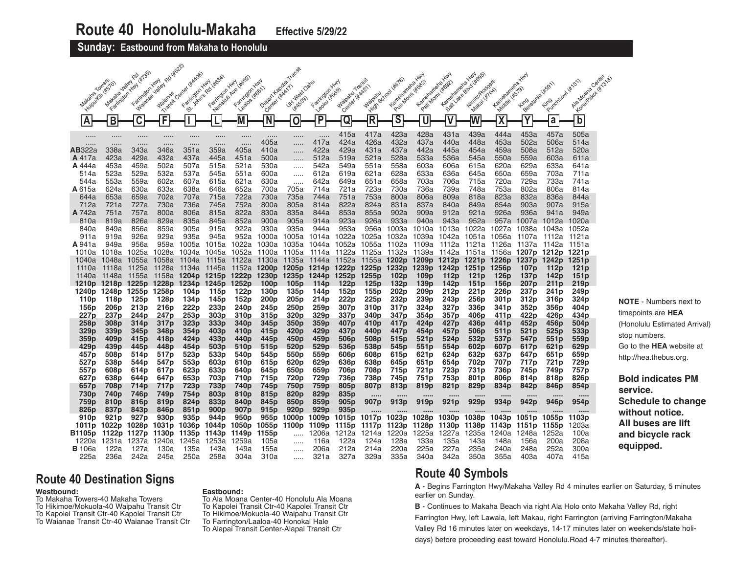**Sunday: Eastbound from Makaha to Honolulu** 

| 1 Rd 4622<br>1951<br>Center (#AADG)<br>14/6951<br>Makaka Jalial Ro<br>Kartefangrangra Hwy<br>Kematanana Kuy<br><b>HAN</b><br>Su John Packagesh<br>Management Ave Hege2<br>Center<br>Transit<br>Towers<br>Farington Hwy<br>Purchastown (st, 31)<br>NirritzIRodgers<br><b>HAN</b><br>Farington Hwy<br><b>HAN</b><br>Depart Kapolei<br>Oanu<br>Pull Montreal<br>145767<br>Kameramene<br>Kameramere<br><b>WSON</b><br>Kongeriko (Krst.)<br><b>Jailey</b><br>Farmolon Hwy<br><b>HAA21)</b><br>Clenter (#AA17)<br>(#579)<br><b>HFG611</b><br>Farrington<br>Leader Website<br>Makai (#10A)<br>Ala Moana<br>Farrington<br>Farington<br>School<br>JK1 West<br><b>Waipamu</b><br>Makana<br>Waipamu<br>Pali Momil<br><b>Waianae</b><br>Sattlake<br>Beretaria<br><b>HEASS9)</b><br>Middle L<br>Laatoa<br>Center<br><b>Fing</b><br>Transit<br><b>Fing</b><br><b>High</b><br>$\overline{\mathsf{s}}$<br>$\overline{\mathbf{X}}$<br>F<br>P<br>R<br>$\overline{\mathsf{W}}$<br>$\overline{b}$<br>N<br>В<br>Μ<br>0<br>С<br>Q<br>a<br>U<br>A<br>423a<br>428a<br>431a<br>439a<br>505a<br>444a<br>453a<br>457a<br>415a<br>417a<br>.<br>$\cdots$<br>.<br><br>.<br><br><br>.<br>$\cdots$<br>405a<br>417a<br>424a<br>426a<br>432a<br>437a<br>448a<br>514a<br>440a<br>453a<br>502a<br>506a<br>$\cdots$<br><br>.<br>.<br><br><br><br>AB322a<br>338a<br>343a<br>346a<br>351a<br>359a<br>405a<br>410a<br>422a<br>429a<br>431a<br>437a<br>442a<br>520a<br>445a<br>454a<br>459a<br>508a<br>512a<br>423a<br>429a<br>432a<br>437a<br>451a<br>512a<br>521a<br>528a<br>533a<br>536a<br>550a<br>559a<br>A 417a<br>445a<br>500a<br>519a<br>545a<br>603a<br>611a<br>453a<br>502a<br>521a<br>530a<br>542a<br>620a<br>629a<br>633a<br><b>A</b> 444a<br>459a<br>507a<br>515a<br>549a<br>551a<br>558a<br>603a<br>606a<br>615a<br>641a<br>514a<br>523a<br>529a<br>532a<br>537a<br>545a<br>551a<br>600a<br>612a<br>619a<br>621a<br>628a<br>633a<br>636a<br>650a<br>659a<br>703a<br>711a<br>645a<br>553a<br>559a<br>621a<br>733a<br>544a<br>602a<br>607a<br>615a<br>630a<br>642a<br>649a<br>651a<br>658a<br>703a<br>706a<br>715a<br>720a<br>729a<br>741a<br><br><b>A</b> 615a<br>624a<br>630a<br>633a<br>652a<br>721a<br>723a<br>730a<br>736a<br>739a<br>748a<br>753a<br>802a<br>806a<br>814a<br>638a<br>646a<br>700a<br>705a<br>714a<br>753a<br>644a<br>653a<br>659a<br>702a<br>707a<br>715a<br>722a<br>730a<br>735a<br>744a<br>751a<br>800a<br>806a<br>809a<br>818a<br>823a<br>832a<br>836a<br>844a<br>712a<br>721a<br>727a<br>730a<br>736a<br>752a<br>805a<br>822a<br>824a<br>831a<br>837a<br>849a<br>854a<br>903a<br>915a<br>745a<br>800a<br>814a<br>840a<br>907a<br><b>A</b> 742a<br>751a<br>757a<br>800a<br>822a<br>830a<br>835a<br>853a<br>855a<br>902a<br>921a<br>926a<br>936a<br>806a<br>815a<br>844a<br>909a<br>912a<br>941a<br>949a<br>852a<br>923a<br>810a<br>819a<br>826a<br>829a<br>835a<br>900a<br>905a<br>926a<br>933a<br>943a<br>952a<br>845a<br>914a<br>940a<br>957a<br>1012a<br>1020a<br>1007a<br>922a<br>930a<br>935a<br>953a<br>840a<br>849a<br>856a<br>859a<br>905a<br>915a<br>956a<br>1003a<br>1022a<br>944a<br>1010a<br>1013a<br>1027a<br>1043a<br>1052a<br>1038a<br>926a<br>935a<br>911a<br>919a<br>929a<br>945a<br>952a<br>1000a<br>1022a<br>1025a<br>1032a<br>1005a<br>1014a<br>1039a 1042a<br>1051a<br>1056a<br>1121a<br>1107a<br>-1112a<br>956a<br>959a<br><b>A</b> 941a<br>949a<br>1005a<br>1015a<br>1022a<br>1030a<br>1044a<br>1052a<br>1055a<br>1102a<br>1109a<br>1112a<br>1121a<br>1035a<br>1126a<br>1137a<br>1142a<br>1151a<br>1025a<br>1052a<br>1122a<br>1010a<br>1018a<br>1028a<br>1034a<br>1045a<br>1114a<br>1125a<br>1132a 1139a<br>1142a<br>1151a<br>1156a <b>1207p 1212p</b><br>1221p<br>1100a<br>1105a<br>1048a<br>1055a<br>1058a<br>1115a<br>1122a<br>1130a<br>1135a<br>1152a<br>1155a<br>1202p 1209p 1212p 1221p 1226p<br>1242p<br>1251 <sub>p</sub><br>1040a<br>1104a<br>1144a<br>1237p<br>1125a<br>1128a<br>1145a<br>1152a<br>1200p 1205p 1214p 1222p<br>1225p 1232p 1239p<br>1242p 1251p<br>1256p<br>112 <sub>p</sub><br>121 <sub>p</sub><br>1110a<br>1118a<br>1134a<br>107 <sub>p</sub><br>1148a<br>1155a<br>1158a<br>1204p 1215p<br>1222p<br>1230 <sub>p</sub><br>1235p 1244p<br>1252p<br>1255 <sub>p</sub><br>102 <sub>p</sub><br>109 <sub>p</sub><br>112 <sub>p</sub><br>121p<br>126 <sub>p</sub><br>137 <sub>p</sub><br>142 <sub>p</sub><br>151 <sub>p</sub><br>1140a<br>211 <sub>p</sub><br>219 <sub>p</sub><br>1210p 1218p 1225p 1228p 1234p 1245p<br>1252 <sub>p</sub><br>100 <sub>D</sub><br>105 <sub>p</sub><br>114 <sub>p</sub><br>122 <sub>p</sub><br>125 <sub>p</sub><br>132 <sub>p</sub><br>139 <sub>p</sub><br>142 <sub>p</sub><br>151 <sub>p</sub><br>156 <sub>p</sub><br>207 <sub>p</sub><br>237 <sub>p</sub><br>1240p 1248p 1255p 1258p<br>104 <sub>p</sub><br>115 <sub>p</sub><br>122p<br>130 <sub>p</sub><br>135 <sub>p</sub><br>144p<br>152p<br>155p<br>202p<br>209p<br>212p<br>221 p<br>226 <sub>p</sub><br>241 p<br>249p<br>205p<br>222p<br>225p<br>232p<br>239p<br>256p<br>324 <sub>p</sub><br>110 <sub>p</sub><br>118p<br>125 <sub>p</sub><br>128p<br>134 <sub>p</sub><br>145p<br>152p<br>200 <sub>p</sub><br>214 <sub>p</sub><br>243p<br>301 <sub>p</sub><br>312p<br>316p<br>222p<br>233p<br>259 <sub>p</sub><br>156 <sub>p</sub><br>213 <sub>p</sub><br>250p<br>307 <sub>p</sub><br>324p<br>327p<br>336p<br>352p<br>356p<br>404 p<br>206p<br>216 <sub>p</sub><br>240p<br>245 <sub>p</sub><br>310 <sub>p</sub><br>317 <sub>p</sub><br>341 <sub>p</sub><br>329p |
|---------------------------------------------------------------------------------------------------------------------------------------------------------------------------------------------------------------------------------------------------------------------------------------------------------------------------------------------------------------------------------------------------------------------------------------------------------------------------------------------------------------------------------------------------------------------------------------------------------------------------------------------------------------------------------------------------------------------------------------------------------------------------------------------------------------------------------------------------------------------------------------------------------------------------------------------------------------------------------------------------------------------------------------------------------------------------------------------------------------------------------------------------------------------------------------------------------------------------------------------------------------------------------------------------------------------------------------------------------------------------------------------------------------------------------------------------------------------------------------------------------------------------------------------------------------------------------------------------------------------------------------------------------------------------------------------------------------------------------------------------------------------------------------------------------------------------------------------------------------------------------------------------------------------------------------------------------------------------------------------------------------------------------------------------------------------------------------------------------------------------------------------------------------------------------------------------------------------------------------------------------------------------------------------------------------------------------------------------------------------------------------------------------------------------------------------------------------------------------------------------------------------------------------------------------------------------------------------------------------------------------------------------------------------------------------------------------------------------------------------------------------------------------------------------------------------------------------------------------------------------------------------------------------------------------------------------------------------------------------------------------------------------------------------------------------------------------------------------------------------------------------------------------------------------------------------------------------------------------------------------------------------------------------------------------------------------------------------------------------------------------------------------------------------------------------------------------------------------------------------------------------------------------------------------------------------------------------------------------------------------------------------------------------------------------------------------------------------------------------------------------------------------------------------------------------------------------------------------------------------------------------------------------------------------------------------------------------------------------------------------------------------------------------------------------------------------------------------------------------------------------------------------------------------------------------------------------------------------------------------------------------------------------------------------------------------------------------------------------------------------------------------------------------------------------------------------------------------------------------------------------------------------------------------------------------------------------------------------------------------------------------------------------------------------------------------------------------------------------------------------------------------------------------------------------------------------------------------------------------------------------------------------------------------------------------------------------------------------------------------------------------------------------------------------------------------------------------------------------------------------------------------------------------------------------------------------------------------------------------------------------------------------------------------------------------------------------------------------------------------------------------------------------------------------------------------------------------------------------------------|
|                                                                                                                                                                                                                                                                                                                                                                                                                                                                                                                                                                                                                                                                                                                                                                                                                                                                                                                                                                                                                                                                                                                                                                                                                                                                                                                                                                                                                                                                                                                                                                                                                                                                                                                                                                                                                                                                                                                                                                                                                                                                                                                                                                                                                                                                                                                                                                                                                                                                                                                                                                                                                                                                                                                                                                                                                                                                                                                                                                                                                                                                                                                                                                                                                                                                                                                                                                                                                                                                                                                                                                                                                                                                                                                                                                                                                                                                                                                                                                                                                                                                                                                                                                                                                                                                                                                                                                                                                                                                                                                                                                                                                                                                                                                                                                                                                                                                                                                                                                                                                                                                                                                                                                                                                                                                                                                                                                                                                                                                                             |
|                                                                                                                                                                                                                                                                                                                                                                                                                                                                                                                                                                                                                                                                                                                                                                                                                                                                                                                                                                                                                                                                                                                                                                                                                                                                                                                                                                                                                                                                                                                                                                                                                                                                                                                                                                                                                                                                                                                                                                                                                                                                                                                                                                                                                                                                                                                                                                                                                                                                                                                                                                                                                                                                                                                                                                                                                                                                                                                                                                                                                                                                                                                                                                                                                                                                                                                                                                                                                                                                                                                                                                                                                                                                                                                                                                                                                                                                                                                                                                                                                                                                                                                                                                                                                                                                                                                                                                                                                                                                                                                                                                                                                                                                                                                                                                                                                                                                                                                                                                                                                                                                                                                                                                                                                                                                                                                                                                                                                                                                                             |
|                                                                                                                                                                                                                                                                                                                                                                                                                                                                                                                                                                                                                                                                                                                                                                                                                                                                                                                                                                                                                                                                                                                                                                                                                                                                                                                                                                                                                                                                                                                                                                                                                                                                                                                                                                                                                                                                                                                                                                                                                                                                                                                                                                                                                                                                                                                                                                                                                                                                                                                                                                                                                                                                                                                                                                                                                                                                                                                                                                                                                                                                                                                                                                                                                                                                                                                                                                                                                                                                                                                                                                                                                                                                                                                                                                                                                                                                                                                                                                                                                                                                                                                                                                                                                                                                                                                                                                                                                                                                                                                                                                                                                                                                                                                                                                                                                                                                                                                                                                                                                                                                                                                                                                                                                                                                                                                                                                                                                                                                                             |
|                                                                                                                                                                                                                                                                                                                                                                                                                                                                                                                                                                                                                                                                                                                                                                                                                                                                                                                                                                                                                                                                                                                                                                                                                                                                                                                                                                                                                                                                                                                                                                                                                                                                                                                                                                                                                                                                                                                                                                                                                                                                                                                                                                                                                                                                                                                                                                                                                                                                                                                                                                                                                                                                                                                                                                                                                                                                                                                                                                                                                                                                                                                                                                                                                                                                                                                                                                                                                                                                                                                                                                                                                                                                                                                                                                                                                                                                                                                                                                                                                                                                                                                                                                                                                                                                                                                                                                                                                                                                                                                                                                                                                                                                                                                                                                                                                                                                                                                                                                                                                                                                                                                                                                                                                                                                                                                                                                                                                                                                                             |
|                                                                                                                                                                                                                                                                                                                                                                                                                                                                                                                                                                                                                                                                                                                                                                                                                                                                                                                                                                                                                                                                                                                                                                                                                                                                                                                                                                                                                                                                                                                                                                                                                                                                                                                                                                                                                                                                                                                                                                                                                                                                                                                                                                                                                                                                                                                                                                                                                                                                                                                                                                                                                                                                                                                                                                                                                                                                                                                                                                                                                                                                                                                                                                                                                                                                                                                                                                                                                                                                                                                                                                                                                                                                                                                                                                                                                                                                                                                                                                                                                                                                                                                                                                                                                                                                                                                                                                                                                                                                                                                                                                                                                                                                                                                                                                                                                                                                                                                                                                                                                                                                                                                                                                                                                                                                                                                                                                                                                                                                                             |
|                                                                                                                                                                                                                                                                                                                                                                                                                                                                                                                                                                                                                                                                                                                                                                                                                                                                                                                                                                                                                                                                                                                                                                                                                                                                                                                                                                                                                                                                                                                                                                                                                                                                                                                                                                                                                                                                                                                                                                                                                                                                                                                                                                                                                                                                                                                                                                                                                                                                                                                                                                                                                                                                                                                                                                                                                                                                                                                                                                                                                                                                                                                                                                                                                                                                                                                                                                                                                                                                                                                                                                                                                                                                                                                                                                                                                                                                                                                                                                                                                                                                                                                                                                                                                                                                                                                                                                                                                                                                                                                                                                                                                                                                                                                                                                                                                                                                                                                                                                                                                                                                                                                                                                                                                                                                                                                                                                                                                                                                                             |
|                                                                                                                                                                                                                                                                                                                                                                                                                                                                                                                                                                                                                                                                                                                                                                                                                                                                                                                                                                                                                                                                                                                                                                                                                                                                                                                                                                                                                                                                                                                                                                                                                                                                                                                                                                                                                                                                                                                                                                                                                                                                                                                                                                                                                                                                                                                                                                                                                                                                                                                                                                                                                                                                                                                                                                                                                                                                                                                                                                                                                                                                                                                                                                                                                                                                                                                                                                                                                                                                                                                                                                                                                                                                                                                                                                                                                                                                                                                                                                                                                                                                                                                                                                                                                                                                                                                                                                                                                                                                                                                                                                                                                                                                                                                                                                                                                                                                                                                                                                                                                                                                                                                                                                                                                                                                                                                                                                                                                                                                                             |
|                                                                                                                                                                                                                                                                                                                                                                                                                                                                                                                                                                                                                                                                                                                                                                                                                                                                                                                                                                                                                                                                                                                                                                                                                                                                                                                                                                                                                                                                                                                                                                                                                                                                                                                                                                                                                                                                                                                                                                                                                                                                                                                                                                                                                                                                                                                                                                                                                                                                                                                                                                                                                                                                                                                                                                                                                                                                                                                                                                                                                                                                                                                                                                                                                                                                                                                                                                                                                                                                                                                                                                                                                                                                                                                                                                                                                                                                                                                                                                                                                                                                                                                                                                                                                                                                                                                                                                                                                                                                                                                                                                                                                                                                                                                                                                                                                                                                                                                                                                                                                                                                                                                                                                                                                                                                                                                                                                                                                                                                                             |
|                                                                                                                                                                                                                                                                                                                                                                                                                                                                                                                                                                                                                                                                                                                                                                                                                                                                                                                                                                                                                                                                                                                                                                                                                                                                                                                                                                                                                                                                                                                                                                                                                                                                                                                                                                                                                                                                                                                                                                                                                                                                                                                                                                                                                                                                                                                                                                                                                                                                                                                                                                                                                                                                                                                                                                                                                                                                                                                                                                                                                                                                                                                                                                                                                                                                                                                                                                                                                                                                                                                                                                                                                                                                                                                                                                                                                                                                                                                                                                                                                                                                                                                                                                                                                                                                                                                                                                                                                                                                                                                                                                                                                                                                                                                                                                                                                                                                                                                                                                                                                                                                                                                                                                                                                                                                                                                                                                                                                                                                                             |
|                                                                                                                                                                                                                                                                                                                                                                                                                                                                                                                                                                                                                                                                                                                                                                                                                                                                                                                                                                                                                                                                                                                                                                                                                                                                                                                                                                                                                                                                                                                                                                                                                                                                                                                                                                                                                                                                                                                                                                                                                                                                                                                                                                                                                                                                                                                                                                                                                                                                                                                                                                                                                                                                                                                                                                                                                                                                                                                                                                                                                                                                                                                                                                                                                                                                                                                                                                                                                                                                                                                                                                                                                                                                                                                                                                                                                                                                                                                                                                                                                                                                                                                                                                                                                                                                                                                                                                                                                                                                                                                                                                                                                                                                                                                                                                                                                                                                                                                                                                                                                                                                                                                                                                                                                                                                                                                                                                                                                                                                                             |
|                                                                                                                                                                                                                                                                                                                                                                                                                                                                                                                                                                                                                                                                                                                                                                                                                                                                                                                                                                                                                                                                                                                                                                                                                                                                                                                                                                                                                                                                                                                                                                                                                                                                                                                                                                                                                                                                                                                                                                                                                                                                                                                                                                                                                                                                                                                                                                                                                                                                                                                                                                                                                                                                                                                                                                                                                                                                                                                                                                                                                                                                                                                                                                                                                                                                                                                                                                                                                                                                                                                                                                                                                                                                                                                                                                                                                                                                                                                                                                                                                                                                                                                                                                                                                                                                                                                                                                                                                                                                                                                                                                                                                                                                                                                                                                                                                                                                                                                                                                                                                                                                                                                                                                                                                                                                                                                                                                                                                                                                                             |
|                                                                                                                                                                                                                                                                                                                                                                                                                                                                                                                                                                                                                                                                                                                                                                                                                                                                                                                                                                                                                                                                                                                                                                                                                                                                                                                                                                                                                                                                                                                                                                                                                                                                                                                                                                                                                                                                                                                                                                                                                                                                                                                                                                                                                                                                                                                                                                                                                                                                                                                                                                                                                                                                                                                                                                                                                                                                                                                                                                                                                                                                                                                                                                                                                                                                                                                                                                                                                                                                                                                                                                                                                                                                                                                                                                                                                                                                                                                                                                                                                                                                                                                                                                                                                                                                                                                                                                                                                                                                                                                                                                                                                                                                                                                                                                                                                                                                                                                                                                                                                                                                                                                                                                                                                                                                                                                                                                                                                                                                                             |
|                                                                                                                                                                                                                                                                                                                                                                                                                                                                                                                                                                                                                                                                                                                                                                                                                                                                                                                                                                                                                                                                                                                                                                                                                                                                                                                                                                                                                                                                                                                                                                                                                                                                                                                                                                                                                                                                                                                                                                                                                                                                                                                                                                                                                                                                                                                                                                                                                                                                                                                                                                                                                                                                                                                                                                                                                                                                                                                                                                                                                                                                                                                                                                                                                                                                                                                                                                                                                                                                                                                                                                                                                                                                                                                                                                                                                                                                                                                                                                                                                                                                                                                                                                                                                                                                                                                                                                                                                                                                                                                                                                                                                                                                                                                                                                                                                                                                                                                                                                                                                                                                                                                                                                                                                                                                                                                                                                                                                                                                                             |
|                                                                                                                                                                                                                                                                                                                                                                                                                                                                                                                                                                                                                                                                                                                                                                                                                                                                                                                                                                                                                                                                                                                                                                                                                                                                                                                                                                                                                                                                                                                                                                                                                                                                                                                                                                                                                                                                                                                                                                                                                                                                                                                                                                                                                                                                                                                                                                                                                                                                                                                                                                                                                                                                                                                                                                                                                                                                                                                                                                                                                                                                                                                                                                                                                                                                                                                                                                                                                                                                                                                                                                                                                                                                                                                                                                                                                                                                                                                                                                                                                                                                                                                                                                                                                                                                                                                                                                                                                                                                                                                                                                                                                                                                                                                                                                                                                                                                                                                                                                                                                                                                                                                                                                                                                                                                                                                                                                                                                                                                                             |
|                                                                                                                                                                                                                                                                                                                                                                                                                                                                                                                                                                                                                                                                                                                                                                                                                                                                                                                                                                                                                                                                                                                                                                                                                                                                                                                                                                                                                                                                                                                                                                                                                                                                                                                                                                                                                                                                                                                                                                                                                                                                                                                                                                                                                                                                                                                                                                                                                                                                                                                                                                                                                                                                                                                                                                                                                                                                                                                                                                                                                                                                                                                                                                                                                                                                                                                                                                                                                                                                                                                                                                                                                                                                                                                                                                                                                                                                                                                                                                                                                                                                                                                                                                                                                                                                                                                                                                                                                                                                                                                                                                                                                                                                                                                                                                                                                                                                                                                                                                                                                                                                                                                                                                                                                                                                                                                                                                                                                                                                                             |
|                                                                                                                                                                                                                                                                                                                                                                                                                                                                                                                                                                                                                                                                                                                                                                                                                                                                                                                                                                                                                                                                                                                                                                                                                                                                                                                                                                                                                                                                                                                                                                                                                                                                                                                                                                                                                                                                                                                                                                                                                                                                                                                                                                                                                                                                                                                                                                                                                                                                                                                                                                                                                                                                                                                                                                                                                                                                                                                                                                                                                                                                                                                                                                                                                                                                                                                                                                                                                                                                                                                                                                                                                                                                                                                                                                                                                                                                                                                                                                                                                                                                                                                                                                                                                                                                                                                                                                                                                                                                                                                                                                                                                                                                                                                                                                                                                                                                                                                                                                                                                                                                                                                                                                                                                                                                                                                                                                                                                                                                                             |
|                                                                                                                                                                                                                                                                                                                                                                                                                                                                                                                                                                                                                                                                                                                                                                                                                                                                                                                                                                                                                                                                                                                                                                                                                                                                                                                                                                                                                                                                                                                                                                                                                                                                                                                                                                                                                                                                                                                                                                                                                                                                                                                                                                                                                                                                                                                                                                                                                                                                                                                                                                                                                                                                                                                                                                                                                                                                                                                                                                                                                                                                                                                                                                                                                                                                                                                                                                                                                                                                                                                                                                                                                                                                                                                                                                                                                                                                                                                                                                                                                                                                                                                                                                                                                                                                                                                                                                                                                                                                                                                                                                                                                                                                                                                                                                                                                                                                                                                                                                                                                                                                                                                                                                                                                                                                                                                                                                                                                                                                                             |
|                                                                                                                                                                                                                                                                                                                                                                                                                                                                                                                                                                                                                                                                                                                                                                                                                                                                                                                                                                                                                                                                                                                                                                                                                                                                                                                                                                                                                                                                                                                                                                                                                                                                                                                                                                                                                                                                                                                                                                                                                                                                                                                                                                                                                                                                                                                                                                                                                                                                                                                                                                                                                                                                                                                                                                                                                                                                                                                                                                                                                                                                                                                                                                                                                                                                                                                                                                                                                                                                                                                                                                                                                                                                                                                                                                                                                                                                                                                                                                                                                                                                                                                                                                                                                                                                                                                                                                                                                                                                                                                                                                                                                                                                                                                                                                                                                                                                                                                                                                                                                                                                                                                                                                                                                                                                                                                                                                                                                                                                                             |
|                                                                                                                                                                                                                                                                                                                                                                                                                                                                                                                                                                                                                                                                                                                                                                                                                                                                                                                                                                                                                                                                                                                                                                                                                                                                                                                                                                                                                                                                                                                                                                                                                                                                                                                                                                                                                                                                                                                                                                                                                                                                                                                                                                                                                                                                                                                                                                                                                                                                                                                                                                                                                                                                                                                                                                                                                                                                                                                                                                                                                                                                                                                                                                                                                                                                                                                                                                                                                                                                                                                                                                                                                                                                                                                                                                                                                                                                                                                                                                                                                                                                                                                                                                                                                                                                                                                                                                                                                                                                                                                                                                                                                                                                                                                                                                                                                                                                                                                                                                                                                                                                                                                                                                                                                                                                                                                                                                                                                                                                                             |
|                                                                                                                                                                                                                                                                                                                                                                                                                                                                                                                                                                                                                                                                                                                                                                                                                                                                                                                                                                                                                                                                                                                                                                                                                                                                                                                                                                                                                                                                                                                                                                                                                                                                                                                                                                                                                                                                                                                                                                                                                                                                                                                                                                                                                                                                                                                                                                                                                                                                                                                                                                                                                                                                                                                                                                                                                                                                                                                                                                                                                                                                                                                                                                                                                                                                                                                                                                                                                                                                                                                                                                                                                                                                                                                                                                                                                                                                                                                                                                                                                                                                                                                                                                                                                                                                                                                                                                                                                                                                                                                                                                                                                                                                                                                                                                                                                                                                                                                                                                                                                                                                                                                                                                                                                                                                                                                                                                                                                                                                                             |
|                                                                                                                                                                                                                                                                                                                                                                                                                                                                                                                                                                                                                                                                                                                                                                                                                                                                                                                                                                                                                                                                                                                                                                                                                                                                                                                                                                                                                                                                                                                                                                                                                                                                                                                                                                                                                                                                                                                                                                                                                                                                                                                                                                                                                                                                                                                                                                                                                                                                                                                                                                                                                                                                                                                                                                                                                                                                                                                                                                                                                                                                                                                                                                                                                                                                                                                                                                                                                                                                                                                                                                                                                                                                                                                                                                                                                                                                                                                                                                                                                                                                                                                                                                                                                                                                                                                                                                                                                                                                                                                                                                                                                                                                                                                                                                                                                                                                                                                                                                                                                                                                                                                                                                                                                                                                                                                                                                                                                                                                                             |
|                                                                                                                                                                                                                                                                                                                                                                                                                                                                                                                                                                                                                                                                                                                                                                                                                                                                                                                                                                                                                                                                                                                                                                                                                                                                                                                                                                                                                                                                                                                                                                                                                                                                                                                                                                                                                                                                                                                                                                                                                                                                                                                                                                                                                                                                                                                                                                                                                                                                                                                                                                                                                                                                                                                                                                                                                                                                                                                                                                                                                                                                                                                                                                                                                                                                                                                                                                                                                                                                                                                                                                                                                                                                                                                                                                                                                                                                                                                                                                                                                                                                                                                                                                                                                                                                                                                                                                                                                                                                                                                                                                                                                                                                                                                                                                                                                                                                                                                                                                                                                                                                                                                                                                                                                                                                                                                                                                                                                                                                                             |
|                                                                                                                                                                                                                                                                                                                                                                                                                                                                                                                                                                                                                                                                                                                                                                                                                                                                                                                                                                                                                                                                                                                                                                                                                                                                                                                                                                                                                                                                                                                                                                                                                                                                                                                                                                                                                                                                                                                                                                                                                                                                                                                                                                                                                                                                                                                                                                                                                                                                                                                                                                                                                                                                                                                                                                                                                                                                                                                                                                                                                                                                                                                                                                                                                                                                                                                                                                                                                                                                                                                                                                                                                                                                                                                                                                                                                                                                                                                                                                                                                                                                                                                                                                                                                                                                                                                                                                                                                                                                                                                                                                                                                                                                                                                                                                                                                                                                                                                                                                                                                                                                                                                                                                                                                                                                                                                                                                                                                                                                                             |
|                                                                                                                                                                                                                                                                                                                                                                                                                                                                                                                                                                                                                                                                                                                                                                                                                                                                                                                                                                                                                                                                                                                                                                                                                                                                                                                                                                                                                                                                                                                                                                                                                                                                                                                                                                                                                                                                                                                                                                                                                                                                                                                                                                                                                                                                                                                                                                                                                                                                                                                                                                                                                                                                                                                                                                                                                                                                                                                                                                                                                                                                                                                                                                                                                                                                                                                                                                                                                                                                                                                                                                                                                                                                                                                                                                                                                                                                                                                                                                                                                                                                                                                                                                                                                                                                                                                                                                                                                                                                                                                                                                                                                                                                                                                                                                                                                                                                                                                                                                                                                                                                                                                                                                                                                                                                                                                                                                                                                                                                                             |
|                                                                                                                                                                                                                                                                                                                                                                                                                                                                                                                                                                                                                                                                                                                                                                                                                                                                                                                                                                                                                                                                                                                                                                                                                                                                                                                                                                                                                                                                                                                                                                                                                                                                                                                                                                                                                                                                                                                                                                                                                                                                                                                                                                                                                                                                                                                                                                                                                                                                                                                                                                                                                                                                                                                                                                                                                                                                                                                                                                                                                                                                                                                                                                                                                                                                                                                                                                                                                                                                                                                                                                                                                                                                                                                                                                                                                                                                                                                                                                                                                                                                                                                                                                                                                                                                                                                                                                                                                                                                                                                                                                                                                                                                                                                                                                                                                                                                                                                                                                                                                                                                                                                                                                                                                                                                                                                                                                                                                                                                                             |
|                                                                                                                                                                                                                                                                                                                                                                                                                                                                                                                                                                                                                                                                                                                                                                                                                                                                                                                                                                                                                                                                                                                                                                                                                                                                                                                                                                                                                                                                                                                                                                                                                                                                                                                                                                                                                                                                                                                                                                                                                                                                                                                                                                                                                                                                                                                                                                                                                                                                                                                                                                                                                                                                                                                                                                                                                                                                                                                                                                                                                                                                                                                                                                                                                                                                                                                                                                                                                                                                                                                                                                                                                                                                                                                                                                                                                                                                                                                                                                                                                                                                                                                                                                                                                                                                                                                                                                                                                                                                                                                                                                                                                                                                                                                                                                                                                                                                                                                                                                                                                                                                                                                                                                                                                                                                                                                                                                                                                                                                                             |
| 227p<br>253p<br>303 <sub>p</sub><br>320p<br>337p<br>422p<br>426p<br>434p<br>237p<br>244p<br>247p<br>310 <sub>p</sub><br>315 <sub>p</sub><br>340 <sub>p</sub><br>347 <sub>p</sub><br>354p<br>357p<br>406p<br>411 <sub>p</sub><br>258p<br>323 <sub>p</sub><br>333 <sub>p</sub><br>359 <sub>p</sub><br>424 <sub>p</sub><br>427 <sub>p</sub><br>436 <sub>p</sub><br>452p<br>456p<br>504 <sub>p</sub><br>308p<br>314 <sub>p</sub><br>317 <sub>p</sub><br>340 <sub>p</sub><br>345 <sub>p</sub><br>350p<br>407 <sub>p</sub><br>410 <sub>p</sub><br>417 <sub>p</sub><br>441 <sub>p</sub>                                                                                                                                                                                                                                                                                                                                                                                                                                                                                                                                                                                                                                                                                                                                                                                                                                                                                                                                                                                                                                                                                                                                                                                                                                                                                                                                                                                                                                                                                                                                                                                                                                                                                                                                                                                                                                                                                                                                                                                                                                                                                                                                                                                                                                                                                                                                                                                                                                                                                                                                                                                                                                                                                                                                                                                                                                                                                                                                                                                                                                                                                                                                                                                                                                                                                                                                                                                                                                                                                                                                                                                                                                                                                                                                                                                                                                                                                                                                                                                                                                                                                                                                                                                                                                                                                                                                                                                                                                                                                                                                                                                                                                                                                                                                                                                                                                                                                                            |
| 329p<br>354 <sub>p</sub><br>403p<br>410 <sub>p</sub><br>415 <sub>p</sub><br>420p<br>429 <sub>p</sub><br>437 <sub>p</sub><br>440 <sub>p</sub><br>447 <sub>p</sub><br>457 <sub>p</sub><br>521 <sub>p</sub><br>525 <sub>p</sub><br>533p<br>339p<br>345 <sub>p</sub><br>348p<br>454p<br>506 <sub>p</sub><br>511 <sub>p</sub>                                                                                                                                                                                                                                                                                                                                                                                                                                                                                                                                                                                                                                                                                                                                                                                                                                                                                                                                                                                                                                                                                                                                                                                                                                                                                                                                                                                                                                                                                                                                                                                                                                                                                                                                                                                                                                                                                                                                                                                                                                                                                                                                                                                                                                                                                                                                                                                                                                                                                                                                                                                                                                                                                                                                                                                                                                                                                                                                                                                                                                                                                                                                                                                                                                                                                                                                                                                                                                                                                                                                                                                                                                                                                                                                                                                                                                                                                                                                                                                                                                                                                                                                                                                                                                                                                                                                                                                                                                                                                                                                                                                                                                                                                                                                                                                                                                                                                                                                                                                                                                                                                                                                                                    |
| 359 <sub>p</sub><br>415 <sub>p</sub><br>433p<br>459p<br>506 <sub>p</sub><br>521 <sub>p</sub><br>524p<br>532p<br>551 <sub>p</sub><br>559p<br>409p<br>418p<br>424 <sub>p</sub><br>440 <sub>p</sub><br>445 <sub>p</sub><br>450 <sub>p</sub><br>508p<br>515 <sub>p</sub><br>537 <sub>p</sub><br>547 <sub>p</sub>                                                                                                                                                                                                                                                                                                                                                                                                                                                                                                                                                                                                                                                                                                                                                                                                                                                                                                                                                                                                                                                                                                                                                                                                                                                                                                                                                                                                                                                                                                                                                                                                                                                                                                                                                                                                                                                                                                                                                                                                                                                                                                                                                                                                                                                                                                                                                                                                                                                                                                                                                                                                                                                                                                                                                                                                                                                                                                                                                                                                                                                                                                                                                                                                                                                                                                                                                                                                                                                                                                                                                                                                                                                                                                                                                                                                                                                                                                                                                                                                                                                                                                                                                                                                                                                                                                                                                                                                                                                                                                                                                                                                                                                                                                                                                                                                                                                                                                                                                                                                                                                                                                                                                                                |
| 429p<br>439 <sub>p</sub><br>503p<br>529p<br>536 <sub>p</sub><br>554p<br>621 <sub>p</sub><br>629 <sub>p</sub><br>445 <sub>p</sub><br>448p<br>454 <sub>p</sub><br>510p<br>515 <sub>p</sub><br>520p<br>538p<br>545p<br>551p<br>602p<br>607 <sub>p</sub><br>617p                                                                                                                                                                                                                                                                                                                                                                                                                                                                                                                                                                                                                                                                                                                                                                                                                                                                                                                                                                                                                                                                                                                                                                                                                                                                                                                                                                                                                                                                                                                                                                                                                                                                                                                                                                                                                                                                                                                                                                                                                                                                                                                                                                                                                                                                                                                                                                                                                                                                                                                                                                                                                                                                                                                                                                                                                                                                                                                                                                                                                                                                                                                                                                                                                                                                                                                                                                                                                                                                                                                                                                                                                                                                                                                                                                                                                                                                                                                                                                                                                                                                                                                                                                                                                                                                                                                                                                                                                                                                                                                                                                                                                                                                                                                                                                                                                                                                                                                                                                                                                                                                                                                                                                                                                                |
| 457p<br>514p<br>523p<br>533p<br>540 <sub>p</sub><br>545 <sub>p</sub><br>550 <sub>p</sub><br>559p<br>606p<br>621 <sub>p</sub><br>624p<br>632p<br>637 <sub>p</sub><br>651p<br>659p<br>508p<br>517p<br>608p<br>615p<br>647p                                                                                                                                                                                                                                                                                                                                                                                                                                                                                                                                                                                                                                                                                                                                                                                                                                                                                                                                                                                                                                                                                                                                                                                                                                                                                                                                                                                                                                                                                                                                                                                                                                                                                                                                                                                                                                                                                                                                                                                                                                                                                                                                                                                                                                                                                                                                                                                                                                                                                                                                                                                                                                                                                                                                                                                                                                                                                                                                                                                                                                                                                                                                                                                                                                                                                                                                                                                                                                                                                                                                                                                                                                                                                                                                                                                                                                                                                                                                                                                                                                                                                                                                                                                                                                                                                                                                                                                                                                                                                                                                                                                                                                                                                                                                                                                                                                                                                                                                                                                                                                                                                                                                                                                                                                                                    |
| 527p<br>603p<br>629p<br>636p<br>654p<br>729p<br>538p<br>544p<br>547 <sub>p</sub><br>553p<br>610p<br>615 <sub>p</sub><br>620 <sub>p</sub><br>638p<br>645p<br>651 p<br>702p<br>707p<br>717p<br>721p                                                                                                                                                                                                                                                                                                                                                                                                                                                                                                                                                                                                                                                                                                                                                                                                                                                                                                                                                                                                                                                                                                                                                                                                                                                                                                                                                                                                                                                                                                                                                                                                                                                                                                                                                                                                                                                                                                                                                                                                                                                                                                                                                                                                                                                                                                                                                                                                                                                                                                                                                                                                                                                                                                                                                                                                                                                                                                                                                                                                                                                                                                                                                                                                                                                                                                                                                                                                                                                                                                                                                                                                                                                                                                                                                                                                                                                                                                                                                                                                                                                                                                                                                                                                                                                                                                                                                                                                                                                                                                                                                                                                                                                                                                                                                                                                                                                                                                                                                                                                                                                                                                                                                                                                                                                                                           |
| 557p<br>623p<br>633p<br>659p<br>706p<br>723p<br>731p<br>745p<br>749 <sub>p</sub><br>608p<br>614p<br>617p<br>640 <sub>p</sub><br>645p<br>650 <sub>p</sub><br>708p<br>715p<br>721p<br>736p<br>757p                                                                                                                                                                                                                                                                                                                                                                                                                                                                                                                                                                                                                                                                                                                                                                                                                                                                                                                                                                                                                                                                                                                                                                                                                                                                                                                                                                                                                                                                                                                                                                                                                                                                                                                                                                                                                                                                                                                                                                                                                                                                                                                                                                                                                                                                                                                                                                                                                                                                                                                                                                                                                                                                                                                                                                                                                                                                                                                                                                                                                                                                                                                                                                                                                                                                                                                                                                                                                                                                                                                                                                                                                                                                                                                                                                                                                                                                                                                                                                                                                                                                                                                                                                                                                                                                                                                                                                                                                                                                                                                                                                                                                                                                                                                                                                                                                                                                                                                                                                                                                                                                                                                                                                                                                                                                                            |
| 627p<br>703p<br>729p<br>736p<br>753p<br>801 <sub>p</sub><br>806 <sub>p</sub><br>818p<br>826p<br>638p<br>644p<br>647 <sub>p</sub><br>653p<br>710p<br>715p<br>720p<br>738p<br>745p<br>751p<br>814p<br>657p<br>759p<br>805p<br>821p<br>829p<br>846p<br>708p<br>714p<br>717p<br>723p<br>733p<br>740p<br>745p<br>750p<br>807p<br>813p<br>819p<br>834p<br>842p<br>854p                                                                                                                                                                                                                                                                                                                                                                                                                                                                                                                                                                                                                                                                                                                                                                                                                                                                                                                                                                                                                                                                                                                                                                                                                                                                                                                                                                                                                                                                                                                                                                                                                                                                                                                                                                                                                                                                                                                                                                                                                                                                                                                                                                                                                                                                                                                                                                                                                                                                                                                                                                                                                                                                                                                                                                                                                                                                                                                                                                                                                                                                                                                                                                                                                                                                                                                                                                                                                                                                                                                                                                                                                                                                                                                                                                                                                                                                                                                                                                                                                                                                                                                                                                                                                                                                                                                                                                                                                                                                                                                                                                                                                                                                                                                                                                                                                                                                                                                                                                                                                                                                                                                            |
| 835p<br>730 <sub>p</sub><br>754p<br>803p<br>820p<br>829p<br>740p<br>746p<br>749p<br>810p<br>815 <sub>p</sub><br>$\cdots$<br>1.1.1.1<br>1.1.1.1<br><br><br>1.1.1.1<br>1.1.1.1<br>1.1.1.1<br>1.1.1.1                                                                                                                                                                                                                                                                                                                                                                                                                                                                                                                                                                                                                                                                                                                                                                                                                                                                                                                                                                                                                                                                                                                                                                                                                                                                                                                                                                                                                                                                                                                                                                                                                                                                                                                                                                                                                                                                                                                                                                                                                                                                                                                                                                                                                                                                                                                                                                                                                                                                                                                                                                                                                                                                                                                                                                                                                                                                                                                                                                                                                                                                                                                                                                                                                                                                                                                                                                                                                                                                                                                                                                                                                                                                                                                                                                                                                                                                                                                                                                                                                                                                                                                                                                                                                                                                                                                                                                                                                                                                                                                                                                                                                                                                                                                                                                                                                                                                                                                                                                                                                                                                                                                                                                                                                                                                                          |
| 859p<br>905 <sub>p</sub><br>913p<br>921p<br>929p<br>934p<br>942p<br>946 <sub>p</sub><br>759 <sub>p</sub><br>824p<br>833p<br>840 <sub>p</sub><br>845 <sub>p</sub><br>850p<br>907 <sub>p</sub><br>919p<br>954 <sub>p</sub><br>810p<br>816p<br>819 <sub>p</sub>                                                                                                                                                                                                                                                                                                                                                                                                                                                                                                                                                                                                                                                                                                                                                                                                                                                                                                                                                                                                                                                                                                                                                                                                                                                                                                                                                                                                                                                                                                                                                                                                                                                                                                                                                                                                                                                                                                                                                                                                                                                                                                                                                                                                                                                                                                                                                                                                                                                                                                                                                                                                                                                                                                                                                                                                                                                                                                                                                                                                                                                                                                                                                                                                                                                                                                                                                                                                                                                                                                                                                                                                                                                                                                                                                                                                                                                                                                                                                                                                                                                                                                                                                                                                                                                                                                                                                                                                                                                                                                                                                                                                                                                                                                                                                                                                                                                                                                                                                                                                                                                                                                                                                                                                                                |
| 929p<br>935p<br>826p<br>851p<br>900 <sub>p</sub><br>907p<br>915 <sub>p</sub><br>920 <sub>p</sub><br>837p<br>843p<br>846p<br>                                                                                                                                                                                                                                                                                                                                                                                                                                                                                                                                                                                                                                                                                                                                                                                                                                                                                                                                                                                                                                                                                                                                                                                                                                                                                                                                                                                                                                                                                                                                                                                                                                                                                                                                                                                                                                                                                                                                                                                                                                                                                                                                                                                                                                                                                                                                                                                                                                                                                                                                                                                                                                                                                                                                                                                                                                                                                                                                                                                                                                                                                                                                                                                                                                                                                                                                                                                                                                                                                                                                                                                                                                                                                                                                                                                                                                                                                                                                                                                                                                                                                                                                                                                                                                                                                                                                                                                                                                                                                                                                                                                                                                                                                                                                                                                                                                                                                                                                                                                                                                                                                                                                                                                                                                                                                                                                                                |
| 1028p 1030p<br>921 <sub>p</sub><br>927 <sub>p</sub><br>930 <sub>p</sub><br>935 <sub>p</sub><br>944p<br>950 <sub>p</sub><br>1009p<br>1017p 1023p<br>1038p<br>1043p<br>1103p<br>910p<br>955 <sub>p</sub><br>1000p<br>1015p<br>1051 <sub>p</sub><br>1055 <sub>p</sub>                                                                                                                                                                                                                                                                                                                                                                                                                                                                                                                                                                                                                                                                                                                                                                                                                                                                                                                                                                                                                                                                                                                                                                                                                                                                                                                                                                                                                                                                                                                                                                                                                                                                                                                                                                                                                                                                                                                                                                                                                                                                                                                                                                                                                                                                                                                                                                                                                                                                                                                                                                                                                                                                                                                                                                                                                                                                                                                                                                                                                                                                                                                                                                                                                                                                                                                                                                                                                                                                                                                                                                                                                                                                                                                                                                                                                                                                                                                                                                                                                                                                                                                                                                                                                                                                                                                                                                                                                                                                                                                                                                                                                                                                                                                                                                                                                                                                                                                                                                                                                                                                                                                                                                                                                          |
| 1036p<br>1044 <sub>p</sub><br>1055p<br>1109 <sub>p</sub><br>1117p 1123p 1128p 1130p<br>1138p<br>1011p<br>1022p<br>1028p<br>1031 <sub>p</sub><br>1050p<br>1100p<br>1115p<br>1155p<br>1203a<br>1143p<br>1151 <sub>p</sub>                                                                                                                                                                                                                                                                                                                                                                                                                                                                                                                                                                                                                                                                                                                                                                                                                                                                                                                                                                                                                                                                                                                                                                                                                                                                                                                                                                                                                                                                                                                                                                                                                                                                                                                                                                                                                                                                                                                                                                                                                                                                                                                                                                                                                                                                                                                                                                                                                                                                                                                                                                                                                                                                                                                                                                                                                                                                                                                                                                                                                                                                                                                                                                                                                                                                                                                                                                                                                                                                                                                                                                                                                                                                                                                                                                                                                                                                                                                                                                                                                                                                                                                                                                                                                                                                                                                                                                                                                                                                                                                                                                                                                                                                                                                                                                                                                                                                                                                                                                                                                                                                                                                                                                                                                                                                     |
| B1105p<br>1130p<br>1135p<br>1143p<br>1155p<br>1206a<br>1212a<br>1214a 1220a<br>1225a<br>1227a<br>1235a<br>1240a<br>1248a<br>1252a<br>100a<br>1122p<br>1127p<br>1149p<br>.                                                                                                                                                                                                                                                                                                                                                                                                                                                                                                                                                                                                                                                                                                                                                                                                                                                                                                                                                                                                                                                                                                                                                                                                                                                                                                                                                                                                                                                                                                                                                                                                                                                                                                                                                                                                                                                                                                                                                                                                                                                                                                                                                                                                                                                                                                                                                                                                                                                                                                                                                                                                                                                                                                                                                                                                                                                                                                                                                                                                                                                                                                                                                                                                                                                                                                                                                                                                                                                                                                                                                                                                                                                                                                                                                                                                                                                                                                                                                                                                                                                                                                                                                                                                                                                                                                                                                                                                                                                                                                                                                                                                                                                                                                                                                                                                                                                                                                                                                                                                                                                                                                                                                                                                                                                                                                                   |
| 1245a<br>1253a<br>122a<br>128a<br>133a<br>135a<br>143a<br>200a<br>208a<br>1220a<br>1231a<br>1237a<br>1240a<br>1259a<br>105a<br>116a<br>124a<br>148a<br>156a<br><b>B</b> 106a<br>122a<br>127a<br>130a<br>206a<br>212a<br>220a<br>225a<br>227a<br>235a<br>240a<br>248a<br>252a<br>135a<br>143a<br>149a<br>155a<br>214a<br>300a                                                                                                                                                                                                                                                                                                                                                                                                                                                                                                                                                                                                                                                                                                                                                                                                                                                                                                                                                                                                                                                                                                                                                                                                                                                                                                                                                                                                                                                                                                                                                                                                                                                                                                                                                                                                                                                                                                                                                                                                                                                                                                                                                                                                                                                                                                                                                                                                                                                                                                                                                                                                                                                                                                                                                                                                                                                                                                                                                                                                                                                                                                                                                                                                                                                                                                                                                                                                                                                                                                                                                                                                                                                                                                                                                                                                                                                                                                                                                                                                                                                                                                                                                                                                                                                                                                                                                                                                                                                                                                                                                                                                                                                                                                                                                                                                                                                                                                                                                                                                                                                                                                                                                                |
| .<br>225a<br>236a<br>242a<br>245a<br>250a<br>258a<br>304a<br>310a<br>321a<br>327a<br>329a<br>335a<br>340a<br>342a<br>350a<br>355a<br>403a<br>407a<br>415a<br>.                                                                                                                                                                                                                                                                                                                                                                                                                                                                                                                                                                                                                                                                                                                                                                                                                                                                                                                                                                                                                                                                                                                                                                                                                                                                                                                                                                                                                                                                                                                                                                                                                                                                                                                                                                                                                                                                                                                                                                                                                                                                                                                                                                                                                                                                                                                                                                                                                                                                                                                                                                                                                                                                                                                                                                                                                                                                                                                                                                                                                                                                                                                                                                                                                                                                                                                                                                                                                                                                                                                                                                                                                                                                                                                                                                                                                                                                                                                                                                                                                                                                                                                                                                                                                                                                                                                                                                                                                                                                                                                                                                                                                                                                                                                                                                                                                                                                                                                                                                                                                                                                                                                                                                                                                                                                                                                              |

**NOTE** - Numbers next to timepoints are **HEA** (Honolulu Estimated Arrival) stop numbers. Go to the **HEA** website at http://hea.thebus.org.

```
Bold indicates PM 
service.
Schedule to change 
without notice.
All buses are lift 
and bicycle rack 
equipped.
```
## **Route 40 Destination Signs**

**Westbound: Eastbound:** To Makaha Towers-40 Makaha Towers To Ala Moana Center-40 Honolulu Ala Moana To Hikimoe/Mokuola-40 Waipahu Transit Ctr To Kapolei Transit Ctr-40 Kapolei Transit Ctr

To Waianae Transit Ctr-40 Waianae Transit Ctr To Farrington/Laaloa-40 Honokai Hale

To Kapolei Transit Ctr-40 Kapolei Transit Ctr To Hikimoe/Mokuola-40 Waipahu Transit Ctr To Alapai Transit Center-Alapai Transit Ctr

# **Route 40 Symbols**

**A** - Begins Farrington Hwy/Makaha Valley Rd 4 minutes earlier on Saturday, 5 minutes earlier on Sunday.

**B** - Continues to Makaha Beach via right Ala Holo onto Makaha Valley Rd, right Farrington Hwy, left Lawaia, left Makau, right Farrington (arriving Farrington/Makaha Valley Rd 16 minutes later on weekdays, 14-17 minutes later on weekends/state holidays) before proceeding east toward Honolulu.Road 4-7 minutes thereafter).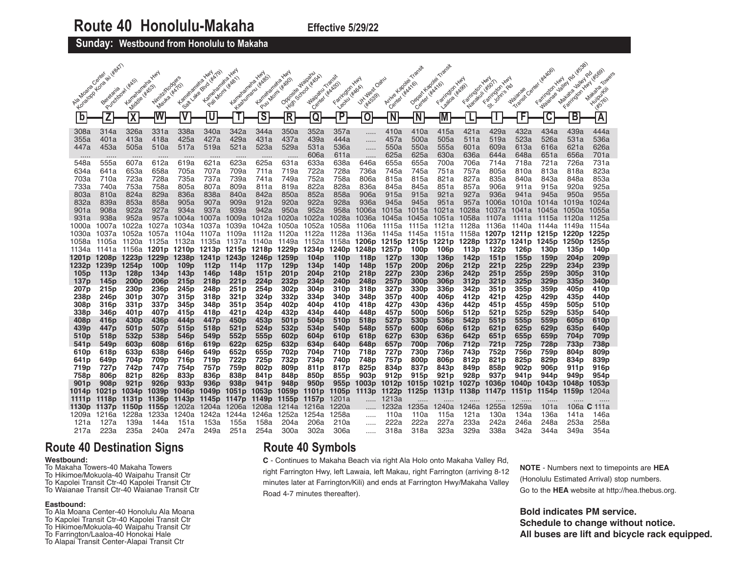## **Sunday: Westbound from Honolulu to Makaha**

|                                                        |                                                      |                                                      | <b>HAN</b>                                            |                                                       |                                                                   |                                                       | <b>HAN</b>                                                        | <b>HAN</b>                                                        | <b>Waiparu</b>                             | Transit                                                                      |                                                       |                                                                  |                                                                              |                                                       | <b>HAN</b>                                   | <b>HAY</b><br><b>HAN</b>                              |                                              | <b>HAY</b>                                                        |                                                       |                                                      |
|--------------------------------------------------------|------------------------------------------------------|------------------------------------------------------|-------------------------------------------------------|-------------------------------------------------------|-------------------------------------------------------------------|-------------------------------------------------------|-------------------------------------------------------------------|-------------------------------------------------------------------|--------------------------------------------|------------------------------------------------------------------------------|-------------------------------------------------------|------------------------------------------------------------------|------------------------------------------------------------------------------|-------------------------------------------------------|----------------------------------------------|-------------------------------------------------------|----------------------------------------------|-------------------------------------------------------------------|-------------------------------------------------------|------------------------------------------------------|
| Algabasia Cantar                                       | 1 Kons Nu<br>Beretania                               | Purdoubly (#AS)<br>Kamehanelle Y<br>Middle ( KASS)   | Niriik/Rodgers<br>Mauka                               | Kamataneha<br>Satt value Blvd<br><b>HA701</b>         | Kantelaneira Hwy<br>Pair                                          | Kamehanehe Y                                          | Leadurinary (4,855)<br>Kametaneha Y                               | Pull Morni #6901<br>Opposite                                      | Center (#AA20)<br>School<br><b>Waipamu</b> | Faritralon Hwy<br>Leady Hitlesh                                              | Jit. West Oakiv<br><b>HAK5391</b>                     | Arrive Kapolei<br>Center                                         | Depart Kapolei<br>- UKAA161<br>Center                                        | Likax161<br>Farrington<br>Laatoa                      | Nanakuli (#SOT)<br>Farrington<br><b>HADD</b> | St. Join's Rd<br>Farington                            | . Center<br>Waianae<br>Transit               | Farington<br>Waianae-                                             | Farington Hwy<br>Makana                               |                                                      |
| $\mathbf b$                                            | $\overline{\mathsf{z}}$                              | $\overline{\mathbf{X}}$                              |                                                       | $\overline{\mathsf{V}}$                               | U                                                                 | T                                                     | $\overline{\mathsf{s}}$                                           | <b>High</b><br>$\overline{\mathsf{R}}$                            | Q                                          | $\overline{\mathsf{P}}$                                                      | 0                                                     | $\overline{\mathsf{N}}$                                          | $\overline{\mathsf{N}}$                                                      | M                                                     |                                              | J.                                                    | F                                            | $\overline{\mathsf{C}}$                                           | B                                                     | $\overline{\mathsf{A}}$                              |
| 308a<br>355a<br>447a                                   | 314a<br>401a<br>453a                                 | 326a<br>413a<br>505a                                 | 331a<br>418a<br>510a                                  | 338a<br>425a<br>517a                                  | 340a<br>427a<br>519a                                              | 342a<br>429a<br>521a                                  | 344a<br>431a<br>523a                                              | 350a<br>437a<br>529a                                              | 352a<br>439a<br>531a                       | 357a<br>444a<br>536a                                                         | .<br>.<br>.                                           | 410a<br>457a<br>550a                                             | 410a<br>500a<br>550a                                                         | 415a<br>505a<br>555a                                  | 421a<br>511a<br>601a                         | 429a<br>519a<br>609a                                  | 432a<br>523a<br>613a                         | 434a<br>526a<br>616a                                              | 439a<br>531a<br>621a                                  | 444a<br>536a<br>626a                                 |
| 548a<br>634a<br>703a                                   | 555a<br>641a<br>710a                                 | 607a<br>653a<br>723a                                 | 612a<br>658a<br>728a                                  | 619a<br>705a<br>735a                                  | 621a<br>707a<br>737a                                              | 623a<br>709a<br>739a                                  | .<br>625a<br>711a                                                 | 631a<br>719a                                                      | 606a<br>633a<br>722a<br>752a               | 611a<br>638a<br>728a<br>758a                                                 | <br>646a<br>736a                                      | 625a<br>655a<br>745a                                             | 625a<br>655a<br>745a                                                         | 630a<br>700a<br>751a<br>821a                          | 636a<br>706a<br>757a<br>827a                 | 644a<br>714a<br>805a<br>835a                          | 648a<br>718a<br>810a<br>840a                 | 651a<br>721a<br>813a<br>843a                                      | 656a<br>726a<br>818a<br>848a                          | 701a<br>731a<br>823a<br>853a                         |
| 733a<br>803a<br>832a                                   | 740a<br>810a<br>839a                                 | 753a<br>824a<br>853a                                 | 758a<br>829a<br>858a                                  | 805a<br>836a<br>905a                                  | 807a<br>838a<br>907a                                              | 809a<br>840a<br>909a                                  | 741a<br>811a<br>842a<br>912a                                      | 749a<br>819a<br>850a<br>920a                                      | 822a<br>852a<br>922a                       | 828a<br>858a<br>928a                                                         | 806a<br>836a<br>906a<br>936a                          | 815a<br>845a<br>915a<br>945a                                     | 815a<br>845a<br>915a<br>945a                                                 | 851a<br>921a<br>951a                                  | 857a<br>927a<br>957a                         | 906a<br>936a<br>1006a                                 | 911a<br>941a<br>1010a                        | 915a<br>945a<br>1014a                                             | 920a<br>950a<br>1019a                                 | 925a<br>955a<br>1024a                                |
| 901a<br>931a<br>1000a                                  | 908a<br>938a<br>1007a                                | 922a<br>952a<br>1022a                                | 927a<br>957a<br>1027a                                 | 934a<br>1004a<br>1034a                                | 937a<br>1007a<br>1037a                                            | 939a<br>1009a<br>1039a                                | 942a<br>1012a<br>1042a                                            | 950a<br>1020a<br>1050a                                            | 952a<br>1022a<br>1052a                     | 958a<br>1028a<br>1058a                                                       | 1006a<br>1036a<br>1106a                               | 1015a<br>1045a<br>1115a                                          | 1015a<br>1045a<br>1115a                                                      | 1021a<br>1051a 1058a<br>- 1121a - 1128a               | 1028a                                        | 1037a<br>-1107a<br>1136a                              | 1041a<br>- 1111a<br>1140a                    | 1045a<br>-1115a<br>1144a                                          | 1050a<br>- 1120a<br>1149a                             | 1055a<br>-1125a<br>1154a                             |
| 1030a<br>1058a<br>1134a                                | 1037a<br>1105a<br>1141a                              | 1052a<br>1120a<br>1156a                              | 1057a<br>1125a<br>1201p 1210p 1213p 1215p 1218p       | 1104a<br>1132a                                        | 1107a<br>1135a                                                    | 1109a<br>1137a                                        | 1112a<br>1140a                                                    | 1120a<br>1149a<br>1229p                                           | 1122a<br>1152a<br>1234p                    | 1128a<br>1158a<br>1240 <sub>p</sub>                                          | 1136a<br>1206p<br>1248p                               | 1145a<br>1257p                                                   | 1145a 1151a 1158a<br>1215p 1215p 1221p<br>100 <sub>p</sub>                   | 106 <sub>p</sub>                                      | 1228p<br>113p                                | 1207p<br>1237 <sub>p</sub><br>122p                    | 1241 p<br>126 <sub>p</sub>                   | 1211p 1215p<br>1245p<br>130 <sub>p</sub>                          | 1220p<br>1250 <sub>p</sub><br>135p                    | 1225 <sub>p</sub><br>1255 <sub>p</sub><br>140p       |
| 1201 <sub>p</sub><br>1232p<br>105 <sub>p</sub><br>137p | 1208p<br>1239p 1254p<br>113p<br>145 <sub>p</sub>     | 1223p<br>128p<br>200 <sub>p</sub>                    | 1229p<br>100 <sub>p</sub><br>134p<br>206 <sub>p</sub> | 1238p<br>109 <sub>p</sub><br>143p<br>215 <sub>p</sub> | 1241 <sub>p</sub><br>112 <sub>p</sub><br>146p<br>218 <sub>p</sub> | 1243p<br>114 <sub>p</sub><br>148p<br>221 <sub>p</sub> | 1246 <sub>p</sub><br>117 <sub>p</sub><br>151 <sub>p</sub><br>224p | 1259 <sub>p</sub><br>129 <sub>p</sub><br>201 <sub>p</sub><br>232p | 104p<br>134p<br>204p<br>234p               | 110 <sub>p</sub><br>140 <sub>p</sub><br>210 <sub>p</sub><br>240 <sub>p</sub> | 118p<br>148p<br>218p<br>248 <sub>p</sub>              | 127 <sub>p</sub><br>157 <sub>p</sub><br>227p<br>257 <sub>p</sub> | 130 <sub>p</sub><br>200 <sub>p</sub><br>230 <sub>p</sub><br>300 <sub>p</sub> | 136 <sub>p</sub><br>206 <sub>p</sub><br>236p<br>306p  | 142p<br>212p<br>242p<br>312p                 | 151p<br>221p<br>251p<br>321 <sub>p</sub>              | 155p<br>225 <sub>p</sub><br>255p<br>325p     | 159p<br>229 <sub>p</sub><br>259p<br>329p                          | 204 <sub>p</sub><br>234 <sub>p</sub><br>305p<br>335p  | 209 <sub>p</sub><br>239p<br>310 <sub>p</sub><br>340p |
| 207 <sub>p</sub><br>238p<br>308p                       | 215p<br>246 <sub>p</sub><br>316p                     | 230 <sub>p</sub><br>301p<br>331p                     | 236 <sub>p</sub><br>307p<br>337p                      | 245p<br>315p<br>345 <sub>p</sub>                      | 248p<br>318p<br>348p                                              | 251 p<br>321p<br>351 <sub>p</sub>                     | 254p<br>324p<br>354p                                              | 302p<br>332p<br>402p                                              | 304 <sub>p</sub><br>334p<br>404p           | 310 <sub>p</sub><br>340p<br>410p                                             | 318p<br>348p<br>418p                                  | 327p<br>357p<br>427 <sub>p</sub>                                 | 330 <sub>p</sub><br>400p<br>430p                                             | 336 <sub>p</sub><br>406p<br>436 <sub>p</sub>          | 342p<br>412p<br>442p                         | 351p<br>421p<br>451p                                  | 355 <sub>p</sub><br>425 <sub>p</sub><br>455p | 359 <sub>p</sub><br>429 <sub>p</sub><br>459 <sub>p</sub>          | 405 <sub>p</sub><br>435 <sub>p</sub><br>505p          | 410p<br>440p<br>510 <sub>p</sub>                     |
| 338p<br>408p<br>439p                                   | 346p<br>416 <sub>p</sub><br>447 <sub>p</sub>         | 401 <sub>p</sub><br>430 <sub>p</sub><br>501p         | 407 <sub>p</sub><br>436p<br>507p                      | 415 <sub>p</sub><br>444p<br>515p                      | 418p<br>447 <sub>p</sub><br>518p                                  | 421 <sub>p</sub><br>450p<br>521p                      | 424p<br>453p<br>524p                                              | 432p<br>501 <sub>p</sub><br>532p                                  | 434p<br>504p<br>534p                       | 440p<br>510 <sub>p</sub><br>540 <sub>p</sub>                                 | 448p<br>518p<br>548p                                  | 457p<br>527p<br>557p                                             | 500 <sub>p</sub><br>530 <sub>p</sub><br>600 <sub>p</sub>                     | 506p<br>536 <sub>p</sub><br>606p                      | 512p<br>542p<br>612p                         | 521 <sub>p</sub><br>551p<br>621 <sub>p</sub>          | 525 <sub>p</sub><br>555p<br>625 <sub>p</sub> | 529p<br>559p<br>629p                                              | 535p<br>605 <sub>p</sub><br>635p                      | 540p<br>610p<br>640p                                 |
| 510p<br>541 p<br>610p                                  | 518p<br>549 <sub>p</sub><br>618p                     | 532p<br>603p<br>633p                                 | 538p<br>608p<br>638p                                  | 546 <sub>p</sub><br>616 <sub>p</sub><br>646p          | 549 <sub>p</sub><br>619p<br>649 <sub>p</sub>                      | 552p<br>622p<br>652p                                  | 555p<br>625p<br>655p                                              | 602p<br>632p<br>702p                                              | 604p<br>634p<br>704p                       | 610 <sub>p</sub><br>640 <sub>p</sub><br>710p                                 | 618p<br>648 <sub>p</sub><br>718p                      | 627 <sub>p</sub><br>657 <sub>p</sub><br>727 <sub>p</sub>         | 630 <sub>p</sub><br>700 <sub>p</sub><br>730 <sub>p</sub>                     | 636p<br>706p<br>736 <sub>p</sub>                      | 642p<br>712p<br>743 <sub>p</sub>             | 651 <sub>p</sub><br>721p<br>752p                      | 655p<br>725 <sub>p</sub><br>756 <sub>p</sub> | 659p<br>728p<br>759 <sub>p</sub>                                  | 704p<br>733p<br>804 <sub>p</sub>                      | 709p<br>738p<br>809 <sub>p</sub>                     |
| 641 p<br>719p<br>758p<br>901 p                         | 649p<br>727p<br>806 <sub>p</sub><br>908 <sub>p</sub> | 704p<br>742p<br>821 <sub>p</sub><br>921 <sub>p</sub> | 709p<br>747 <sub>p</sub><br>826p<br>926 <sub>p</sub>  | 716p<br>754p<br>833p<br>933 <sub>p</sub>              | 719p<br>757p<br>836p<br>936 <sub>p</sub>                          | 722p<br>759p<br>838p<br>938 <sub>p</sub>              | 725p<br>802p<br>841p<br>941 <sub>p</sub>                          | 732p<br>809p<br>848p<br>948p                                      | 734p<br>811p<br>850 <sub>p</sub><br>950p   | 740p<br>817p<br>855p<br>955 <sub>p</sub>                                     | 748p<br>825p<br>903 <sub>p</sub><br>1003 <sub>p</sub> | 757p<br>834p<br>912p<br>1012 <sub>p</sub>                        | 800 <sub>p</sub><br>837p<br>915 <sub>p</sub><br>1015 <sub>p</sub>            | 806p<br>843p<br>921 <sub>p</sub><br>1021 <sub>p</sub> | 812p<br>849p<br>928p<br>1027 <sub>p</sub>    | 821p<br>858p<br>937 <sub>p</sub><br>1036 <sub>p</sub> | 825p<br>902p<br>941 p<br>1040 <sub>p</sub>   | 829p<br>906 <sub>p</sub><br>944 <sub>p</sub><br>1043 <sub>p</sub> | 834p<br>911 <sub>p</sub><br>949p<br>1048 <sub>p</sub> | 839p<br>916 <sub>p</sub><br>954p<br>1053p            |
| 1014p<br>1111 p<br>1130 <sub>p</sub>                   | 1021p<br>1118p 1131p<br>1137p 1150p                  | 1034p                                                | 1039 <sub>p</sub><br>1136p<br>1155p                   | 1046 <sub>p</sub><br>1202a                            | 1049p<br>1204a                                                    | 1051 <sub>p</sub><br>1143p 1145p 1147p 1149p<br>1206a | 1053p<br>1208a                                                    | 1059p<br>1155p<br>1214a                                           | 1101 <sub>p</sub><br>1157p<br>1216a        | 1105 <sub>p</sub><br>1201a<br>1220a                                          | 1113p                                                 | 1122p<br>1213a<br>1232a                                          | 1125p 1131p<br>1235a                                                         | 1240a                                                 | 1138p<br>1246a                               | 1147p<br>1255a                                        | 1151 <sub>p</sub><br>1259a                   | 1154p<br>101a                                                     | 1159p<br>106a                                         | 1204a<br>111a<br>С                                   |
| 1209a<br>121a<br>217a                                  | 1216a<br>127a<br>223a                                | 1228a<br>139a<br>235a                                | 1233a<br>144a<br>240a                                 | 1240a<br>151a<br>247a                                 | 1242a<br>153a<br>249a                                             | 1244a<br>155a<br>251a                                 | 1246a<br>158a<br>254a                                             | 1252a<br>204a<br>300a                                             | 1254a<br>206a<br>302a                      | 1258a<br>210a<br>306a                                                        | .<br>.<br>                                            | 110a<br>222a<br>318a                                             | 110a<br>222a<br>318a                                                         | 115a<br>227a<br>323a                                  | 121a<br>233a<br>329a                         | 130a<br>242a<br>338a                                  | 134a<br>246a<br>342a                         | 136a<br>248a<br>344a                                              | 141a<br>253a<br>349a                                  | 146a<br>258a<br>354a                                 |

# **Route 40 Destination Signs**

### **Westbound:**

- To Makaha Towers-40 Makaha Towers To Hikimoe/Mokuola-40 Waipahu Transit Ctr To Kapolei Transit Ctr-40 Kapolei Transit Ctr
- To Waianae Transit Ctr-40 Waianae Transit Ctr

## **Eastbound:**

To Ala Moana Center-40 Honolulu Ala Moana To Kapolei Transit Ctr-40 Kapolei Transit Ctr To Hikimoe/Mokuola-40 Waipahu Transit Ctr To Farrington/Laaloa-40 Honokai Hale To Alapai Transit Center-Alapai Transit Ctr

# **Route 40 Symbols**

**C** - Continues to Makaha Beach via right Ala Holo onto Makaha Valley Rd, right Farrington Hwy, left Lawaia, left Makau, right Farrington (arriving 8-12 minutes later at Farrington/Kili) and ends at Farrington Hwy/Makaha Valley Road 4-7 minutes thereafter).

**NOTE** - Numbers next to timepoints are **HEA** (Honolulu Estimated Arrival) stop numbers. Go to the **HEA** website at http://hea.thebus.org.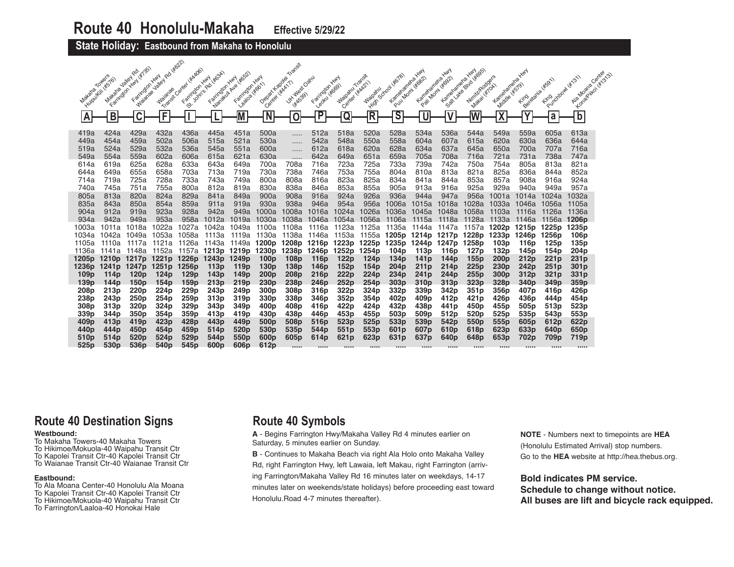**State Holiday: Eastbound from Makaha to Honolulu** 

| Maxaha Towers<br>ΙA | Maxara Jaley Ro<br>Huidukii (#576)<br>$\mathsf B$ | Farington Him 14/155<br>Farrington Hwy<br>$\overline{\mathsf{C}}$ | Magnesia Jaiol Rd World<br>F | Transit Canter (KAADOS)<br>Cancidorizada Manufacan | Farington Hwy    | Magazin Ave 46522<br>Farington Hwy<br>1820/02 1806-1<br>M | Depart Kappen<br>Center ( MAX 1)<br>$\overline{\mathsf{N}}$ | Transit<br>Litrasian Cam<br>$\mathbf 0$ | Leavingon Hwy<br>$\overline{P}$      | Margaru Transit<br>Center (#4422)<br>Q | Waipanu<br>$\overline{\mathsf{R}}$ | Kameramene,<br>$\overline{\mathsf{s}}$ | <b>HAN</b><br>Puu Mom (#882)<br>Kamatanaha<br>U | Kantalanaha Yuny<br>Pail Momi (ifost)<br>$\overline{\mathsf{V}}$ | Call also prior trades<br>Nimit/Rodgers<br>Makai liitoki<br>₩ | Kamalanaha<br>Middle 4579)<br>$\overline{\mathbf{X}}$ | <b>HAN</b><br>Lingidadia (K591)<br>Ÿ | Pulsadoran (K131)<br>∣a | Aig Moans Center<br>Kongression (St. 25)<br>Ъ |  |
|---------------------|---------------------------------------------------|-------------------------------------------------------------------|------------------------------|----------------------------------------------------|------------------|-----------------------------------------------------------|-------------------------------------------------------------|-----------------------------------------|--------------------------------------|----------------------------------------|------------------------------------|----------------------------------------|-------------------------------------------------|------------------------------------------------------------------|---------------------------------------------------------------|-------------------------------------------------------|--------------------------------------|-------------------------|-----------------------------------------------|--|
|                     | 424a                                              | 429a                                                              | 432a                         | 436a                                               |                  |                                                           |                                                             |                                         | 512a                                 | 518a                                   |                                    | 528a                                   | 534a                                            | 536a                                                             | 544a                                                          | 549a                                                  | 559a                                 | 605a                    |                                               |  |
| 419a<br>449a        | 454a                                              | 459a                                                              | 502a                         | 506a                                               | 445a<br>515a     | 451a<br>521a                                              | 500a<br>530a                                                | .                                       | 542a                                 | 548a                                   | 520a<br>550a                       | 558a                                   | 604a                                            | 607a                                                             | 615a                                                          | 620a                                                  | 630a                                 | 636a                    | 613a<br>644a                                  |  |
| 519a                | 524a                                              | 529a                                                              | 532a                         | 536a                                               | 545a             | 551a                                                      | 600a                                                        | .                                       | 612a                                 | 618a                                   | 620a                               | 628a                                   | 634a                                            | 637a                                                             | 645a                                                          | 650a                                                  | 700a                                 | 707a                    | 716a                                          |  |
| 549a                | 554a                                              | 559a                                                              | 602a                         | 606a                                               | 615a             | 621a                                                      | 630a                                                        |                                         | 642a                                 | 649a                                   | 651a                               | 659a                                   | 705a                                            | 708a                                                             | 716a                                                          | 721a                                                  | 731a                                 | 738a                    | 747a                                          |  |
| 614a                | 619a                                              | 625a                                                              | 628a                         | 633a                                               | 643a             | 649a                                                      | 700a                                                        | .<br>708a                               | 716a                                 | 723a                                   | 725a                               | 733a                                   | 739a                                            | 742a                                                             | 750a                                                          | 754a                                                  | 805a                                 | 813a                    | 821a                                          |  |
| 644a                | 649a                                              | 655a                                                              | 658a                         | 703a                                               | 713a             | 719a                                                      | 730a                                                        | 738a                                    | 746a                                 | 753a                                   | 755a                               | 804a                                   | 810a                                            | 813a                                                             | 821a                                                          | 825a                                                  | 836a                                 | 844a                    | 852a                                          |  |
| 714a                | 719a                                              | 725a                                                              | 728a                         | 733a                                               | 743a             | 749a                                                      | 800a                                                        | 808a                                    | 816a                                 | 823a                                   | 825a                               | 834a                                   | 841a                                            | 844a                                                             | 853a                                                          | 857a                                                  | 908a                                 | 916a                    | 924a                                          |  |
| 740a                | 745a                                              | 751a                                                              | 755a                         | 800a                                               | 812a             | 819a                                                      | 830a                                                        | 838a                                    | 846a                                 | 853a                                   | 855a                               | 905a                                   | 913a                                            | 916a                                                             | 925a                                                          | 929a                                                  | 940a                                 | 949a                    | 957a                                          |  |
| 805a                | 813a                                              | 820a                                                              | 824a                         | 829a                                               | 841a             | 849a                                                      | 900a                                                        | 908a                                    | 916a                                 | 924a                                   | 926a                               | 936a                                   | 944a                                            | 947a                                                             | 956a                                                          | 1001a                                                 | 1014a                                | 1024a                   | 1032a                                         |  |
| 835a                | 843a                                              | 850a                                                              | 854a                         | 859a                                               | 911a             | 919a                                                      | 930a                                                        | 938a                                    | 946a                                 | 954a                                   | 956a                               | 1006a                                  | 1015a                                           | 1018a                                                            | 1028a                                                         | 1033a                                                 | 1046a                                | 1056a                   | 1105a                                         |  |
| 904a                | 912a                                              | 919a                                                              | 923a                         | 928a                                               | 942a             | 949a                                                      | 1000a                                                       | 1008a                                   | 1016a                                | 1024a                                  | 1026a                              | 1036a                                  | 1045a                                           | 1048a                                                            | 1058a                                                         | 1103a                                                 | 1116a                                | 1126a                   | 1136a                                         |  |
| 934a                | 942a                                              | 949a                                                              | 953a                         | 958a                                               | 1012a            | 1019a                                                     | 1030a                                                       | 1038a                                   | 1046a                                | 1054a                                  | 1056a                              | - 1106a                                | 1115a                                           | 1118a                                                            | 1128a                                                         | 1133a                                                 | - 1146a                              | 1156a                   | 1206 <sub>p</sub>                             |  |
| 1003a               | 1011a                                             | 1018a                                                             | 1022a                        | 1027a                                              | 1042a            | 1049a                                                     | 1100a                                                       | 1108a                                   | 1116a                                | 1123a                                  | 1125a                              | 1135a                                  | 1144a                                           | 1147a                                                            | 1157a                                                         | 1202p                                                 | 1215p                                | 1225p                   | 1235p                                         |  |
| 1034a               | 1042a                                             | 1049a                                                             | 1053a                        | 1058a                                              | 1113a            | 1119a                                                     | 1130a                                                       | 1138a                                   | 1146a                                | 1153a                                  | 1155a                              | 1205p 1214p                            |                                                 | 1217p                                                            | 1228p                                                         | 1233p                                                 | 1246p                                | 1256p                   | 106 <sub>p</sub>                              |  |
| 1105a               | 1110a                                             | 1117a                                                             | 1121a                        | 1126a                                              | 1143a            | 1149a 1200p                                               |                                                             | 1208p                                   | 1216p                                | 1223p                                  | 1225p                              | 1235p 1244p                            |                                                 | 1247p                                                            | 1258p                                                         | 103p                                                  | 116 <sub>p</sub>                     | 125p                    | 135 <sub>p</sub>                              |  |
| 1136a               | 1141a<br>1205p 1210p 1217p                        | 1148a                                                             | 1152a<br>1221 <sub>p</sub>   | 1157a<br>1226 <sub>p</sub>                         | 1243p 1249p      |                                                           | 1213p 1219p 1230p<br>100 <sub>p</sub>                       | 1238p<br>108p                           | 1246p                                | 1252p<br>122p                          | 1254p<br>124 <sub>p</sub>          | 104 <sub>p</sub><br>134p               | 113p                                            | 116p<br>144p                                                     | 127 <sub>p</sub><br>155 <sub>p</sub>                          | 132 <sub>p</sub><br>200 <sub>p</sub>                  | 145p<br>212p                         | 154p<br>221p            | 204 <sub>p</sub><br>231 <sub>p</sub>          |  |
|                     | 1236p 1241p                                       | 1247p                                                             | 1251 <sub>p</sub>            | 1256p                                              | 113 <sub>p</sub> | 119 <sub>p</sub>                                          | 130 <sub>p</sub>                                            | 138 <sub>p</sub>                        | 116 <sub>p</sub><br>146 <sub>p</sub> | 152p                                   | 154 <sub>p</sub>                   | 204 <sub>p</sub>                       | 141 <sub>p</sub><br>211 <sub>p</sub>            | 214 <sub>p</sub>                                                 | 225 <sub>p</sub>                                              | 230 <sub>p</sub>                                      | 242 <sub>p</sub>                     | 251p                    | 301 <sub>p</sub>                              |  |
| 109 <sub>p</sub>    | 114p                                              | 120 <sub>p</sub>                                                  | 124 <sub>p</sub>             | 129 <sub>p</sub>                                   | 143p             | 149p                                                      | 200 <sub>p</sub>                                            | 208p                                    | 216 <sub>p</sub>                     | 222p                                   | 224 <sub>p</sub>                   | 234 <sub>p</sub>                       | 241 <sub>p</sub>                                | 244 <sub>p</sub>                                                 | 255p                                                          | 300 <sub>p</sub>                                      | 312p                                 | 321p                    | 331p                                          |  |
| 139 <sub>p</sub>    | 144p                                              | 150 <sub>p</sub>                                                  | 154 <sub>p</sub>             | 159 <sub>p</sub>                                   | 213p             | 219 <sub>p</sub>                                          | 230 <sub>p</sub>                                            | 238 <sub>p</sub>                        | 246 <sub>p</sub>                     | 252p                                   | 254p                               | 303 <sub>p</sub>                       | 310 <sub>p</sub>                                | 313 <sub>p</sub>                                                 | 323p                                                          | 328p                                                  | 340 <sub>p</sub>                     | 349 <sub>p</sub>        | 359 <sub>p</sub>                              |  |
| 208p                | 213 <sub>p</sub>                                  | 220 <sub>p</sub>                                                  | 224p                         | 229p                                               | 243 <sub>p</sub> | 249 <sub>p</sub>                                          | 300 <sub>p</sub>                                            | 308p                                    | 316p                                 | 322p                                   | 324p                               | 332p                                   | 339p                                            | 342p                                                             | 351p                                                          | 356 <sub>p</sub>                                      | 407 <sub>p</sub>                     | 416p                    | 426p                                          |  |
| 238p                | 243p                                              | 250p                                                              | 254 <sub>p</sub>             | 259p                                               | 313p             | 319 <sub>p</sub>                                          | 330p                                                        | 338p                                    | 346p                                 | 352p                                   | 354p                               | 402p                                   | 409 <sub>p</sub>                                | 412p                                                             | 421 <sub>p</sub>                                              | 426 <sub>p</sub>                                      | 436 <sub>p</sub>                     | 444p                    | 454p                                          |  |
| 308p                | 313p                                              | 320 <sub>p</sub>                                                  | 324p                         | 329 <sub>p</sub>                                   | 343p             | 349p                                                      | 400 <sub>p</sub>                                            | 408p                                    | 416 <sub>p</sub>                     | 422p                                   | 424 <sub>p</sub>                   | 432p                                   | 438p                                            | 441 <sub>p</sub>                                                 | 450 <sub>p</sub>                                              | 455p                                                  | 505 <sub>p</sub>                     | 513 <sub>p</sub>        | 523p                                          |  |
| 339p                | 344p                                              | 350 <sub>p</sub>                                                  | 354p                         | 359 <sub>p</sub>                                   | 413p             | 419p                                                      | 430 <sub>p</sub>                                            | 438p                                    | 446p                                 | 453 <sub>p</sub>                       | 455 <sub>p</sub>                   | 503p                                   | 509p                                            | 512p                                                             | 520 <sub>p</sub>                                              | 525 <sub>p</sub>                                      | 535 <sub>p</sub>                     | 543 <sub>p</sub>        | 553p                                          |  |
| 409 <sub>p</sub>    | 413p                                              | 419 <sub>p</sub>                                                  | 423p                         | 428p                                               | 443 <sub>p</sub> | 449 <sub>p</sub>                                          | 500 <sub>p</sub>                                            | 508p                                    | 516p                                 | 523p                                   | 525 <sub>p</sub>                   | 533p                                   | 539p                                            | 542 <sub>p</sub>                                                 | 550 <sub>p</sub>                                              | 555p                                                  | 605 <sub>p</sub>                     | 612 <sub>p</sub>        | 622p                                          |  |
| 440 <sub>p</sub>    | 444p                                              | 450 <sub>p</sub>                                                  | 454 <sub>p</sub>             | 459 <sub>p</sub>                                   | 514 <sub>p</sub> | 520 <sub>p</sub>                                          | 530 <sub>p</sub>                                            | 535p                                    | 544p                                 | 551p                                   | 553p                               | 601 <sub>p</sub>                       | 607p                                            | 610 <sub>p</sub>                                                 | 618p                                                          | 623 <sub>p</sub>                                      | 633p                                 | 640 <sub>p</sub>        | 650 <sub>p</sub>                              |  |
| 510 <sub>p</sub>    | 514p                                              | 520 <sub>p</sub>                                                  | 524 <sub>p</sub>             | 529 <sub>p</sub>                                   | 544 <sub>p</sub> | 550 <sub>p</sub>                                          | 600 <sub>p</sub>                                            | 605 <sub>p</sub>                        | 614p                                 | 621 <sub>p</sub>                       | 623p                               | 631 <sub>p</sub>                       | 637p                                            | 640p                                                             | 648p                                                          | 653 <sub>p</sub>                                      | 702p                                 | 709 <sub>p</sub>        | 719p                                          |  |
| 525 <sub>p</sub>    | 530 <sub>p</sub>                                  | 536p                                                              | 540 <sub>p</sub>             | 545 <sub>p</sub>                                   | 600 <sub>p</sub> | 606 <sub>p</sub>                                          | 612 <sub>p</sub>                                            |                                         | 1.1.1.1                              | 1.1.1.1                                | 1.1.1.1                            | 1.1.1.1                                | 1.1.1.1                                         |                                                                  | 1.1.1.1                                                       | 1.1.1.1                                               |                                      |                         |                                               |  |

# **Route 40 Destination Signs**

## **Westbound:**

To Makaha Towers-40 Makaha Towers To Hikimoe/Mokuola-40 Waipahu Transit Ctr To Kapolei Transit Ctr-40 Kapolei Transit Ctr To Waianae Transit Ctr-40 Waianae Transit Ctr

#### **Eastbound:**

To Ala Moana Center-40 Honolulu Ala Moana To Kapolei Transit Ctr-40 Kapolei Transit Ctr To Hikimoe/Mokuola-40 Waipahu Transit Ctr To Farrington/Laaloa-40 Honokai Hale

# **Route 40 Symbols**

**A** - Begins Farrington Hwy/Makaha Valley Rd 4 minutes earlier on Saturday, 5 minutes earlier on Sunday.

**B** - Continues to Makaha Beach via right Ala Holo onto Makaha Valley

Rd, right Farrington Hwy, left Lawaia, left Makau, right Farrington (arriving Farrington/Makaha Valley Rd 16 minutes later on weekdays, 14-17 minutes later on weekends/state holidays) before proceeding east toward Honolulu.Road 4-7 minutes thereafter).

**NOTE** - Numbers next to timepoints are **HEA** (Honolulu Estimated Arrival) stop numbers. Go to the **HEA** website at http://hea.thebus.org.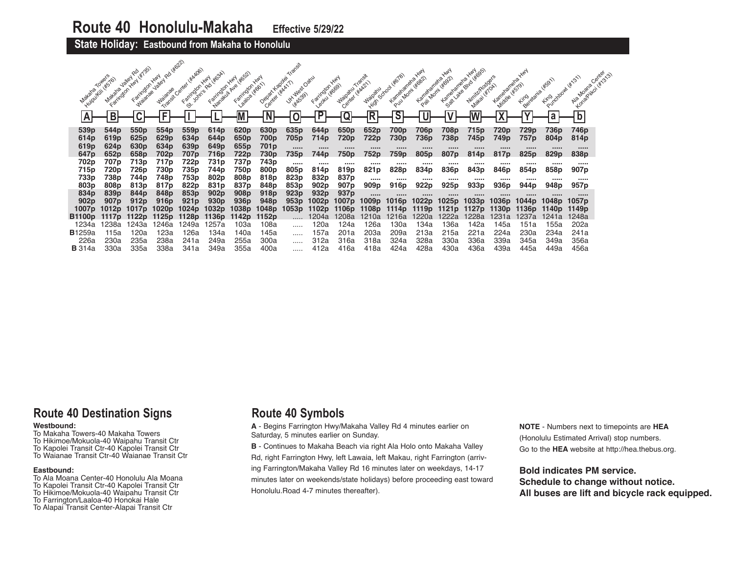**State Holiday: Eastbound from Makaha to Honolulu** 

| Modelia Towers            | Huiroutein (str.) To<br><b>Makana</b> | 14/35<br>Farington Hwy<br>Valley<br>Farrington Hwy | <b>Rd</b> 4622<br>Interior Jailey<br>Waianae | Transit Genter (#Magos    | Fantagon Hwy Wood<br>Faritraton Hwy  | Nanadit Ave (#652)<br>Farington Hwy<br>1.28/08 4/6611 | Depart Kapper<br>Center Wick17 | Utr viest Oatus<br><b>HAS391</b> | Farington<br>Leoku (#669)<br>▽ | Majoatu Transit<br><b>HAN</b><br>Center Water | Waipamu                    | - High School Weight<br>Forland Marini (4082) | <b>HAN</b><br>Kameraneha | <b>HAN</b><br>Pail Mom ( Kega)<br>Lamenamena. | Salt Jake edito it dass<br>Niritz/Rodgers<br><b>Makai (#70A)</b> | Kamola Grando    | King dana wsg.1  | King oroman 4x31)    | Gentley<br>Kongoliwa (Kr. 31.3)<br>Ala Moana |  |
|---------------------------|---------------------------------------|----------------------------------------------------|----------------------------------------------|---------------------------|--------------------------------------|-------------------------------------------------------|--------------------------------|----------------------------------|--------------------------------|-----------------------------------------------|----------------------------|-----------------------------------------------|--------------------------|-----------------------------------------------|------------------------------------------------------------------|------------------|------------------|----------------------|----------------------------------------------|--|
|                           | B                                     |                                                    |                                              |                           |                                      |                                                       |                                |                                  | $\overline{\mathsf{P}}$        |                                               | R                          | c                                             |                          |                                               |                                                                  |                  |                  |                      | $\overline{b}$                               |  |
| 539 <sub>p</sub>          | 544 <sub>p</sub>                      | 550 <sub>p</sub>                                   | 554 <sub>p</sub>                             | 559p                      | 614p                                 | 620 <sub>p</sub>                                      | 630 <sub>p</sub>               | 635 <sub>p</sub>                 | 644p                           | 650 <sub>p</sub>                              | 652p                       | 700 <sub>p</sub>                              | 706p                     | 708p                                          | 715 <sub>p</sub>                                                 | 720p             | 729p             | 736p                 | 746p                                         |  |
| 614p<br>619 <sub>p</sub>  | 619 <sub>p</sub><br>624p              | 625 <sub>p</sub><br>630 <sub>p</sub>               | 629 <sub>p</sub><br>634 <sub>p</sub>         | 634p<br>639 <sub>p</sub>  | 644 <sub>p</sub><br>649 <sub>p</sub> | 650 <sub>p</sub><br>655 <sub>p</sub>                  | 700p<br>701p                   | 705p<br>                         | 714p<br>                       | 720p<br>                                      | 722p<br>                   | 730p<br>                                      | 736p<br>                 | 738p<br>                                      | 745p<br>                                                         | 749p<br>         | 757p<br>         | 804 <sub>p</sub><br> | 814p<br>                                     |  |
| 647 <sub>p</sub>          | 652p                                  | 658 <sub>p</sub>                                   | 702p                                         | 707 p                     | 716p                                 | 722p                                                  | 730p                           | 735p                             | 744p                           | 750p                                          | 752p                       | 759p                                          | 805 <sub>p</sub>         | 807p                                          | 814 <sub>p</sub>                                                 | 817 <sub>p</sub> | 825p             | 829 <sub>p</sub>     | 838 <sub>p</sub>                             |  |
| 702p                      | 707p                                  | 713p                                               | 717p                                         | 722p                      | 731 p                                | 737p                                                  | 743p                           |                                  |                                |                                               |                            |                                               |                          |                                               |                                                                  |                  |                  |                      |                                              |  |
| 715p                      | 720p                                  | 726p                                               | 730 <sub>p</sub>                             | 735p                      | 744p                                 | 750p                                                  | 800 <sub>p</sub>               | 805p                             | 814p                           | 819p                                          | 821 <sub>p</sub>           | 828p                                          | 834p                     | 836p                                          | 843p                                                             | 846 <sub>p</sub> | 854 <sub>p</sub> | 858p                 | 907 <sub>p</sub>                             |  |
| 733p                      | 738p                                  | 744p                                               | 748p                                         | 753p                      | 802p                                 | 808p                                                  | 818p                           | 823p                             | 832p                           | 837p                                          |                            |                                               |                          |                                               |                                                                  |                  |                  |                      |                                              |  |
| 803p                      | 808p                                  | 813p                                               | 817p                                         | 822p                      | 831 <sub>p</sub>                     | 837p                                                  | 848p                           | 853p                             | 902p                           | 907 <sub>p</sub>                              | 909p                       | 916p                                          | 922p                     | 925p                                          | 933 <sub>p</sub>                                                 | 936 <sub>p</sub> | 944p             | 948p                 | 957 <sub>p</sub>                             |  |
| 834p                      | 839p                                  | 844p                                               | 848p                                         | 853p                      | 902p                                 | 908p                                                  | 918p                           | 923p                             | 932 <sub>p</sub>               | 937 <sub>p</sub>                              |                            |                                               |                          |                                               |                                                                  | <br>1036p        |                  | <br>1048p            |                                              |  |
| 902 <sub>p</sub><br>1007p | 907 <sub>p</sub><br>1012 <sub>p</sub> | 912 <sub>p</sub><br>1017 <sub>p</sub>              | 916 <sub>p</sub><br>1020p                    | 921 <sub>p</sub><br>1024p | 930 <sub>p</sub><br>1032p            | 936 <sub>p</sub><br>1038p                             | 948p<br>1048 <sub>p</sub>      | 953 <sub>p</sub><br>1053p        | 1002p<br>1102p                 | 1007 p<br>1106p                               | 1009 <sub>p</sub><br>1108p | 1016p<br>1114p                                | 10220<br>1119p           | 1025p<br>1121 <sub>p</sub>                    | 1033p<br>1127p                                                   | 1130p            | 1044p<br>1136b   | 1140p                | 1057p<br>1149 <sub>p</sub>                   |  |
| B1100p                    | 111/6                                 | 1122 <sub>p</sub>                                  | 1125 <sub>p</sub>                            | 1128 <sub>p</sub>         | 1136p                                | 1142p                                                 | 1152 <sub>p</sub>              |                                  | 1204a                          | 208a                                          | I210a                      | 1216a                                         | 1220a                    | 1222a                                         | 1228a                                                            | 1231a            | 1237a            | 1241a                | 1248a                                        |  |
| 1234a                     | 1238a                                 | 1243a                                              | 1246a                                        | 1249a                     | 1257a                                | 103a                                                  | 108a                           |                                  | 120a                           | 124a                                          | 126a                       | 130a                                          | 134a                     | 136a                                          | 142a                                                             | 145a             | 151a             | 155a                 | 202a                                         |  |
| <b>B</b> 1259a            | 115a                                  | 120a                                               | 123a                                         | 126a                      | 134a                                 | 140a                                                  | 145a                           |                                  | 157a                           | 201a                                          | 203a                       | 209a                                          | 213a                     | 215a                                          | 221a                                                             | 224a             | 230a             | 234a                 | 241a                                         |  |
| 226a                      | 230a                                  | 235a                                               | 238a                                         | 241a                      | 249a                                 | 255a                                                  | 300a                           |                                  | 312a                           | 316a                                          | 318a                       | 324a                                          | 328a                     | 330a                                          | 336a                                                             | 339a             | 345a             | 349a                 | 356a                                         |  |
| <b>B</b> 314a             | 330a                                  | 335a                                               | 338a                                         | 341a                      | 349a                                 | 355a                                                  | 400a                           |                                  | 412a                           | 416a                                          | 418a                       | 424a                                          | 428a                     | 430a                                          | 436a                                                             | 439a             | 445a             | 449a                 | 456a                                         |  |

# **Route 40 Destination Signs**

## **Westbound:**

To Makaha Towers-40 Makaha Towers To Hikimoe/Mokuola-40 Waipahu Transit Ctr

- To Kapolei Transit Ctr-40 Kapolei Transit Ctr
- To Waianae Transit Ctr-40 Waianae Transit Ctr

## **Eastbound:**

- To Ala Moana Center-40 Honolulu Ala Moana
- To Kapolei Transit Ctr-40 Kapolei Transit Ctr
- To Hikimoe/Mokuola-40 Waipahu Transit Ctr
- To Farrington/Laaloa-40 Honokai Hale
- To Alapai Transit Center-Alapai Transit Ctr

# **Route 40 Symbols**

**A** - Begins Farrington Hwy/Makaha Valley Rd 4 minutes earlier on Saturday, 5 minutes earlier on Sunday.

**B** - Continues to Makaha Beach via right Ala Holo onto Makaha Valley Rd, right Farrington Hwy, left Lawaia, left Makau, right Farrington (arriving Farrington/Makaha Valley Rd 16 minutes later on weekdays, 14-17 minutes later on weekends/state holidays) before proceeding east toward Honolulu.Road 4-7 minutes thereafter).

**NOTE** - Numbers next to timepoints are **HEA** (Honolulu Estimated Arrival) stop numbers. Go to the **HEA** website at http://hea.thebus.org.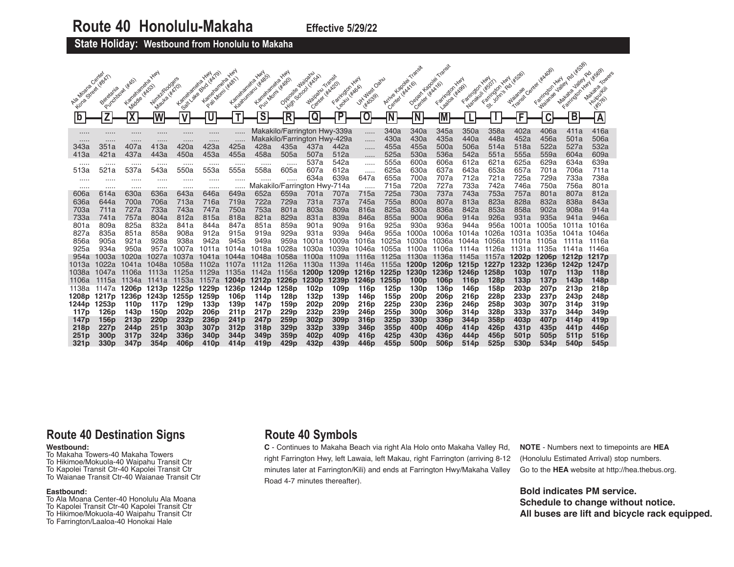**State Holiday: Westbound from Honolulu to Makaha** 

|                                       |                          |                                | <b>HWY</b>                      |                          |                                      | <b>KNALL</b>                       | <b>HAN</b>                        | <b>HAN</b>                                  | Waipanu                                                      | Transit                              |                                   | Artizie Lagoei Transist |                                      | Transit                              | <b>HWY</b>                           | <b>HAN</b>                           |                                  |                                      | 180 445381<br><b>Jalley</b>          | 1.45091                      |
|---------------------------------------|--------------------------|--------------------------------|---------------------------------|--------------------------|--------------------------------------|------------------------------------|-----------------------------------|---------------------------------------------|--------------------------------------------------------------|--------------------------------------|-----------------------------------|-------------------------|--------------------------------------|--------------------------------------|--------------------------------------|--------------------------------------|----------------------------------|--------------------------------------|--------------------------------------|------------------------------|
| Ave Moste Center<br>Eona Sition Hadri | Beretania<br>Purchbowl b | Kametaneha Y<br>Middle ( KASS) | Wirnich Rodgers<br>Mauka (Kx70) | Kameraneha               | Seal de divolination<br>Kametaneha Y | Pail Momi (* 1861)<br>Karnetarieta | Keadurianu (Kass)<br>Kametanene Y | Pul Mom ( # 690)<br>Opposite<br><b>High</b> | 1 School (*ASA)<br>Center ( W.A.20)<br><b>Waipanu</b>        | Farington Hwy<br>Legitul Hides       | J.Kivalest Oatiu<br><b>HAK599</b> | Center (#AA16)          | Depart Kapalei<br>Center Hitch'6)    | laaloa (#Ago)<br>Farington           | Nanakuli (#50T)<br>Farrington        | Farrington Hwy<br>St. John's Rd L    | Transit Center<br><b>Waianae</b> | Farington Hwy<br>Walange             | Mataha Jaley Ro<br>Farington Hwy     | Makana<br>Huirpultii<br>4576 |
| $\mathbf b$                           |                          |                                |                                 |                          |                                      | Ŧ                                  | $\overline{\mathsf{s}}$           | $\overline{\mathsf{R}}$                     | Q                                                            | P                                    | 0                                 | Ñ                       |                                      |                                      |                                      |                                      | Ē                                | C                                    | В                                    | A                            |
|                                       | .                        | <br>.                          | .<br>.                          | <br>                     |                                      |                                    |                                   |                                             | Makakilo/Farrington Hwy-339a<br>Makakilo/Farrington Hwy-429a |                                      | .                                 | 340a<br>430a            | 340a<br>430a                         | 345a<br>435a                         | 350a<br>440a                         | 358a<br>448a                         | 402a<br>452a                     | 406a<br>456a                         | 411a<br>501a                         | 416a<br>506a                 |
| <br>343a                              | <br>351a                 | 407a                           | 413a                            | 420a                     | <br>423a                             | $\cdots$<br>425a                   | 428a                              | 435a                                        | 437a                                                         | 442a                                 | .<br>.                            | 455a                    | 455a                                 | 500a                                 | 506a                                 | 514a                                 | 518a                             | 522a                                 | 527a                                 | 532a                         |
| 413a                                  | 421a                     | 437a                           | 443a                            | 450a                     | 453a                                 | 455a                               | 458a                              | 505a                                        | 507a                                                         | 512a                                 |                                   | 525a                    | 530a                                 | 536a                                 | 542a                                 | 551a                                 | 555a                             | 559a                                 | 604a                                 | 609a                         |
| $\cdots$                              | .                        | .                              | .                               |                          |                                      | $\cdots$                           | .                                 | $\cdots$                                    | 537a                                                         | 542a                                 | .                                 | 555a                    | 600a                                 | 606a                                 | 612a                                 | 621a                                 | 625a                             | 629a                                 | 634a                                 | 639a                         |
| 513a                                  | 521a                     | 537a                           | 543a                            | 550a                     | 553a                                 | 555a                               | 558a                              | 605a                                        | 607a<br>634a                                                 | 612a<br>639a                         | .<br>647a                         | 625a<br>655a            | 630a<br>700a                         | 637a<br>707a                         | 643a<br>712a                         | 653a<br>721a                         | 657a<br>725a                     | 701a<br>729a                         | 706a<br>733a                         | 711a<br>738a                 |
| <br>                                  | <br>.                    | <br>.                          | <br>.                           | .<br>                    | .<br>                                | .<br>.                             | <br>Makaki                        | .                                           | lo/Farrington Hwy-714a                                       |                                      |                                   | 715a                    | 720a                                 | 727a                                 | 733a                                 | 742a                                 | 746a                             | 750a                                 | 756a                                 | 801a                         |
| 606a                                  | 614a                     | 630a                           | 636a                            | 643a                     | 646a                                 | 649a                               | 652a                              | 659a                                        | 701a                                                         | 707a                                 | 715a                              | 725a                    | 730a                                 | 737a                                 | 743a                                 | 753a                                 | 757a                             | 801a                                 | 807a                                 | 812a                         |
| 636a                                  | 644a                     | 700a                           | 706a                            | 713a                     | 716a                                 | 719a                               | 722a                              | 729a                                        | 731a                                                         | 737a                                 | 745a                              | 755a                    | 800a                                 | 807a                                 | 813a                                 | 823a                                 | 828a                             | 832a                                 | 838a                                 | 843a                         |
| 703a                                  | 711a                     | 727a                           | 733a                            | 743a                     | 747a                                 | 750a                               | 753a                              | 801a                                        | 803a                                                         | 809a                                 | 816a                              | 825a                    | 830a                                 | 836a                                 | 842a                                 | 853a                                 | 858a                             | 902a                                 | 908a                                 | 914a                         |
| 733a                                  | 741a                     | 757a                           | 804a                            | 812a                     | 815a                                 | 818a                               | 821a                              | 829a                                        | 831a                                                         | 839a                                 | 846a                              | 855a                    | 900a                                 | 906a                                 | 914a                                 | 926a                                 | 931a                             | 935a                                 | 941a                                 | 946a                         |
| 801a                                  | 809a                     | 825a                           | 832a                            | 841a                     | 844a                                 | 847a                               | 851a                              | 859a                                        | 901a                                                         | 909a                                 | 916a                              | 925a                    | 930a                                 | 936a                                 | 944a                                 | 956a                                 | 1001a                            | 1005a                                | 1011a                                | ∣016a                        |
| 827a<br>856a                          | 835a<br>905a             | 851a<br>921a                   | 858a<br>928a                    | 908a<br>938a             | 912a<br>942a                         | 915a<br>945a                       | 919a<br>949a                      | 929a<br>959a                                | 931a<br>1001a                                                | 939a<br>1009a                        | 946a<br>1016a                     | 955a<br>1025a           | 1000a<br>1030a                       | 1006a<br>1036a                       | 1014a                                | 026a                                 | 1031a                            | 1035a                                | 1041a                                | 1046a<br>1116a               |
| 925a                                  | 934a                     | 950a                           | 957a                            | 1007a                    | 1011a                                | 1014a                              | 1018a                             | 1028a                                       | 1030a                                                        | 1039a                                | 1046a                             | 1055a                   | 1100a                                | 1106a                                | 1044a<br>1114a                       | ⊺056a<br>1126a                       | i101a<br>1131a                   | 05a<br>1135a                         | 111<br>1a<br>1141a                   | 1146a                        |
| 954a                                  | 1003a                    | 1020a                          | 1027a                           | 1037a                    | 1041a                                | 1044a                              | 1048a                             | 1058a                                       | 1100a                                                        | 1109a                                | 1116a                             | 1125a                   | 1130a                                | 1136a                                | 1145a                                | 1157a                                | 1202p                            | 1206 <sub>p</sub>                    | 1212p                                | 1217 <sub>p</sub>            |
| 1013a                                 | 1022a                    | 1041a                          | 1048a                           | 1058a                    | 1102a                                | 110/a                              | 1112a                             | 1126a                                       | 1130a                                                        | 1139a                                | 1146a                             | 1155a                   | 1200 <sub>p</sub>                    | 1206 <sub>p</sub>                    | 1215 <sub>p</sub>                    | 1227p                                | 1232 <sub>p</sub>                | 1236 <sub>p</sub>                    | 1242 <sub>p</sub>                    | 1247 <sub>p</sub>            |
| 1038a                                 | 1047a                    | 1106a                          | 1113a                           | 1125a                    | 1129a                                | 1135a                              | 1142a                             | 1156a                                       | 1200 <sub>p</sub>                                            | 1209 <sub>p</sub>                    | 1216 <sub>p</sub>                 | 1225p                   | 1230 <sub>p</sub>                    | 1236 <sub>p</sub>                    | 1246 <sub>p</sub>                    | 1258 <sub>p</sub>                    | 103p                             | 107 <sub>p</sub>                     | 113 <sub>p</sub>                     | 118 <sub>p</sub>             |
| 1106a                                 | 1115a                    | 1134a                          | 1141a                           | 1153a                    | 1157a                                | 1204 <sub>p</sub>                  | 1212 <sub>p</sub>                 | 1226 <sub>p</sub>                           | 1230 <sub>p</sub>                                            | 1239 <sub>p</sub>                    | 1246 <sub>p</sub>                 | 1255p                   | 100 <sub>p</sub>                     | 106 <sub>p</sub>                     | 116 <sub>p</sub>                     | 128 <sub>p</sub>                     | 133p                             | 137 <sub>p</sub>                     | 143 <sub>p</sub>                     | 148p                         |
| 1138a                                 | 1147a                    | 1206p                          | 1213 <sub>p</sub>               | 1225p                    | 1229 <sub>p</sub>                    | 1236p                              | 1244 <sub>p</sub>                 | 1258p                                       | 102 <sub>p</sub>                                             | 109 <sub>p</sub>                     | 116 <sub>p</sub>                  | 125 <sub>p</sub>        | 130 <sub>p</sub>                     | 136 <sub>p</sub>                     | 146 p                                | 158p                                 | 203 <sub>p</sub>                 | 207 <sub>p</sub>                     | 213 <sub>p</sub>                     | 218p                         |
| 1208p                                 | 1217 <sub>p</sub>        | 1236 <sub>p</sub>              | 1243p                           | 1255p                    | 1259p                                | 106p                               | 114p                              | 128 <sub>p</sub>                            | 132 <sub>p</sub>                                             | 139p                                 | 146 <sub>p</sub>                  | 155p                    | 200 <sub>p</sub>                     | 206 <sub>p</sub>                     | 216 <sub>p</sub>                     | 228p                                 | 233 <sub>p</sub>                 | 237p                                 | 243 <sub>p</sub>                     | 248 <sub>p</sub>             |
| 1244 p<br>117 <sub>p</sub>            | 1253p<br>126p            | 110p<br>143 <sub>p</sub>       | 117p<br>150 <sub>p</sub>        | 129 <sub>p</sub><br>202p | 133p<br>206 <sub>p</sub>             | 139p<br>211p                       | 147 p<br>217 <sub>p</sub>         | 159 <sub>p</sub><br>229 <sub>p</sub>        | 202 <sub>p</sub><br>232p                                     | 209 <sub>p</sub><br>239 <sub>p</sub> | 216p<br>246 <sub>p</sub>          | 225p<br>255p            | 230 <sub>p</sub><br>300 <sub>p</sub> | 236 <sub>p</sub><br>306 <sub>p</sub> | 246 <sub>p</sub><br>314 <sub>p</sub> | 258 <sub>p</sub><br>328 <sub>p</sub> | 303 <sub>p</sub><br>333p         | 307 <sub>p</sub><br>337 <sub>p</sub> | 314 <sub>p</sub><br>344 <sub>p</sub> | 319p<br>349 <sub>p</sub>     |
| 147 <sub>p</sub>                      | 156p                     | 213p                           | 220p                            | 232p                     | 236p                                 | 241 <sub>p</sub>                   | 247 <sub>p</sub>                  | 259 <sub>p</sub>                            | 302p                                                         | 309 <sub>p</sub>                     | 316 <sub>p</sub>                  | 325 <sub>p</sub>        | 330 <sub>p</sub>                     | 336 <sub>p</sub>                     | 344 <sub>p</sub>                     | 358 <sub>p</sub>                     | 403p                             | 407 <sub>p</sub>                     | 414p                                 | 419p                         |
| 218 <sub>p</sub>                      | 227 <sub>p</sub>         | 244 <sub>p</sub>               | 251p                            | 303 <sub>p</sub>         | 307p                                 | 312p                               | 318p                              | 329p                                        | 332p                                                         | 339p                                 | 346p                              | 355 <sub>p</sub>        | 400 <sub>p</sub>                     | 406 <sub>p</sub>                     | 414p                                 | 426p                                 | 431p                             | 435 <sub>p</sub>                     | 441 p                                | 446p                         |
| 251 p                                 | 300 <sub>p</sub>         | 317 <sub>p</sub>               | 324 <sub>p</sub>                | 336 <sub>p</sub>         | 340 <sub>p</sub>                     | 344 <sub>p</sub>                   | 349p                              | 359 <sub>p</sub>                            | 402p                                                         | 409 <sub>p</sub>                     | 416 <sub>p</sub>                  | 425 <sub>p</sub>        | 430 <sub>p</sub>                     | 436p                                 | 444p                                 | 456p                                 | 501 <sub>p</sub>                 | 505 <sub>p</sub>                     | 511 <sub>p</sub>                     | 516p                         |
| 321p                                  | 330 <sub>p</sub>         | 347 <sub>p</sub>               | 354 <sub>p</sub>                | 406p                     | 410p                                 | 414p                               | 419p                              | 429p                                        | 432p                                                         | 439p                                 | 446p                              | 455p                    | 500 <sub>p</sub>                     | 506 <sub>p</sub>                     | 514p                                 | 525 <sub>p</sub>                     | 530p                             | 534 <sub>p</sub>                     | 540 <sub>p</sub>                     | 545 <sub>p</sub>             |

# **Route 40 Destination Signs**

## **Westbound:**

- To Makaha Towers-40 Makaha Towers To Hikimoe/Mokuola-40 Waipahu Transit Ctr
- To Kapolei Transit Ctr-40 Kapolei Transit Ctr
- To Waianae Transit Ctr-40 Waianae Transit Ctr

## **Eastbound:**

- To Ala Moana Center-40 Honolulu Ala Moana To Kapolei Transit Ctr-40 Kapolei Transit Ctr
- To Hikimoe/Mokuola-40 Waipahu Transit Ctr
- To Farrington/Laaloa-40 Honokai Hale

## **Route 40 Symbols**

**C** - Continues to Makaha Beach via right Ala Holo onto Makaha Valley Rd, right Farrington Hwy, left Lawaia, left Makau, right Farrington (arriving 8-12 minutes later at Farrington/Kili) and ends at Farrington Hwy/Makaha Valley Road 4-7 minutes thereafter).

**NOTE** - Numbers next to timepoints are **HEA** (Honolulu Estimated Arrival) stop numbers. Go to the **HEA** website at http://hea.thebus.org.